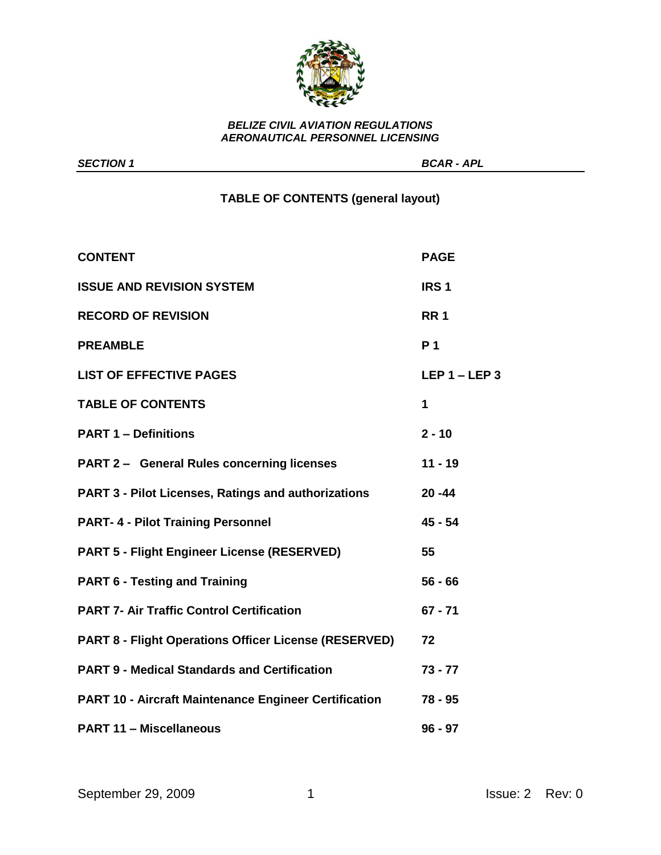

*SECTION 1 BCAR - APL* 

# **TABLE OF CONTENTS (general layout)**

| <b>CONTENT</b>                                               | <b>PAGE</b>      |
|--------------------------------------------------------------|------------------|
| <b>ISSUE AND REVISION SYSTEM</b>                             | IRS <sub>1</sub> |
| <b>RECORD OF REVISION</b>                                    | <b>RR1</b>       |
| <b>PREAMBLE</b>                                              | P <sub>1</sub>   |
| <b>LIST OF EFFECTIVE PAGES</b>                               | LEP $1 -$ LEP 3  |
| <b>TABLE OF CONTENTS</b>                                     | 1                |
| <b>PART 1 - Definitions</b>                                  | $2 - 10$         |
| <b>PART 2 - General Rules concerning licenses</b>            | $11 - 19$        |
| <b>PART 3 - Pilot Licenses, Ratings and authorizations</b>   | $20 - 44$        |
| <b>PART-4 - Pilot Training Personnel</b>                     | $45 - 54$        |
| <b>PART 5 - Flight Engineer License (RESERVED)</b>           | 55               |
| <b>PART 6 - Testing and Training</b>                         | $56 - 66$        |
| <b>PART 7- Air Traffic Control Certification</b>             | $67 - 71$        |
| <b>PART 8 - Flight Operations Officer License (RESERVED)</b> | 72               |
| <b>PART 9 - Medical Standards and Certification</b>          | $73 - 77$        |
| <b>PART 10 - Aircraft Maintenance Engineer Certification</b> | 78 - 95          |
| <b>PART 11 - Miscellaneous</b>                               | $96 - 97$        |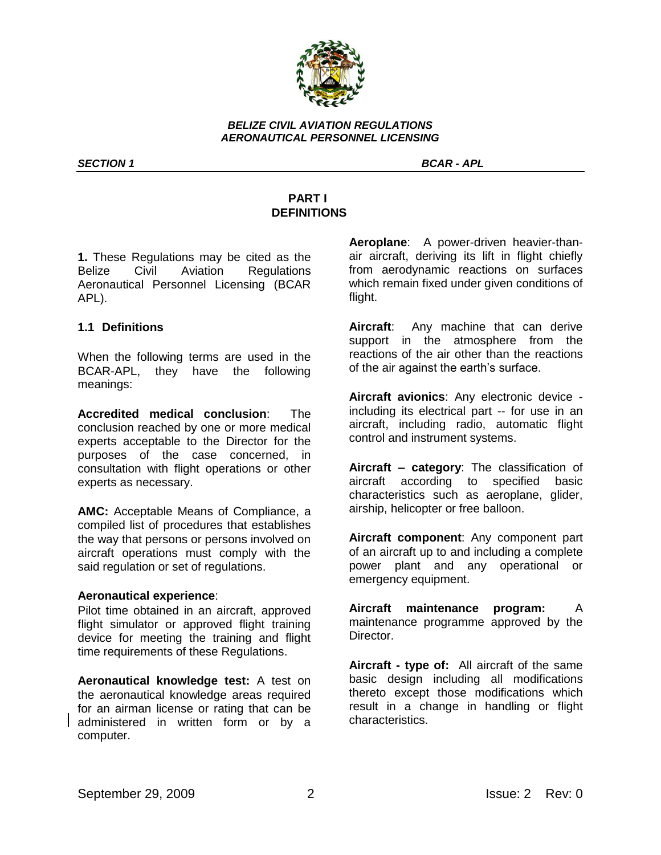

*SECTION 1 BCAR - APL* 

# **PART I DEFINITIONS**

**1.** These Regulations may be cited as the Belize Civil Aviation Regulations Aeronautical Personnel Licensing (BCAR APL).

# **1.1 Definitions**

When the following terms are used in the BCAR-APL, they have the following meanings:

**Accredited medical conclusion**: The conclusion reached by one or more medical experts acceptable to the Director for the purposes of the case concerned, in consultation with flight operations or other experts as necessary.

**AMC:** Acceptable Means of Compliance, a compiled list of procedures that establishes the way that persons or persons involved on aircraft operations must comply with the said regulation or set of regulations.

## **Aeronautical experience**:

Pilot time obtained in an aircraft, approved flight simulator or approved flight training device for meeting the training and flight time requirements of these Regulations.

**Aeronautical knowledge test:** A test on the aeronautical knowledge areas required for an airman license or rating that can be administered in written form or by a computer.

**Aeroplane**: A power-driven heavier-thanair aircraft, deriving its lift in flight chiefly from aerodynamic reactions on surfaces which remain fixed under given conditions of flight.

**Aircraft**: Any machine that can derive support in the atmosphere from the reactions of the air other than the reactions of the air against the earth"s surface.

**Aircraft avionics**: Any electronic device including its electrical part -- for use in an aircraft, including radio, automatic flight control and instrument systems.

**Aircraft – category**: The classification of aircraft according to specified basic characteristics such as aeroplane, glider, airship, helicopter or free balloon.

**Aircraft component**: Any component part of an aircraft up to and including a complete power plant and any operational or emergency equipment.

**Aircraft maintenance program:** A maintenance programme approved by the Director.

**Aircraft - type of:** All aircraft of the same basic design including all modifications thereto except those modifications which result in a change in handling or flight characteristics.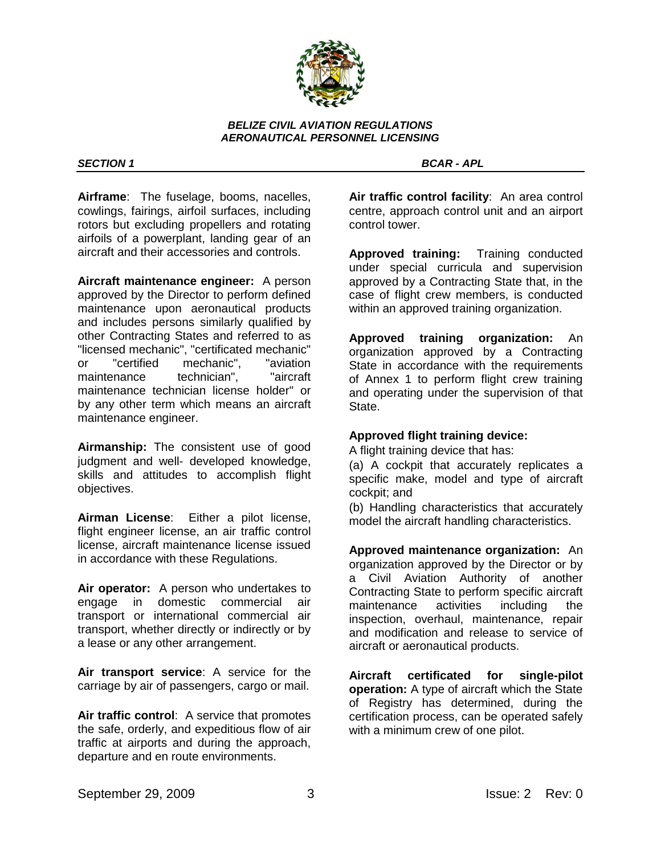

**Airframe**: The fuselage, booms, nacelles, cowlings, fairings, airfoil surfaces, including rotors but excluding propellers and rotating airfoils of a powerplant, landing gear of an aircraft and their accessories and controls.

**Aircraft maintenance engineer:** A person approved by the Director to perform defined maintenance upon aeronautical products and includes persons similarly qualified by other Contracting States and referred to as "licensed mechanic", "certificated mechanic" or "certified mechanic", "aviation maintenance technician", "aircraft maintenance technician license holder" or by any other term which means an aircraft maintenance engineer.

**Airmanship:** The consistent use of good judgment and well- developed knowledge, skills and attitudes to accomplish flight objectives.

**Airman License**: Either a pilot license, flight engineer license, an air traffic control license, aircraft maintenance license issued in accordance with these Regulations.

**Air operator:** A person who undertakes to engage in domestic commercial air transport or international commercial air transport, whether directly or indirectly or by a lease or any other arrangement.

**Air transport service**: A service for the carriage by air of passengers, cargo or mail.

**Air traffic control**: A service that promotes the safe, orderly, and expeditious flow of air traffic at airports and during the approach, departure and en route environments.

*SECTION 1 BCAR - APL* 

**Air traffic control facility**: An area control centre, approach control unit and an airport control tower.

**Approved training:** Training conducted under special curricula and supervision approved by a Contracting State that, in the case of flight crew members, is conducted within an approved training organization.

**Approved training organization:** An organization approved by a Contracting State in accordance with the requirements of Annex 1 to perform flight crew training and operating under the supervision of that State.

## **Approved flight training device:**

A flight training device that has:

(a) A cockpit that accurately replicates a specific make, model and type of aircraft cockpit; and

(b) Handling characteristics that accurately model the aircraft handling characteristics.

**Approved maintenance organization:** An organization approved by the Director or by a Civil Aviation Authority of another Contracting State to perform specific aircraft maintenance activities including the inspection, overhaul, maintenance, repair and modification and release to service of aircraft or aeronautical products.

**Aircraft certificated for single-pilot operation:** A type of aircraft which the State of Registry has determined, during the certification process, can be operated safely with a minimum crew of one pilot.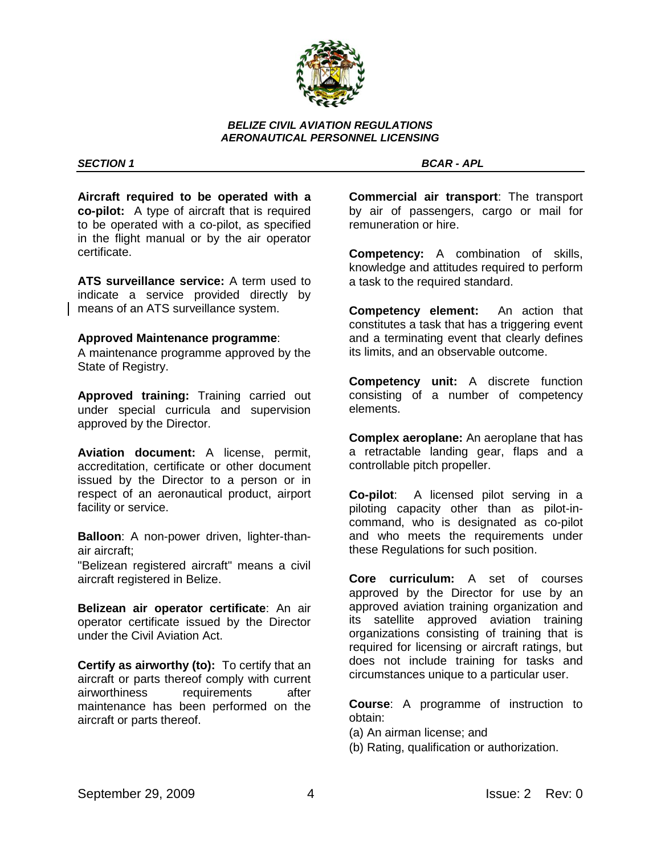

**Aircraft required to be operated with a co-pilot:** A type of aircraft that is required to be operated with a co-pilot, as specified in the flight manual or by the air operator certificate.

**ATS surveillance service:** A term used to indicate a service provided directly by means of an ATS surveillance system.

## **Approved Maintenance programme**:

A maintenance programme approved by the State of Registry.

**Approved training:** Training carried out under special curricula and supervision approved by the Director.

**Aviation document:** A license, permit, accreditation, certificate or other document issued by the Director to a person or in respect of an aeronautical product, airport facility or service.

**Balloon**: A non-power driven, lighter-thanair aircraft;

"Belizean registered aircraft" means a civil aircraft registered in Belize.

**Belizean air operator certificate**: An air operator certificate issued by the Director under the Civil Aviation Act.

**Certify as airworthy (to):** To certify that an aircraft or parts thereof comply with current airworthiness requirements after maintenance has been performed on the aircraft or parts thereof.

## *SECTION 1 BCAR - APL*

**Commercial air transport**: The transport by air of passengers, cargo or mail for remuneration or hire.

**Competency:** A combination of skills, knowledge and attitudes required to perform a task to the required standard.

**Competency element:** An action that constitutes a task that has a triggering event and a terminating event that clearly defines its limits, and an observable outcome.

**Competency unit:** A discrete function consisting of a number of competency elements.

**Complex aeroplane:** An aeroplane that has a retractable landing gear, flaps and a controllable pitch propeller.

**Co-pilot**: A licensed pilot serving in a piloting capacity other than as pilot-incommand, who is designated as co-pilot and who meets the requirements under these Regulations for such position.

**Core curriculum:** A set of courses approved by the Director for use by an approved aviation training organization and its satellite approved aviation training organizations consisting of training that is required for licensing or aircraft ratings, but does not include training for tasks and circumstances unique to a particular user.

**Course**: A programme of instruction to obtain:

(a) An airman license; and

(b) Rating, qualification or authorization.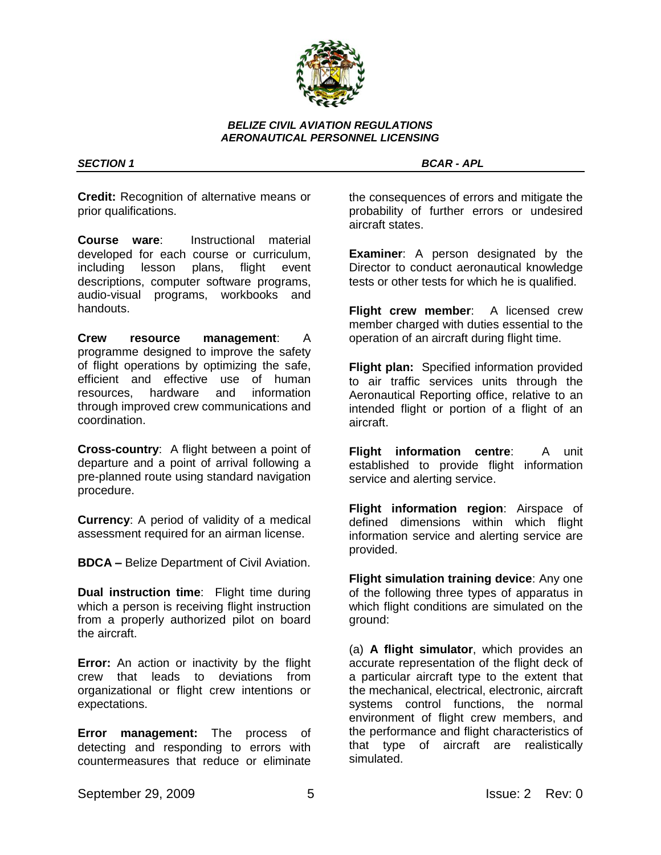

**Credit:** Recognition of alternative means or prior qualifications.

**Course ware**: Instructional material developed for each course or curriculum, including lesson plans, flight event descriptions, computer software programs, audio-visual programs, workbooks and handouts.

**Crew resource management**: A programme designed to improve the safety of flight operations by optimizing the safe, efficient and effective use of human resources, hardware and information through improved crew communications and coordination.

**Cross-country**: A flight between a point of departure and a point of arrival following a pre-planned route using standard navigation procedure.

**Currency**: A period of validity of a medical assessment required for an airman license.

**BDCA –** Belize Department of Civil Aviation.

**Dual instruction time**: Flight time during which a person is receiving flight instruction from a properly authorized pilot on board the aircraft.

**Error:** An action or inactivity by the flight crew that leads to deviations from organizational or flight crew intentions or expectations.

**Error management:** The process of detecting and responding to errors with countermeasures that reduce or eliminate

*SECTION 1 BCAR - APL* 

the consequences of errors and mitigate the probability of further errors or undesired aircraft states.

**Examiner**: A person designated by the Director to conduct aeronautical knowledge tests or other tests for which he is qualified.

**Flight crew member**: A licensed crew member charged with duties essential to the operation of an aircraft during flight time.

**Flight plan:** Specified information provided to air traffic services units through the Aeronautical Reporting office, relative to an intended flight or portion of a flight of an aircraft.

**Flight information centre**: A unit established to provide flight information service and alerting service.

**Flight information region**: Airspace of defined dimensions within which flight information service and alerting service are provided.

**Flight simulation training device**: Any one of the following three types of apparatus in which flight conditions are simulated on the ground:

(a) **A flight simulator**, which provides an accurate representation of the flight deck of a particular aircraft type to the extent that the mechanical, electrical, electronic, aircraft systems control functions, the normal environment of flight crew members, and the performance and flight characteristics of that type of aircraft are realistically simulated.

September 29, 2009 5 1ssue: 2 Rev: 0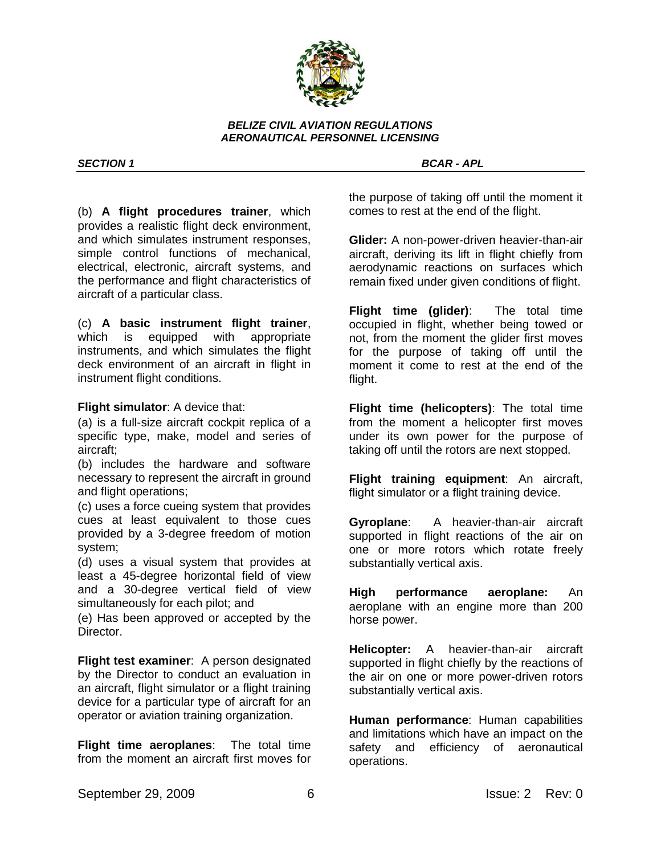

*SECTION 1 BCAR - APL* 

(b) **A flight procedures trainer**, which provides a realistic flight deck environment, and which simulates instrument responses, simple control functions of mechanical, electrical, electronic, aircraft systems, and the performance and flight characteristics of aircraft of a particular class.

(c) **A basic instrument flight trainer**, which is equipped with appropriate instruments, and which simulates the flight deck environment of an aircraft in flight in instrument flight conditions.

**Flight simulator**: A device that:

(a) is a full-size aircraft cockpit replica of a specific type, make, model and series of aircraft;

(b) includes the hardware and software necessary to represent the aircraft in ground and flight operations;

(c) uses a force cueing system that provides cues at least equivalent to those cues provided by a 3-degree freedom of motion system;

(d) uses a visual system that provides at least a 45-degree horizontal field of view and a 30-degree vertical field of view simultaneously for each pilot; and

(e) Has been approved or accepted by the Director.

**Flight test examiner**: A person designated by the Director to conduct an evaluation in an aircraft, flight simulator or a flight training device for a particular type of aircraft for an operator or aviation training organization.

**Flight time aeroplanes**: The total time from the moment an aircraft first moves for the purpose of taking off until the moment it comes to rest at the end of the flight.

**Glider:** A non-power-driven heavier-than-air aircraft, deriving its lift in flight chiefly from aerodynamic reactions on surfaces which remain fixed under given conditions of flight.

**Flight time (glider)**: The total time occupied in flight, whether being towed or not, from the moment the glider first moves for the purpose of taking off until the moment it come to rest at the end of the flight.

**Flight time (helicopters)**: The total time from the moment a helicopter first moves under its own power for the purpose of taking off until the rotors are next stopped.

**Flight training equipment**: An aircraft, flight simulator or a flight training device.

**Gyroplane**: A heavier-than-air aircraft supported in flight reactions of the air on one or more rotors which rotate freely substantially vertical axis.

**High performance aeroplane:** An aeroplane with an engine more than 200 horse power.

**Helicopter:** A heavier-than-air aircraft supported in flight chiefly by the reactions of the air on one or more power-driven rotors substantially vertical axis.

**Human performance**: Human capabilities and limitations which have an impact on the safety and efficiency of aeronautical operations.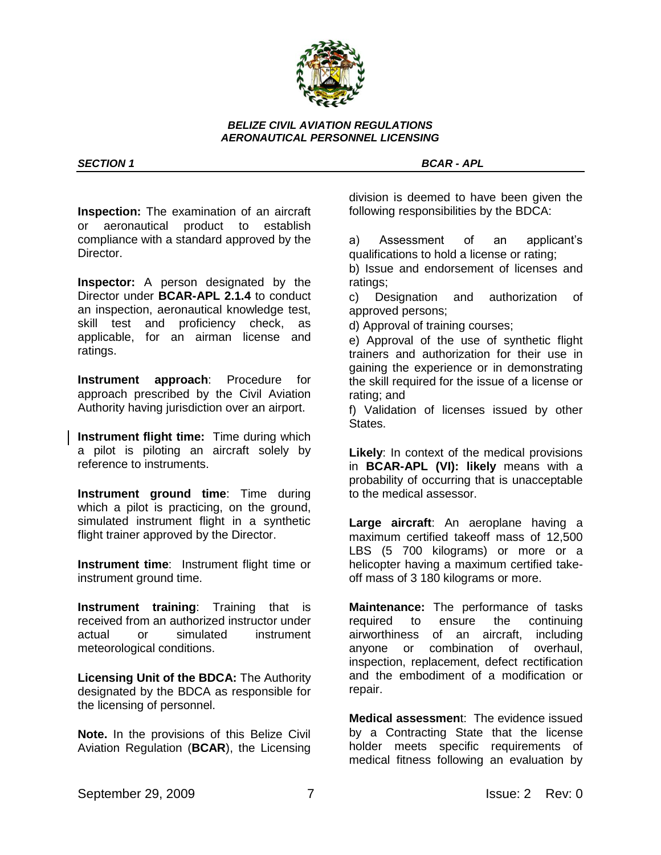

*SECTION 1 BCAR - APL* 

**Inspection:** The examination of an aircraft or aeronautical product to establish compliance with a standard approved by the Director.

**Inspector:** A person designated by the Director under **BCAR-APL 2.1.4** to conduct an inspection, aeronautical knowledge test, skill test and proficiency check, as applicable, for an airman license and ratings.

**Instrument approach**: Procedure for approach prescribed by the Civil Aviation Authority having jurisdiction over an airport.

**Instrument flight time:** Time during which a pilot is piloting an aircraft solely by reference to instruments.

**Instrument ground time**: Time during which a pilot is practicing, on the ground, simulated instrument flight in a synthetic flight trainer approved by the Director.

**Instrument time**: Instrument flight time or instrument ground time.

**Instrument training**: Training that is received from an authorized instructor under actual or simulated instrument meteorological conditions.

**Licensing Unit of the BDCA:** The Authority designated by the BDCA as responsible for the licensing of personnel.

**Note.** In the provisions of this Belize Civil Aviation Regulation (**BCAR**), the Licensing division is deemed to have been given the following responsibilities by the BDCA:

a) Assessment of an applicant"s qualifications to hold a license or rating;

b) Issue and endorsement of licenses and ratings;

c) Designation and authorization of approved persons;

d) Approval of training courses;

e) Approval of the use of synthetic flight trainers and authorization for their use in gaining the experience or in demonstrating the skill required for the issue of a license or rating; and

f) Validation of licenses issued by other States.

**Likely**: In context of the medical provisions in **BCAR-APL (VI): likely** means with a probability of occurring that is unacceptable to the medical assessor.

**Large aircraft**: An aeroplane having a maximum certified takeoff mass of 12,500 LBS (5 700 kilograms) or more or a helicopter having a maximum certified takeoff mass of 3 180 kilograms or more.

**Maintenance:** The performance of tasks required to ensure the continuing airworthiness of an aircraft, including anyone or combination of overhaul, inspection, replacement, defect rectification and the embodiment of a modification or repair.

**Medical assessmen**t: The evidence issued by a Contracting State that the license holder meets specific requirements of medical fitness following an evaluation by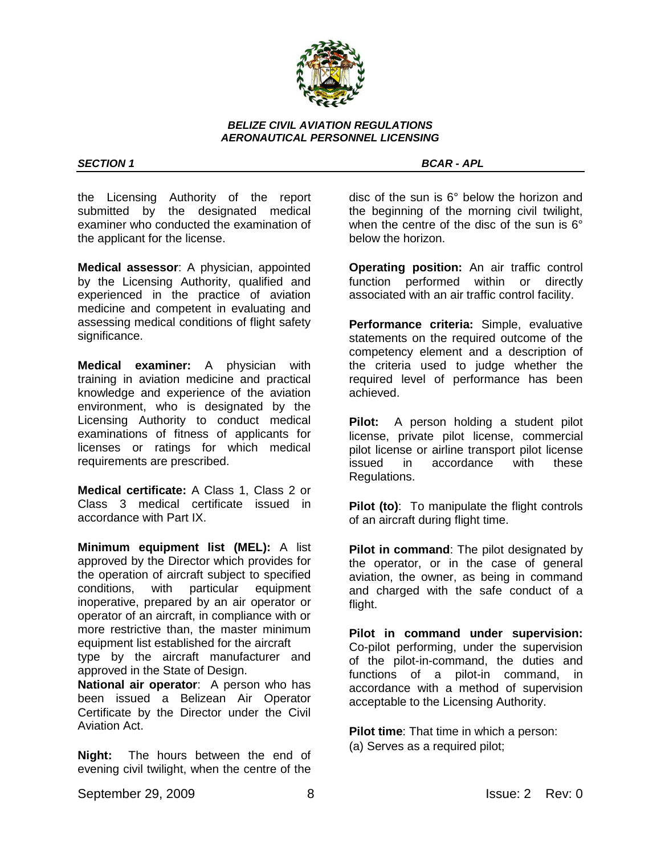

the Licensing Authority of the report submitted by the designated medical examiner who conducted the examination of the applicant for the license.

**Medical assessor**: A physician, appointed by the Licensing Authority, qualified and experienced in the practice of aviation medicine and competent in evaluating and assessing medical conditions of flight safety significance.

**Medical examiner:** A physician with training in aviation medicine and practical knowledge and experience of the aviation environment, who is designated by the Licensing Authority to conduct medical examinations of fitness of applicants for licenses or ratings for which medical requirements are prescribed.

**Medical certificate:** A Class 1, Class 2 or Class 3 medical certificate issued in accordance with Part IX.

**Minimum equipment list (MEL):** A list approved by the Director which provides for the operation of aircraft subject to specified conditions, with particular equipment inoperative, prepared by an air operator or operator of an aircraft, in compliance with or more restrictive than, the master minimum equipment list established for the aircraft

type by the aircraft manufacturer and approved in the State of Design.

**National air operator**: A person who has been issued a Belizean Air Operator Certificate by the Director under the Civil Aviation Act.

**Night:** The hours between the end of evening civil twilight, when the centre of the

*SECTION 1 BCAR - APL* 

disc of the sun is 6° below the horizon and the beginning of the morning civil twilight, when the centre of the disc of the sun is 6° below the horizon.

**Operating position:** An air traffic control function performed within or directly associated with an air traffic control facility.

**Performance criteria:** Simple, evaluative statements on the required outcome of the competency element and a description of the criteria used to judge whether the required level of performance has been achieved.

**Pilot:** A person holding a student pilot license, private pilot license, commercial pilot license or airline transport pilot license issued in accordance with these Regulations.

**Pilot (to)**: To manipulate the flight controls of an aircraft during flight time.

**Pilot in command**: The pilot designated by the operator, or in the case of general aviation, the owner, as being in command and charged with the safe conduct of a flight.

**Pilot in command under supervision:** Co-pilot performing, under the supervision of the pilot-in-command, the duties and functions of a pilot-in command, in accordance with a method of supervision acceptable to the Licensing Authority.

**Pilot time**: That time in which a person: (a) Serves as a required pilot;

September 29, 2009 **8 8 19, 2009 8 19, 2009 8 19, 2009 8**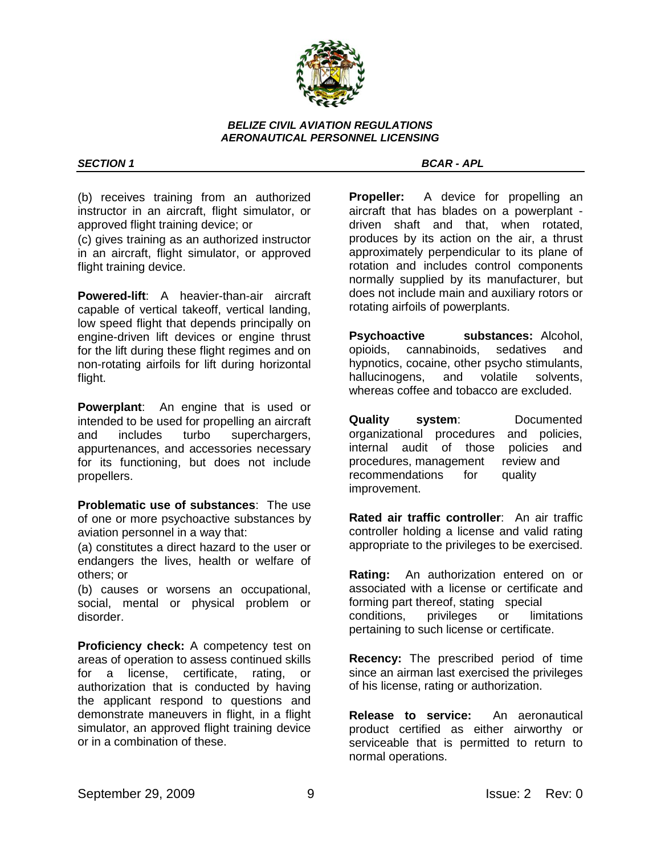

(b) receives training from an authorized instructor in an aircraft, flight simulator, or approved flight training device; or

(c) gives training as an authorized instructor in an aircraft, flight simulator, or approved flight training device.

**Powered-lift**: A heavier-than-air aircraft capable of vertical takeoff, vertical landing, low speed flight that depends principally on engine-driven lift devices or engine thrust for the lift during these flight regimes and on non-rotating airfoils for lift during horizontal flight.

**Powerplant**: An engine that is used or intended to be used for propelling an aircraft and includes turbo superchargers, appurtenances, and accessories necessary for its functioning, but does not include propellers.

**Problematic use of substances**: The use of one or more psychoactive substances by aviation personnel in a way that:

(a) constitutes a direct hazard to the user or endangers the lives, health or welfare of others; or

(b) causes or worsens an occupational, social, mental or physical problem or disorder.

**Proficiency check:** A competency test on areas of operation to assess continued skills for a license, certificate, rating, or authorization that is conducted by having the applicant respond to questions and demonstrate maneuvers in flight, in a flight simulator, an approved flight training device or in a combination of these.

## *SECTION 1 BCAR - APL*

**Propeller:** A device for propelling an aircraft that has blades on a powerplant driven shaft and that, when rotated, produces by its action on the air, a thrust approximately perpendicular to its plane of rotation and includes control components normally supplied by its manufacturer, but does not include main and auxiliary rotors or rotating airfoils of powerplants.

**Psychoactive substances:** Alcohol, opioids, cannabinoids, sedatives and hypnotics, cocaine, other psycho stimulants, hallucinogens, and volatile solvents, whereas coffee and tobacco are excluded.

**Quality system**: Documented organizational procedures and policies, internal audit of those policies and procedures, management review and recommendations for quality improvement.

**Rated air traffic controller**: An air traffic controller holding a license and valid rating appropriate to the privileges to be exercised.

**Rating:** An authorization entered on or associated with a license or certificate and forming part thereof, stating special conditions, privileges or limitations pertaining to such license or certificate.

**Recency:** The prescribed period of time since an airman last exercised the privileges of his license, rating or authorization.

**Release to service:** An aeronautical product certified as either airworthy or serviceable that is permitted to return to normal operations.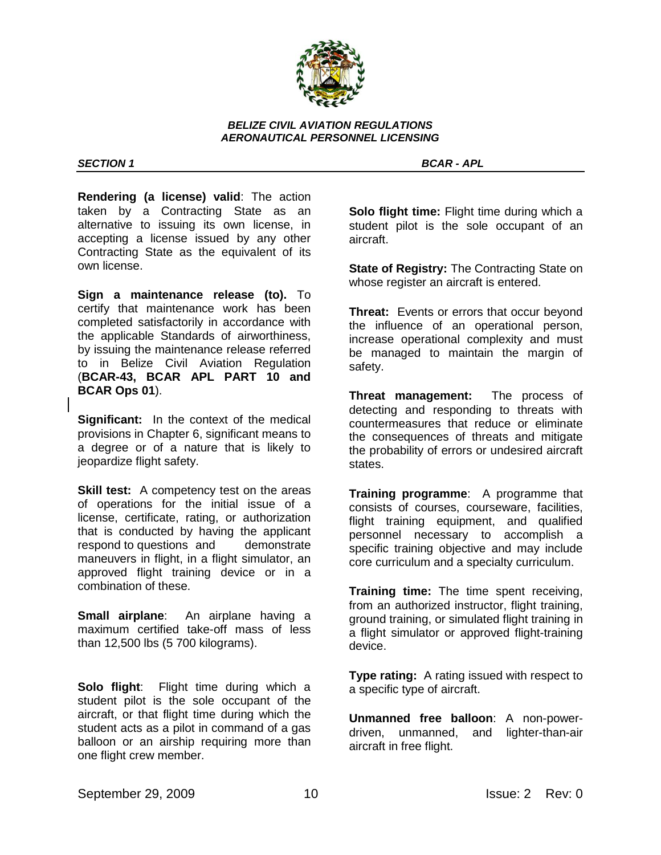

*SECTION 1 BCAR - APL* 

**Rendering (a license) valid**: The action taken by a Contracting State as an alternative to issuing its own license, in accepting a license issued by any other Contracting State as the equivalent of its own license.

**Sign a maintenance release (to).** To certify that maintenance work has been completed satisfactorily in accordance with the applicable Standards of airworthiness, by issuing the maintenance release referred to in Belize Civil Aviation Regulation (**BCAR-43, BCAR APL PART 10 and BCAR Ops 01**).

**Significant:** In the context of the medical provisions in Chapter 6, significant means to a degree or of a nature that is likely to jeopardize flight safety.

**Skill test:** A competency test on the areas of operations for the initial issue of a license, certificate, rating, or authorization that is conducted by having the applicant respond to questions and demonstrate maneuvers in flight, in a flight simulator, an approved flight training device or in a combination of these.

**Small airplane**: An airplane having a maximum certified take-off mass of less than 12,500 lbs (5 700 kilograms).

**Solo flight**: Flight time during which a student pilot is the sole occupant of the aircraft, or that flight time during which the student acts as a pilot in command of a gas balloon or an airship requiring more than one flight crew member.

**Solo flight time:** Flight time during which a student pilot is the sole occupant of an aircraft.

**State of Registry: The Contracting State on** whose register an aircraft is entered.

**Threat:** Events or errors that occur beyond the influence of an operational person, increase operational complexity and must be managed to maintain the margin of safety.

**Threat management:** The process of detecting and responding to threats with countermeasures that reduce or eliminate the consequences of threats and mitigate the probability of errors or undesired aircraft states.

**Training programme**: A programme that consists of courses, courseware, facilities, flight training equipment, and qualified personnel necessary to accomplish a specific training objective and may include core curriculum and a specialty curriculum.

**Training time:** The time spent receiving, from an authorized instructor, flight training, ground training, or simulated flight training in a flight simulator or approved flight-training device.

**Type rating:** A rating issued with respect to a specific type of aircraft.

**Unmanned free balloon**: A non-powerdriven, unmanned, and lighter-than-air aircraft in free flight.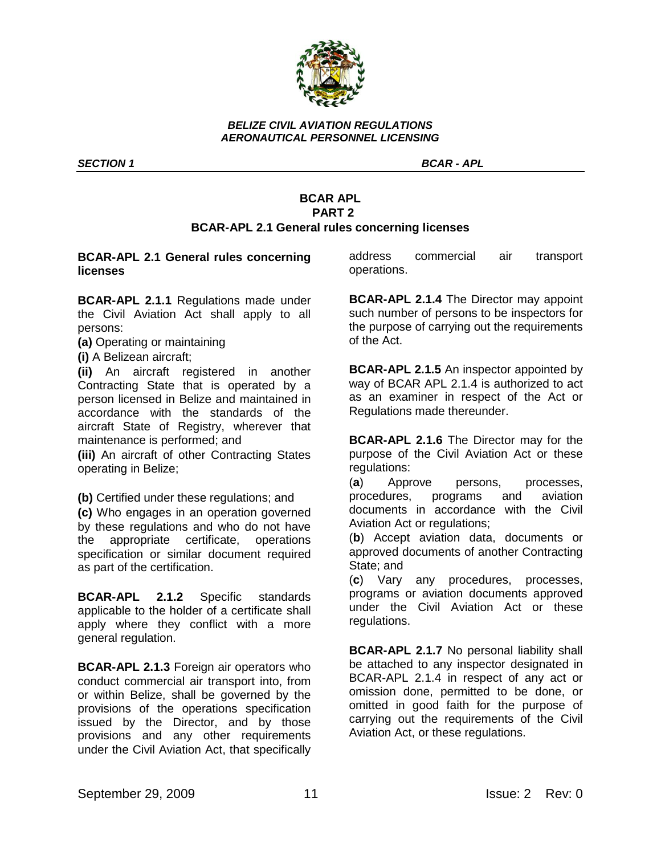

*SECTION 1 BCAR - APL* 

## **BCAR APL PART 2 BCAR-APL 2.1 General rules concerning licenses**

## **BCAR-APL 2.1 General rules concerning licenses**

**BCAR-APL 2.1.1** Regulations made under the Civil Aviation Act shall apply to all persons:

**(a)** Operating or maintaining

**(i)** A Belizean aircraft;

**(ii)** An aircraft registered in another Contracting State that is operated by a person licensed in Belize and maintained in accordance with the standards of the aircraft State of Registry, wherever that maintenance is performed; and

**(iii)** An aircraft of other Contracting States operating in Belize;

**(b)** Certified under these regulations; and

**(c)** Who engages in an operation governed by these regulations and who do not have the appropriate certificate, operations specification or similar document required as part of the certification.

**BCAR-APL 2.1.2** Specific standards applicable to the holder of a certificate shall apply where they conflict with a more general regulation.

**BCAR-APL 2.1.3** Foreign air operators who conduct commercial air transport into, from or within Belize, shall be governed by the provisions of the operations specification issued by the Director, and by those provisions and any other requirements under the Civil Aviation Act, that specifically

address commercial air transport operations.

**BCAR-APL 2.1.4** The Director may appoint such number of persons to be inspectors for the purpose of carrying out the requirements of the Act.

**BCAR-APL 2.1.5** An inspector appointed by way of BCAR APL 2.1.4 is authorized to act as an examiner in respect of the Act or Regulations made thereunder.

**BCAR-APL 2.1.6** The Director may for the purpose of the Civil Aviation Act or these regulations:

(**a**) Approve persons, processes, procedures, programs and aviation documents in accordance with the Civil Aviation Act or regulations;

(**b**) Accept aviation data, documents or approved documents of another Contracting State; and

(**c**) Vary any procedures, processes, programs or aviation documents approved under the Civil Aviation Act or these regulations.

**BCAR-APL 2.1.7** No personal liability shall be attached to any inspector designated in BCAR-APL 2.1.4 in respect of any act or omission done, permitted to be done, or omitted in good faith for the purpose of carrying out the requirements of the Civil Aviation Act, or these regulations.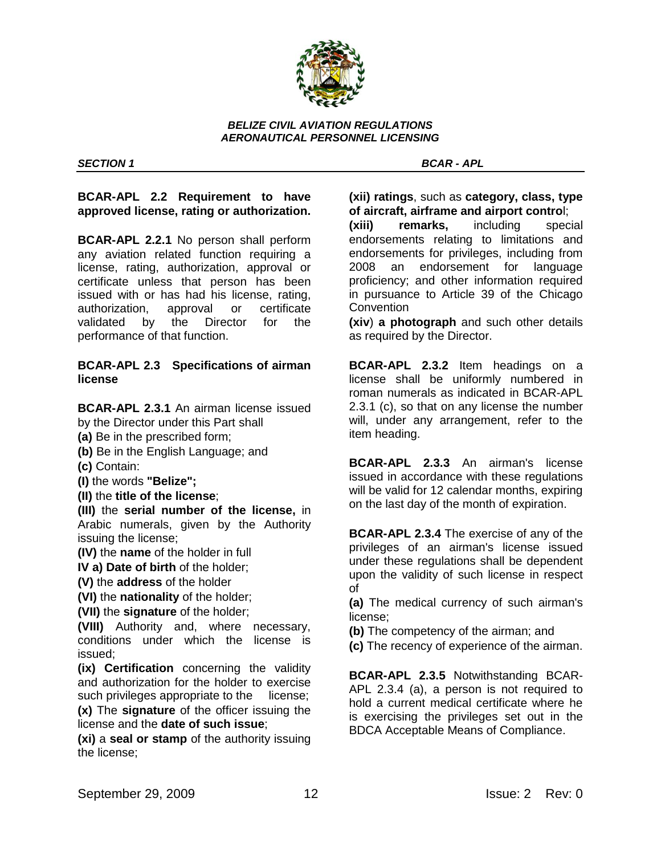

*SECTION 1 BCAR - APL* 

## **BCAR-APL 2.2 Requirement to have approved license, rating or authorization.**

**BCAR-APL 2.2.1** No person shall perform any aviation related function requiring a license, rating, authorization, approval or certificate unless that person has been issued with or has had his license, rating, authorization, approval or certificate validated by the Director for the performance of that function.

## **BCAR-APL 2.3 Specifications of airman license**

**BCAR-APL 2.3.1** An airman license issued by the Director under this Part shall

**(a)** Be in the prescribed form;

- **(b)** Be in the English Language; and
- **(c)** Contain:

**(I)** the words **"Belize";**

**(II)** the **title of the license**;

**(III)** the **serial number of the license,** in Arabic numerals, given by the Authority issuing the license;

**(IV)** the **name** of the holder in full

**IV a) Date of birth** of the holder;

**(V)** the **address** of the holder

**(VI)** the **nationality** of the holder;

**(VII)** the **signature** of the holder;

**(VIII)** Authority and, where necessary, conditions under which the license is issued;

**(ix) Certification** concerning the validity and authorization for the holder to exercise such privileges appropriate to the license;

**(x)** The **signature** of the officer issuing the license and the **date of such issue**;

**(xi)** a **seal or stamp** of the authority issuing the license;

**(xii) ratings**, such as **category, class, type of aircraft, airframe and airport contro**l;

**(xiii) remarks,** including special endorsements relating to limitations and endorsements for privileges, including from 2008 an endorsement for language proficiency; and other information required in pursuance to Article 39 of the Chicago **Convention** 

**(xiv**) **a photograph** and such other details as required by the Director.

**BCAR-APL 2.3.2** Item headings on a license shall be uniformly numbered in roman numerals as indicated in BCAR-APL 2.3.1 (c), so that on any license the number will, under any arrangement, refer to the item heading.

**BCAR-APL 2.3.3** An airman's license issued in accordance with these regulations will be valid for 12 calendar months, expiring on the last day of the month of expiration.

**BCAR-APL 2.3.4** The exercise of any of the privileges of an airman's license issued under these regulations shall be dependent upon the validity of such license in respect of

**(a)** The medical currency of such airman's license;

**(b)** The competency of the airman; and

**(c)** The recency of experience of the airman.

**BCAR-APL 2.3.5** Notwithstanding BCAR-APL 2.3.4 (a), a person is not required to hold a current medical certificate where he is exercising the privileges set out in the BDCA Acceptable Means of Compliance.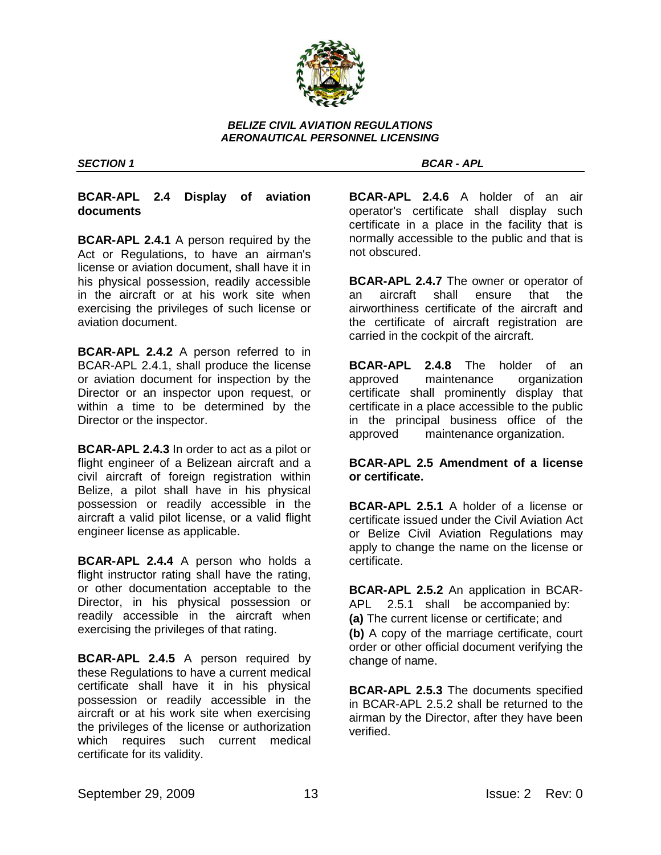

*SECTION 1 BCAR - APL* 

## **BCAR-APL 2.4 Display of aviation documents**

**BCAR-APL 2.4.1** A person required by the Act or Regulations, to have an airman's license or aviation document, shall have it in his physical possession, readily accessible in the aircraft or at his work site when exercising the privileges of such license or aviation document.

**BCAR-APL 2.4.2** A person referred to in BCAR-APL 2.4.1, shall produce the license or aviation document for inspection by the Director or an inspector upon request, or within a time to be determined by the Director or the inspector.

**BCAR-APL 2.4.3** In order to act as a pilot or flight engineer of a Belizean aircraft and a civil aircraft of foreign registration within Belize, a pilot shall have in his physical possession or readily accessible in the aircraft a valid pilot license, or a valid flight engineer license as applicable.

**BCAR-APL 2.4.4** A person who holds a flight instructor rating shall have the rating, or other documentation acceptable to the Director, in his physical possession or readily accessible in the aircraft when exercising the privileges of that rating.

**BCAR-APL 2.4.5** A person required by these Regulations to have a current medical certificate shall have it in his physical possession or readily accessible in the aircraft or at his work site when exercising the privileges of the license or authorization which requires such current medical certificate for its validity.

**BCAR-APL 2.4.6** A holder of an air operator's certificate shall display such certificate in a place in the facility that is normally accessible to the public and that is not obscured.

**BCAR-APL 2.4.7** The owner or operator of an aircraft shall ensure that the airworthiness certificate of the aircraft and the certificate of aircraft registration are carried in the cockpit of the aircraft.

**BCAR-APL 2.4.8** The holder of an approved maintenance organization certificate shall prominently display that certificate in a place accessible to the public in the principal business office of the approved maintenance organization.

# **BCAR-APL 2.5 Amendment of a license or certificate.**

**BCAR-APL 2.5.1** A holder of a license or certificate issued under the Civil Aviation Act or Belize Civil Aviation Regulations may apply to change the name on the license or certificate.

**BCAR-APL 2.5.2** An application in BCAR-APL 2.5.1 shall be accompanied by: **(a)** The current license or certificate; and **(b)** A copy of the marriage certificate, court order or other official document verifying the change of name.

**BCAR-APL 2.5.3** The documents specified in BCAR-APL 2.5.2 shall be returned to the airman by the Director, after they have been verified.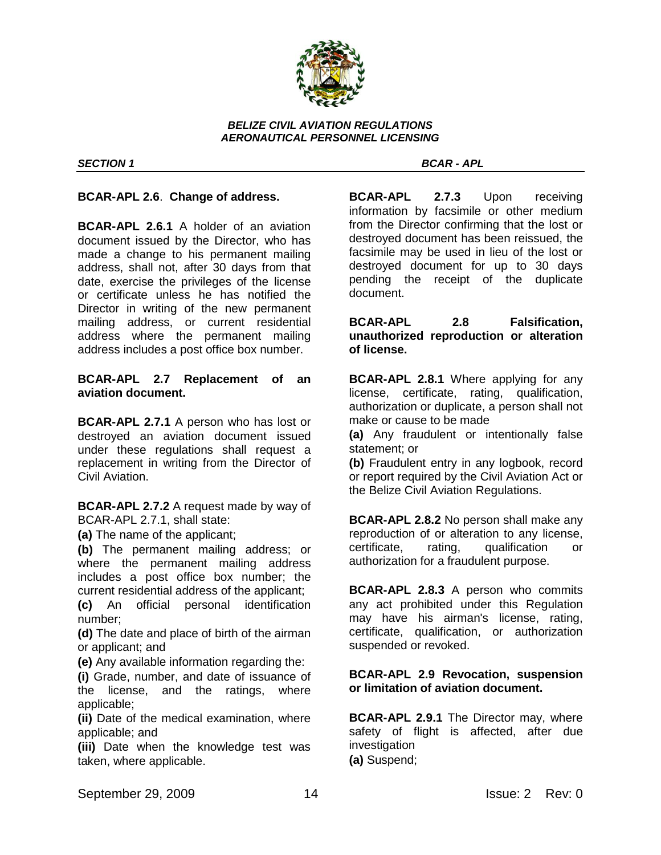

## *SECTION 1 BCAR - APL*

# **BCAR-APL 2.6**. **Change of address.**

**BCAR-APL 2.6.1** A holder of an aviation document issued by the Director, who has made a change to his permanent mailing address, shall not, after 30 days from that date, exercise the privileges of the license or certificate unless he has notified the Director in writing of the new permanent mailing address, or current residential address where the permanent mailing address includes a post office box number.

# **BCAR-APL 2.7 Replacement of an aviation document.**

**BCAR-APL 2.7.1** A person who has lost or destroyed an aviation document issued under these regulations shall request a replacement in writing from the Director of Civil Aviation.

**BCAR-APL 2.7.2** A request made by way of BCAR-APL 2.7.1, shall state:

**(a)** The name of the applicant;

**(b)** The permanent mailing address; or where the permanent mailing address includes a post office box number; the current residential address of the applicant;

**(c)** An official personal identification number;

**(d)** The date and place of birth of the airman or applicant; and

**(e)** Any available information regarding the:

**(i)** Grade, number, and date of issuance of the license, and the ratings, where applicable;

**(ii)** Date of the medical examination, where applicable; and

**(iii)** Date when the knowledge test was taken, where applicable.

**BCAR-APL 2.7.3** Upon receiving information by facsimile or other medium from the Director confirming that the lost or destroyed document has been reissued, the facsimile may be used in lieu of the lost or destroyed document for up to 30 days pending the receipt of the duplicate document.

**BCAR-APL 2.8 Falsification, unauthorized reproduction or alteration of license.**

**BCAR-APL 2.8.1** Where applying for any license, certificate, rating, qualification, authorization or duplicate, a person shall not make or cause to be made

**(a)** Any fraudulent or intentionally false statement; or

**(b)** Fraudulent entry in any logbook, record or report required by the Civil Aviation Act or the Belize Civil Aviation Regulations.

**BCAR-APL 2.8.2** No person shall make any reproduction of or alteration to any license, certificate, rating, qualification or authorization for a fraudulent purpose.

**BCAR-APL 2.8.3** A person who commits any act prohibited under this Regulation may have his airman's license, rating, certificate, qualification, or authorization suspended or revoked.

# **BCAR-APL 2.9 Revocation, suspension or limitation of aviation document.**

**BCAR-APL 2.9.1** The Director may, where safety of flight is affected, after due investigation **(a)** Suspend;

September 29, 2009 14 14 Issue: 2 Rev: 0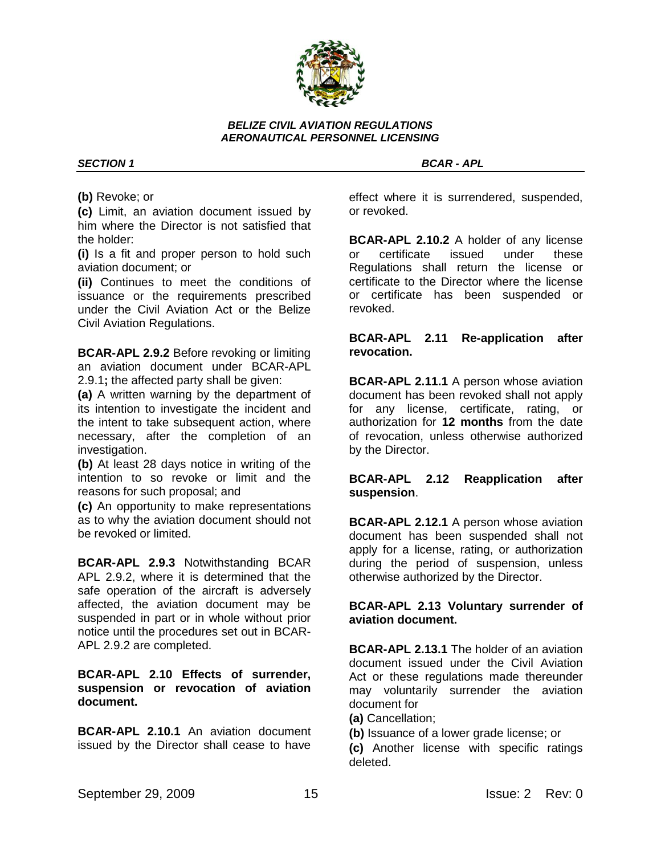

**(b)** Revoke; or

**(c)** Limit, an aviation document issued by him where the Director is not satisfied that the holder:

**(i)** Is a fit and proper person to hold such aviation document; or

**(ii)** Continues to meet the conditions of issuance or the requirements prescribed under the Civil Aviation Act or the Belize Civil Aviation Regulations.

**BCAR-APL 2.9.2** Before revoking or limiting an aviation document under BCAR-APL 2.9.1**;** the affected party shall be given:

**(a)** A written warning by the department of its intention to investigate the incident and the intent to take subsequent action, where necessary, after the completion of an investigation.

**(b)** At least 28 days notice in writing of the intention to so revoke or limit and the reasons for such proposal; and

**(c)** An opportunity to make representations as to why the aviation document should not be revoked or limited.

**BCAR-APL 2.9.3** Notwithstanding BCAR APL 2.9.2, where it is determined that the safe operation of the aircraft is adversely affected, the aviation document may be suspended in part or in whole without prior notice until the procedures set out in BCAR-APL 2.9.2 are completed.

# **BCAR-APL 2.10 Effects of surrender, suspension or revocation of aviation document.**

**BCAR-APL 2.10.1** An aviation document issued by the Director shall cease to have

effect where it is surrendered, suspended, or revoked.

**BCAR-APL 2.10.2** A holder of any license or certificate issued under these Regulations shall return the license or certificate to the Director where the license or certificate has been suspended or revoked.

**BCAR-APL 2.11 Re-application after revocation.**

**BCAR-APL 2.11.1** A person whose aviation document has been revoked shall not apply for any license, certificate, rating, or authorization for **12 months** from the date of revocation, unless otherwise authorized by the Director.

## **BCAR-APL 2.12 Reapplication after suspension**.

**BCAR-APL 2.12.1** A person whose aviation document has been suspended shall not apply for a license, rating, or authorization during the period of suspension, unless otherwise authorized by the Director.

## **BCAR-APL 2.13 Voluntary surrender of aviation document.**

**BCAR-APL 2.13.1** The holder of an aviation document issued under the Civil Aviation Act or these regulations made thereunder may voluntarily surrender the aviation document for

**(a)** Cancellation;

**(b)** Issuance of a lower grade license; or

**(c)** Another license with specific ratings deleted.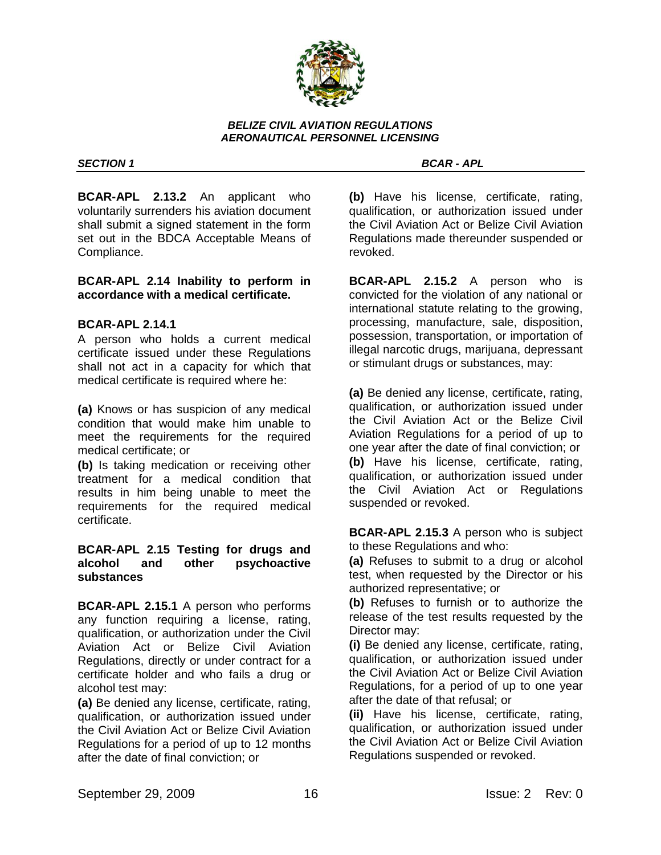

**BCAR-APL 2.13.2** An applicant who voluntarily surrenders his aviation document shall submit a signed statement in the form set out in the BDCA Acceptable Means of Compliance.

## **BCAR-APL 2.14 Inability to perform in accordance with a medical certificate.**

## **BCAR-APL 2.14.1**

A person who holds a current medical certificate issued under these Regulations shall not act in a capacity for which that medical certificate is required where he:

**(a)** Knows or has suspicion of any medical condition that would make him unable to meet the requirements for the required medical certificate; or

**(b)** Is taking medication or receiving other treatment for a medical condition that results in him being unable to meet the requirements for the required medical certificate.

## **BCAR-APL 2.15 Testing for drugs and alcohol and other psychoactive substances**

**BCAR-APL 2.15.1** A person who performs any function requiring a license, rating, qualification, or authorization under the Civil Aviation Act or Belize Civil Aviation Regulations, directly or under contract for a certificate holder and who fails a drug or alcohol test may:

**(a)** Be denied any license, certificate, rating, qualification, or authorization issued under the Civil Aviation Act or Belize Civil Aviation Regulations for a period of up to 12 months after the date of final conviction; or

## *SECTION 1 BCAR - APL*

**(b)** Have his license, certificate, rating, qualification, or authorization issued under the Civil Aviation Act or Belize Civil Aviation Regulations made thereunder suspended or revoked.

**BCAR-APL 2.15.2** A person who is convicted for the violation of any national or international statute relating to the growing, processing, manufacture, sale, disposition, possession, transportation, or importation of illegal narcotic drugs, marijuana, depressant or stimulant drugs or substances, may:

**(a)** Be denied any license, certificate, rating, qualification, or authorization issued under the Civil Aviation Act or the Belize Civil Aviation Regulations for a period of up to one year after the date of final conviction; or **(b)** Have his license, certificate, rating, qualification, or authorization issued under the Civil Aviation Act or Regulations suspended or revoked.

**BCAR-APL 2.15.3** A person who is subject to these Regulations and who:

**(a)** Refuses to submit to a drug or alcohol test, when requested by the Director or his authorized representative; or

**(b)** Refuses to furnish or to authorize the release of the test results requested by the Director may:

**(i)** Be denied any license, certificate, rating, qualification, or authorization issued under the Civil Aviation Act or Belize Civil Aviation Regulations, for a period of up to one year after the date of that refusal; or

**(ii)** Have his license, certificate, rating, qualification, or authorization issued under the Civil Aviation Act or Belize Civil Aviation Regulations suspended or revoked.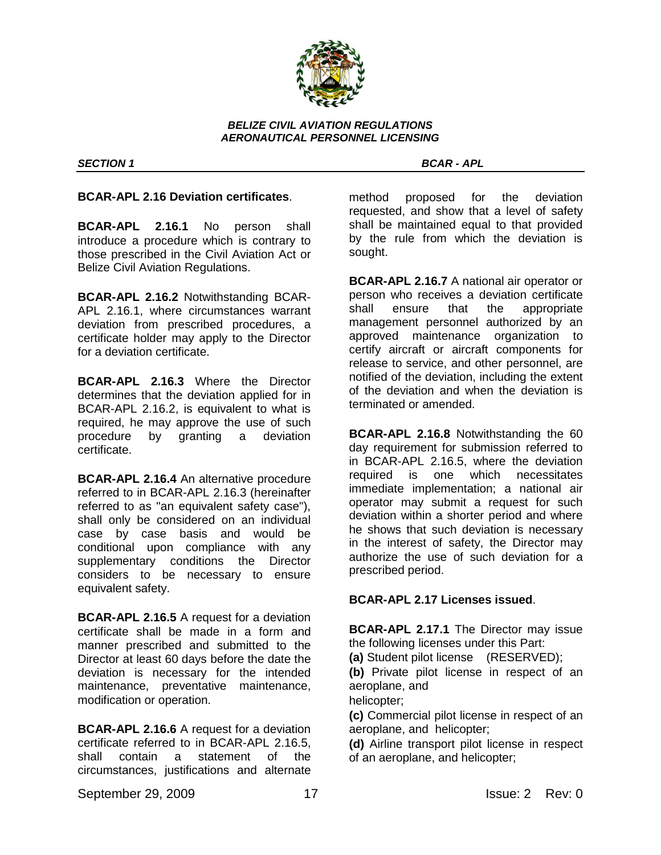

# **BCAR-APL 2.16 Deviation certificates**.

**BCAR-APL 2.16.1** No person shall introduce a procedure which is contrary to those prescribed in the Civil Aviation Act or Belize Civil Aviation Regulations.

**BCAR-APL 2.16.2** Notwithstanding BCAR-APL 2.16.1, where circumstances warrant deviation from prescribed procedures, a certificate holder may apply to the Director for a deviation certificate.

**BCAR-APL 2.16.3** Where the Director determines that the deviation applied for in BCAR-APL 2.16.2, is equivalent to what is required, he may approve the use of such procedure by granting a deviation certificate.

**BCAR-APL 2.16.4** An alternative procedure referred to in BCAR-APL 2.16.3 (hereinafter referred to as "an equivalent safety case"), shall only be considered on an individual case by case basis and would be conditional upon compliance with any supplementary conditions the Director considers to be necessary to ensure equivalent safety.

**BCAR-APL 2.16.5** A request for a deviation certificate shall be made in a form and manner prescribed and submitted to the Director at least 60 days before the date the deviation is necessary for the intended maintenance, preventative maintenance, modification or operation.

**BCAR-APL 2.16.6** A request for a deviation certificate referred to in BCAR-APL 2.16.5, shall contain a statement of the circumstances, justifications and alternate

*SECTION 1 BCAR - APL* 

method proposed for the deviation requested, and show that a level of safety shall be maintained equal to that provided by the rule from which the deviation is sought.

**BCAR-APL 2.16.7** A national air operator or person who receives a deviation certificate shall ensure that the appropriate management personnel authorized by an approved maintenance organization to certify aircraft or aircraft components for release to service, and other personnel, are notified of the deviation, including the extent of the deviation and when the deviation is terminated or amended.

**BCAR-APL 2.16.8** Notwithstanding the 60 day requirement for submission referred to in BCAR-APL 2.16.5, where the deviation required is one which necessitates immediate implementation; a national air operator may submit a request for such deviation within a shorter period and where he shows that such deviation is necessary in the interest of safety, the Director may authorize the use of such deviation for a prescribed period.

# **BCAR-APL 2.17 Licenses issued**.

**BCAR-APL 2.17.1** The Director may issue the following licenses under this Part:

**(a)** Student pilot license (RESERVED);

**(b)** Private pilot license in respect of an aeroplane, and

helicopter;

**(c)** Commercial pilot license in respect of an aeroplane, and helicopter;

**(d)** Airline transport pilot license in respect of an aeroplane, and helicopter;

September 29, 2009 17 17 17 Issue: 2 Rev: 0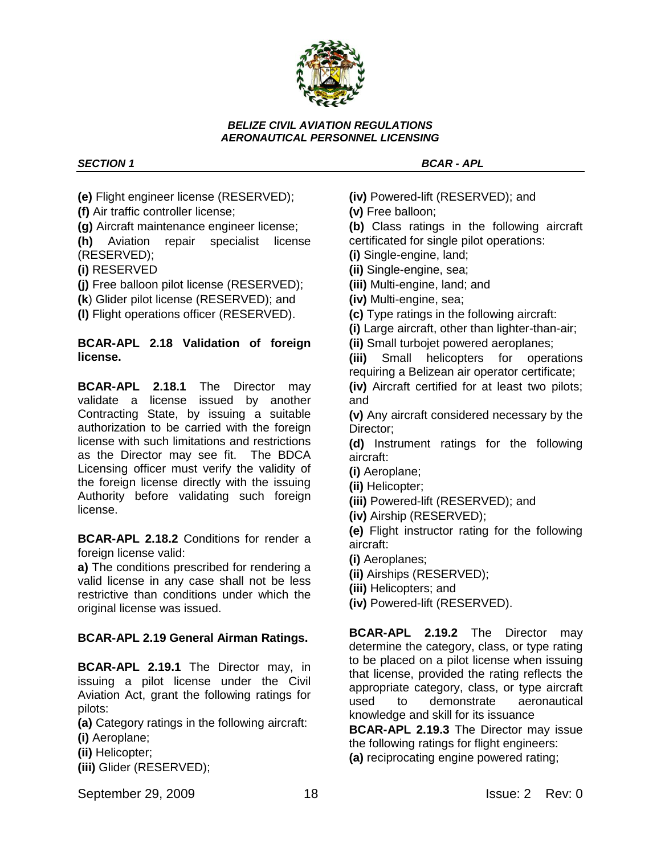

*SECTION 1 BCAR - APL* 

**(e)** Flight engineer license (RESERVED);

- **(f)** Air traffic controller license;
- **(g)** Aircraft maintenance engineer license;
- **(h)** Aviation repair specialist license (RESERVED);
- **(i)** RESERVED
- **(j)** Free balloon pilot license (RESERVED);
- **(k**) Glider pilot license (RESERVED); and
- **(l)** Flight operations officer (RESERVED).

# **BCAR-APL 2.18 Validation of foreign license.**

**BCAR-APL 2.18.1** The Director may validate a license issued by another Contracting State, by issuing a suitable authorization to be carried with the foreign license with such limitations and restrictions as the Director may see fit. The BDCA Licensing officer must verify the validity of the foreign license directly with the issuing Authority before validating such foreign license.

**BCAR-APL 2.18.2** Conditions for render a foreign license valid:

**a)** The conditions prescribed for rendering a valid license in any case shall not be less restrictive than conditions under which the original license was issued.

# **BCAR-APL 2.19 General Airman Ratings.**

**BCAR-APL 2.19.1** The Director may, in issuing a pilot license under the Civil Aviation Act, grant the following ratings for pilots:

**(a)** Category ratings in the following aircraft:

- **(i)** Aeroplane;
- **(ii)** Helicopter;

**(iii)** Glider (RESERVED);

**(iv)** Powered-lift (RESERVED); and

**(v)** Free balloon;

**(b)** Class ratings in the following aircraft certificated for single pilot operations:

**(i)** Single-engine, land;

**(ii)** Single-engine, sea;

**(iii)** Multi-engine, land; and

**(iv)** Multi-engine, sea;

**(c)** Type ratings in the following aircraft:

**(i)** Large aircraft, other than lighter-than-air;

**(ii)** Small turbojet powered aeroplanes;

**(iii)** Small helicopters for operations requiring a Belizean air operator certificate;

**(iv)** Aircraft certified for at least two pilots; and

**(v)** Any aircraft considered necessary by the Director;

**(d)** Instrument ratings for the following aircraft:

**(i)** Aeroplane;

**(ii)** Helicopter;

**(iii)** Powered-lift (RESERVED); and

**(iv)** Airship (RESERVED);

**(e)** Flight instructor rating for the following aircraft:

**(i)** Aeroplanes;

**(ii)** Airships (RESERVED);

**(iii)** Helicopters; and

**(iv)** Powered-lift (RESERVED).

**BCAR-APL 2.19.2** The Director may determine the category, class, or type rating to be placed on a pilot license when issuing that license, provided the rating reflects the appropriate category, class, or type aircraft used to demonstrate aeronautical knowledge and skill for its issuance

**BCAR-APL 2.19.3** The Director may issue the following ratings for flight engineers:

**(a)** reciprocating engine powered rating;

September 29, 2009 18 18 18 Issue: 2 Rev: 0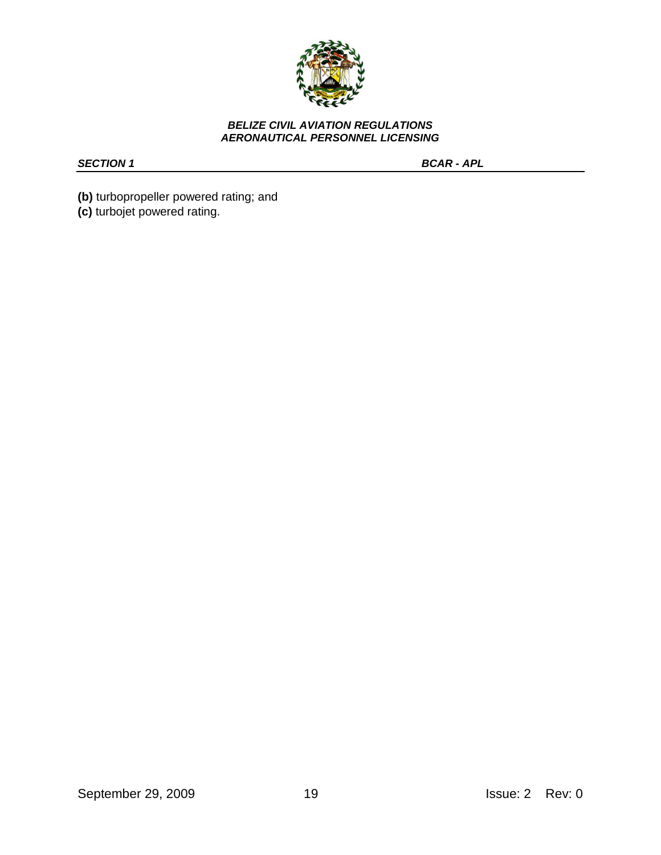

*SECTION 1 BCAR - APL* 

**(b)** turbopropeller powered rating; and

**(c)** turbojet powered rating.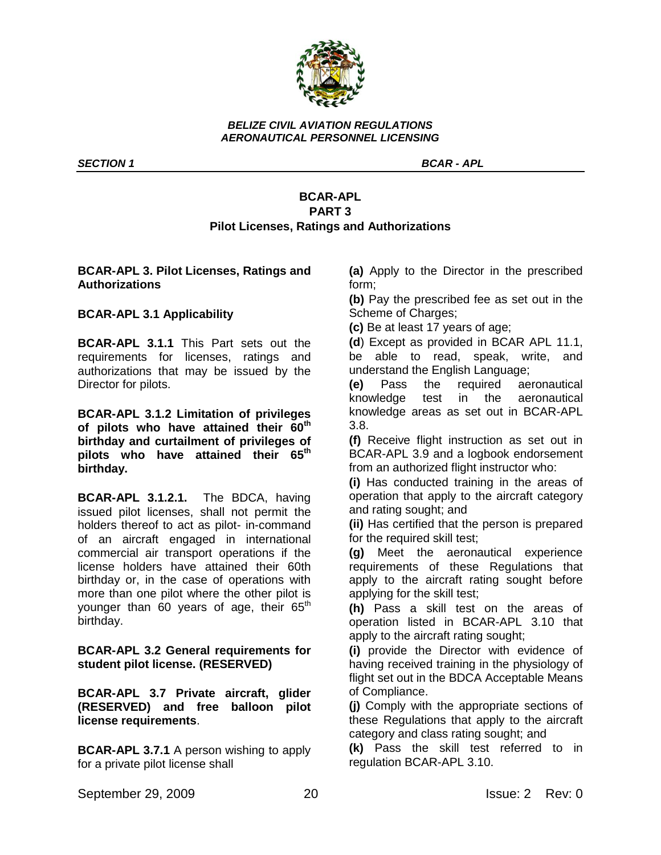

*SECTION 1 BCAR - APL* 

# **BCAR-APL PART 3 Pilot Licenses, Ratings and Authorizations**

# **BCAR-APL 3. Pilot Licenses, Ratings and Authorizations**

**BCAR-APL 3.1 Applicability**

**BCAR-APL 3.1.1** This Part sets out the requirements for licenses, ratings and authorizations that may be issued by the Director for pilots.

**BCAR-APL 3.1.2 Limitation of privileges of pilots who have attained their 60th birthday and curtailment of privileges of pilots who have attained their 65th birthday.**

**BCAR-APL 3.1.2.1.** The BDCA, having issued pilot licenses, shall not permit the holders thereof to act as pilot- in-command of an aircraft engaged in international commercial air transport operations if the license holders have attained their 60th birthday or, in the case of operations with more than one pilot where the other pilot is younger than 60 years of age, their  $65<sup>th</sup>$ birthday.

**BCAR-APL 3.2 General requirements for student pilot license. (RESERVED)**

**BCAR-APL 3.7 Private aircraft, glider (RESERVED) and free balloon pilot license requirements**.

**BCAR-APL 3.7.1** A person wishing to apply for a private pilot license shall

**(a)** Apply to the Director in the prescribed form;

**(b)** Pay the prescribed fee as set out in the Scheme of Charges;

**(c)** Be at least 17 years of age;

**(d**) Except as provided in BCAR APL 11.1, be able to read, speak, write, and understand the English Language;

**(e)** Pass the required aeronautical knowledge test in the aeronautical knowledge areas as set out in BCAR-APL 3.8.

**(f)** Receive flight instruction as set out in BCAR-APL 3.9 and a logbook endorsement from an authorized flight instructor who:

**(i)** Has conducted training in the areas of operation that apply to the aircraft category and rating sought; and

**(ii)** Has certified that the person is prepared for the required skill test;

**(g)** Meet the aeronautical experience requirements of these Regulations that apply to the aircraft rating sought before applying for the skill test;

**(h)** Pass a skill test on the areas of operation listed in BCAR-APL 3.10 that apply to the aircraft rating sought;

**(i)** provide the Director with evidence of having received training in the physiology of flight set out in the BDCA Acceptable Means of Compliance.

**(j)** Comply with the appropriate sections of these Regulations that apply to the aircraft category and class rating sought; and

**(k)** Pass the skill test referred to in regulation BCAR-APL 3.10.

September 29, 2009 20 20 Issue: 2 Rev: 0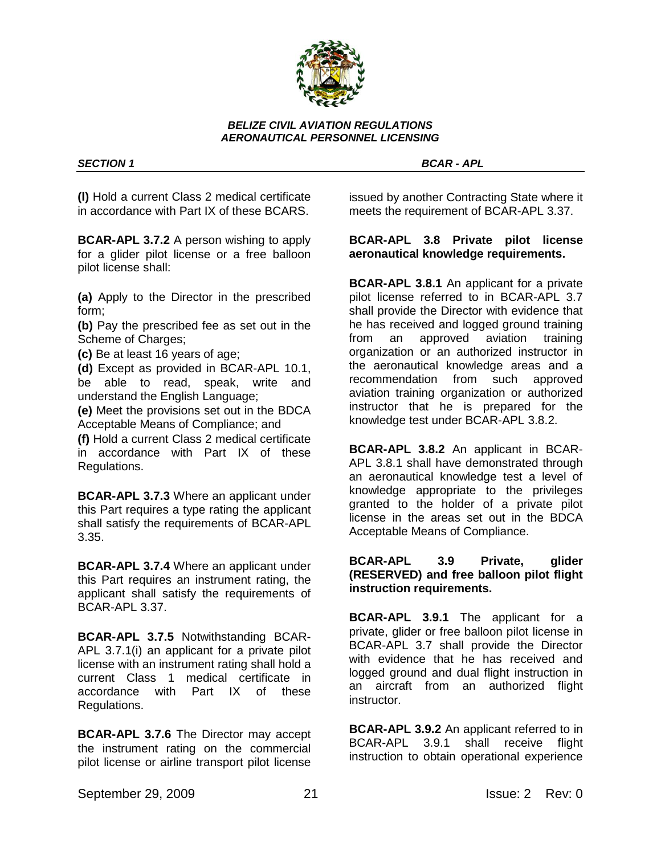

*SECTION 1 BCAR - APL* 

**(l)** Hold a current Class 2 medical certificate in accordance with Part IX of these BCARS.

**BCAR-APL 3.7.2** A person wishing to apply for a glider pilot license or a free balloon pilot license shall:

**(a)** Apply to the Director in the prescribed form;

**(b)** Pay the prescribed fee as set out in the Scheme of Charges;

**(c)** Be at least 16 years of age;

**(d)** Except as provided in BCAR-APL 10.1, be able to read, speak, write and understand the English Language;

**(e)** Meet the provisions set out in the BDCA Acceptable Means of Compliance; and

**(f)** Hold a current Class 2 medical certificate in accordance with Part IX of these Regulations.

**BCAR-APL 3.7.3** Where an applicant under this Part requires a type rating the applicant shall satisfy the requirements of BCAR-APL 3.35.

**BCAR-APL 3.7.4** Where an applicant under this Part requires an instrument rating, the applicant shall satisfy the requirements of BCAR-APL 3.37.

**BCAR-APL 3.7.5** Notwithstanding BCAR-APL 3.7.1(i) an applicant for a private pilot license with an instrument rating shall hold a current Class 1 medical certificate in accordance with Part IX of these Regulations.

**BCAR-APL 3.7.6** The Director may accept the instrument rating on the commercial pilot license or airline transport pilot license issued by another Contracting State where it meets the requirement of BCAR-APL 3.37.

## **BCAR-APL 3.8 Private pilot license aeronautical knowledge requirements.**

**BCAR-APL 3.8.1** An applicant for a private pilot license referred to in BCAR-APL 3.7 shall provide the Director with evidence that he has received and logged ground training from an approved aviation training organization or an authorized instructor in the aeronautical knowledge areas and a recommendation from such approved aviation training organization or authorized instructor that he is prepared for the knowledge test under BCAR-APL 3.8.2.

**BCAR-APL 3.8.2** An applicant in BCAR-APL 3.8.1 shall have demonstrated through an aeronautical knowledge test a level of knowledge appropriate to the privileges granted to the holder of a private pilot license in the areas set out in the BDCA Acceptable Means of Compliance.

## **BCAR-APL 3.9 Private, glider (RESERVED) and free balloon pilot flight instruction requirements.**

**BCAR-APL 3.9.1** The applicant for a private, glider or free balloon pilot license in BCAR-APL 3.7 shall provide the Director with evidence that he has received and logged ground and dual flight instruction in an aircraft from an authorized flight instructor.

**BCAR-APL 3.9.2** An applicant referred to in BCAR-APL 3.9.1 shall receive flight instruction to obtain operational experience

September 29, 2009 21 21 Issue: 2 Rev: 0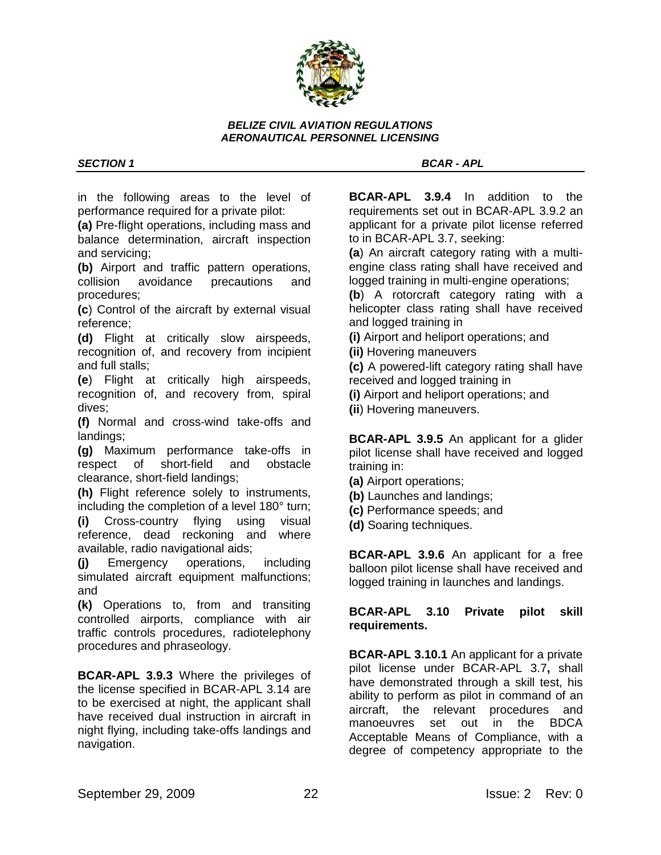

*SECTION 1 BCAR - APL* 

in the following areas to the level of performance required for a private pilot:

**(a)** Pre-flight operations, including mass and balance determination, aircraft inspection and servicing;

**(b)** Airport and traffic pattern operations, collision avoidance precautions and procedures;

**(c**) Control of the aircraft by external visual reference;

**(d)** Flight at critically slow airspeeds, recognition of, and recovery from incipient and full stalls;

**(e**) Flight at critically high airspeeds, recognition of, and recovery from, spiral dives;

**(f)** Normal and cross-wind take-offs and landings;

**(g)** Maximum performance take-offs in respect of short-field and obstacle clearance, short-field landings;

**(h)** Flight reference solely to instruments, including the completion of a level 180° turn;

**(i)** Cross-country flying using visual reference, dead reckoning and where available, radio navigational aids;

**(j)** Emergency operations, including simulated aircraft equipment malfunctions; and

**(k)** Operations to, from and transiting controlled airports, compliance with air traffic controls procedures, radiotelephony procedures and phraseology.

**BCAR-APL 3.9.3** Where the privileges of the license specified in BCAR-APL 3.14 are to be exercised at night, the applicant shall have received dual instruction in aircraft in night flying, including take-offs landings and navigation.

**BCAR-APL 3.9.4** In addition to the requirements set out in BCAR-APL 3.9.2 an applicant for a private pilot license referred to in BCAR-APL 3.7, seeking:

**(a**) An aircraft category rating with a multiengine class rating shall have received and logged training in multi-engine operations;

**(b**) A rotorcraft category rating with a helicopter class rating shall have received and logged training in

**(i)** Airport and heliport operations; and

**(ii)** Hovering maneuvers

**(c)** A powered-lift category rating shall have received and logged training in

**(i)** Airport and heliport operations; and

**(ii**) Hovering maneuvers.

**BCAR-APL 3.9.5** An applicant for a glider pilot license shall have received and logged training in:

**(a)** Airport operations;

- **(b)** Launches and landings;
- **(c)** Performance speeds; and
- **(d)** Soaring techniques.

**BCAR-APL 3.9.6** An applicant for a free balloon pilot license shall have received and logged training in launches and landings.

**BCAR-APL 3.10 Private pilot skill requirements.**

**BCAR-APL 3.10.1** An applicant for a private pilot license under BCAR-APL 3.7**,** shall have demonstrated through a skill test, his ability to perform as pilot in command of an aircraft, the relevant procedures and manoeuvres set out in the BDCA Acceptable Means of Compliance, with a degree of competency appropriate to the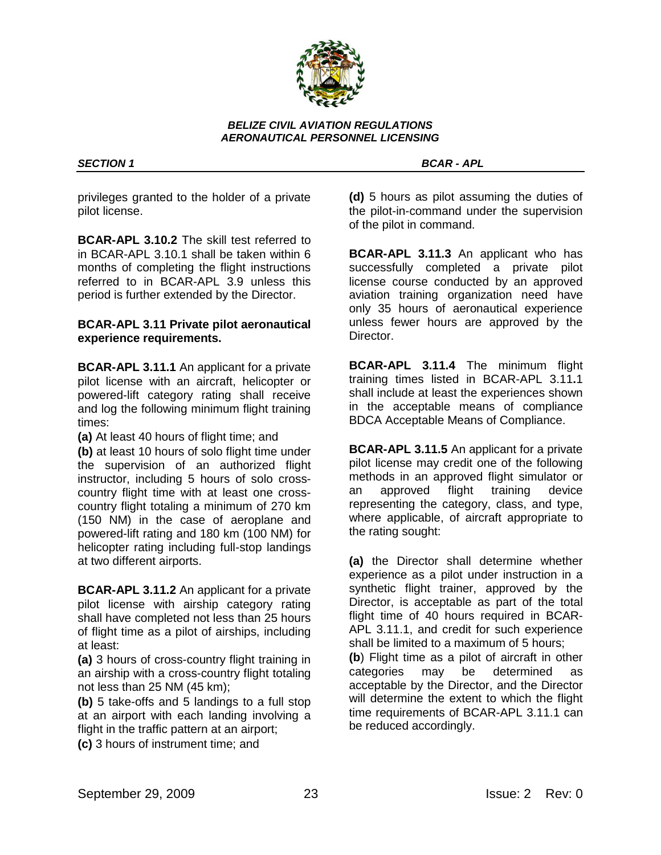

privileges granted to the holder of a private pilot license.

**BCAR-APL 3.10.2** The skill test referred to in BCAR-APL 3.10.1 shall be taken within 6 months of completing the flight instructions referred to in BCAR-APL 3.9 unless this period is further extended by the Director.

## **BCAR-APL 3.11 Private pilot aeronautical experience requirements.**

**BCAR-APL 3.11.1** An applicant for a private pilot license with an aircraft, helicopter or powered-lift category rating shall receive and log the following minimum flight training times:

**(a)** At least 40 hours of flight time; and

**(b)** at least 10 hours of solo flight time under the supervision of an authorized flight instructor, including 5 hours of solo crosscountry flight time with at least one crosscountry flight totaling a minimum of 270 km (150 NM) in the case of aeroplane and powered-lift rating and 180 km (100 NM) for helicopter rating including full-stop landings at two different airports.

**BCAR-APL 3.11.2** An applicant for a private pilot license with airship category rating shall have completed not less than 25 hours of flight time as a pilot of airships, including at least:

**(a)** 3 hours of cross-country flight training in an airship with a cross-country flight totaling not less than 25 NM (45 km);

**(b)** 5 take-offs and 5 landings to a full stop at an airport with each landing involving a flight in the traffic pattern at an airport; **(c)** 3 hours of instrument time; and

*SECTION 1 BCAR - APL* 

**(d)** 5 hours as pilot assuming the duties of the pilot-in-command under the supervision of the pilot in command.

**BCAR-APL 3.11.3** An applicant who has successfully completed a private pilot license course conducted by an approved aviation training organization need have only 35 hours of aeronautical experience unless fewer hours are approved by the Director.

**BCAR-APL 3.11.4** The minimum flight training times listed in BCAR-APL 3.11**.**1 shall include at least the experiences shown in the acceptable means of compliance BDCA Acceptable Means of Compliance.

**BCAR-APL 3.11.5** An applicant for a private pilot license may credit one of the following methods in an approved flight simulator or an approved flight training device representing the category, class, and type, where applicable, of aircraft appropriate to the rating sought:

**(a)** the Director shall determine whether experience as a pilot under instruction in a synthetic flight trainer, approved by the Director, is acceptable as part of the total flight time of 40 hours required in BCAR-APL 3.11.1, and credit for such experience shall be limited to a maximum of 5 hours;

**(b**) Flight time as a pilot of aircraft in other categories may be determined as acceptable by the Director, and the Director will determine the extent to which the flight time requirements of BCAR-APL 3.11.1 can be reduced accordingly.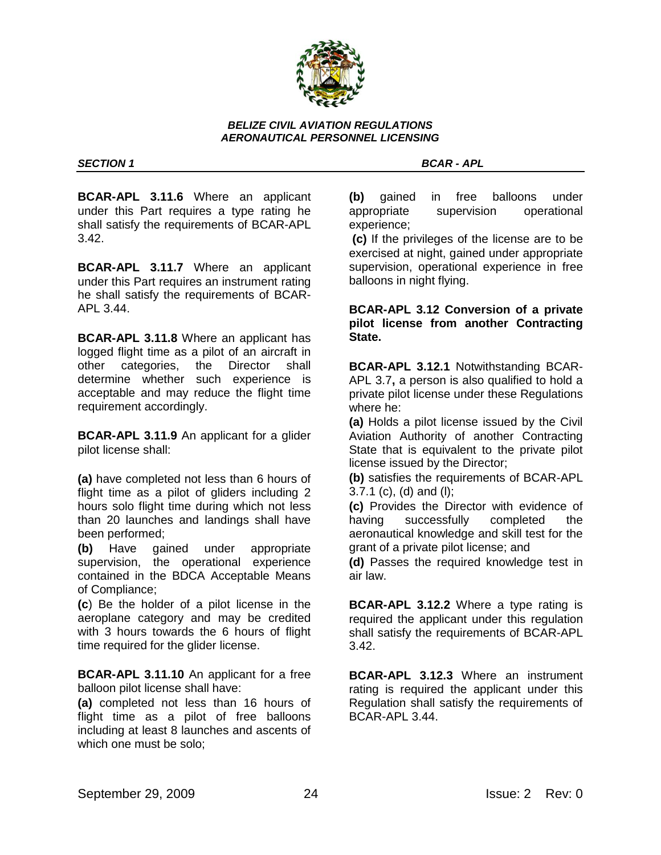

**BCAR-APL 3.11.6** Where an applicant under this Part requires a type rating he shall satisfy the requirements of BCAR-APL 3.42.

**BCAR-APL 3.11.7** Where an applicant under this Part requires an instrument rating he shall satisfy the requirements of BCAR-APL 3.44.

**BCAR-APL 3.11.8** Where an applicant has logged flight time as a pilot of an aircraft in other categories, the Director shall determine whether such experience is acceptable and may reduce the flight time requirement accordingly.

**BCAR-APL 3.11.9** An applicant for a glider pilot license shall:

**(a)** have completed not less than 6 hours of flight time as a pilot of gliders including 2 hours solo flight time during which not less than 20 launches and landings shall have been performed;

**(b)** Have gained under appropriate supervision, the operational experience contained in the BDCA Acceptable Means of Compliance;

**(c**) Be the holder of a pilot license in the aeroplane category and may be credited with 3 hours towards the 6 hours of flight time required for the glider license.

**BCAR-APL 3.11.10** An applicant for a free balloon pilot license shall have:

**(a)** completed not less than 16 hours of flight time as a pilot of free balloons including at least 8 launches and ascents of which one must be solo;

**(b)** gained in free balloons under appropriate supervision operational experience;

**(c)** If the privileges of the license are to be exercised at night, gained under appropriate supervision, operational experience in free balloons in night flying.

## **BCAR-APL 3.12 Conversion of a private pilot license from another Contracting State.**

**BCAR-APL 3.12.1** Notwithstanding BCAR-APL 3.7**,** a person is also qualified to hold a private pilot license under these Regulations where he:

**(a)** Holds a pilot license issued by the Civil Aviation Authority of another Contracting State that is equivalent to the private pilot license issued by the Director;

**(b)** satisfies the requirements of BCAR-APL 3.7.1 (c), (d) and (l);

**(c)** Provides the Director with evidence of having successfully completed the aeronautical knowledge and skill test for the grant of a private pilot license; and

**(d)** Passes the required knowledge test in air law.

**BCAR-APL 3.12.2** Where a type rating is required the applicant under this regulation shall satisfy the requirements of BCAR-APL 3.42.

**BCAR-APL 3.12.3** Where an instrument rating is required the applicant under this Regulation shall satisfy the requirements of BCAR-APL 3.44.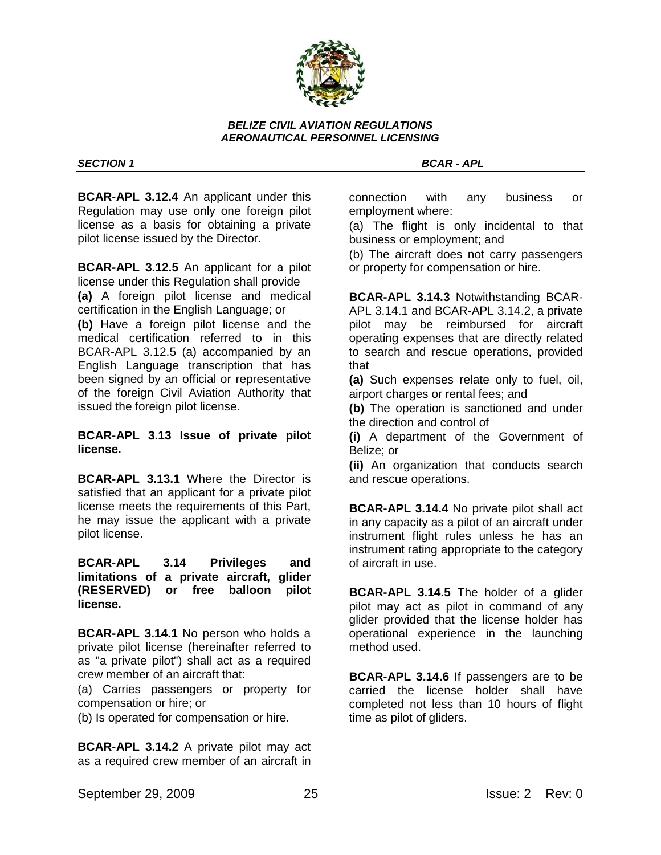

**BCAR-APL 3.12.4** An applicant under this Regulation may use only one foreign pilot license as a basis for obtaining a private pilot license issued by the Director.

**BCAR-APL 3.12.5** An applicant for a pilot license under this Regulation shall provide **(a)** A foreign pilot license and medical certification in the English Language; or **(b)** Have a foreign pilot license and the medical certification referred to in this BCAR-APL 3.12.5 (a) accompanied by an English Language transcription that has been signed by an official or representative of the foreign Civil Aviation Authority that issued the foreign pilot license.

**BCAR-APL 3.13 Issue of private pilot license.**

**BCAR-APL 3.13.1** Where the Director is satisfied that an applicant for a private pilot license meets the requirements of this Part, he may issue the applicant with a private pilot license.

**BCAR-APL 3.14 Privileges and limitations of a private aircraft, glider (RESERVED) or free balloon pilot license.**

**BCAR-APL 3.14.1** No person who holds a private pilot license (hereinafter referred to as "a private pilot") shall act as a required crew member of an aircraft that:

(a) Carries passengers or property for compensation or hire; or

(b) Is operated for compensation or hire.

**BCAR-APL 3.14.2** A private pilot may act as a required crew member of an aircraft in

## *SECTION 1 BCAR - APL*

connection with any business or employment where:

(a) The flight is only incidental to that business or employment; and

(b) The aircraft does not carry passengers or property for compensation or hire.

**BCAR-APL 3.14.3** Notwithstanding BCAR-APL 3.14.1 and BCAR-APL 3.14.2, a private pilot may be reimbursed for aircraft operating expenses that are directly related to search and rescue operations, provided that

**(a)** Such expenses relate only to fuel, oil, airport charges or rental fees; and

**(b)** The operation is sanctioned and under the direction and control of

**(i)** A department of the Government of Belize; or

**(ii)** An organization that conducts search and rescue operations.

**BCAR-APL 3.14.4** No private pilot shall act in any capacity as a pilot of an aircraft under instrument flight rules unless he has an instrument rating appropriate to the category of aircraft in use.

**BCAR-APL 3.14.5** The holder of a glider pilot may act as pilot in command of any glider provided that the license holder has operational experience in the launching method used.

**BCAR-APL 3.14.6** If passengers are to be carried the license holder shall have completed not less than 10 hours of flight time as pilot of gliders.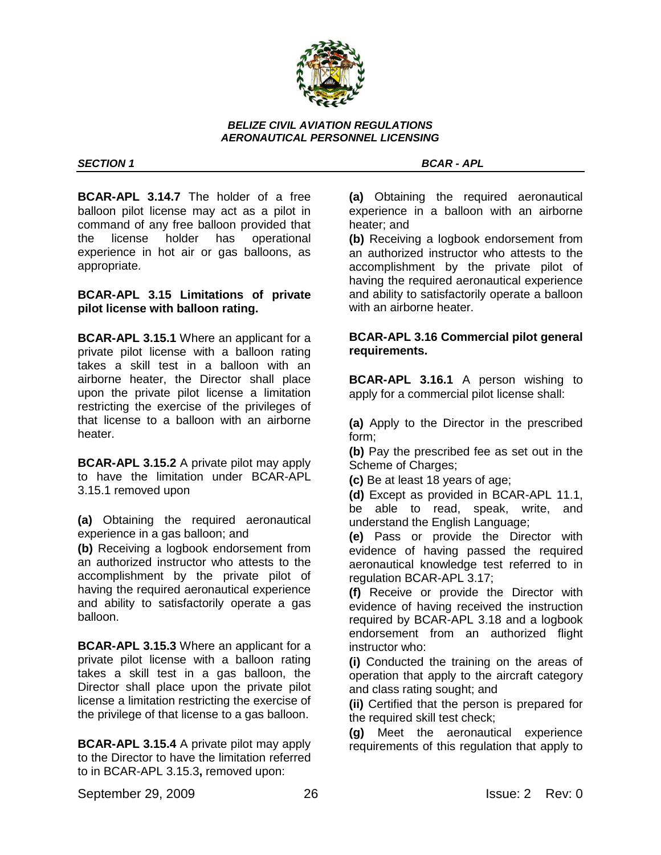

## *SECTION 1 BCAR - APL*

**BCAR-APL 3.14.7** The holder of a free balloon pilot license may act as a pilot in command of any free balloon provided that the license holder has operational experience in hot air or gas balloons, as appropriate.

# **BCAR-APL 3.15 Limitations of private pilot license with balloon rating.**

**BCAR-APL 3.15.1** Where an applicant for a private pilot license with a balloon rating takes a skill test in a balloon with an airborne heater, the Director shall place upon the private pilot license a limitation restricting the exercise of the privileges of that license to a balloon with an airborne heater.

**BCAR-APL 3.15.2** A private pilot may apply to have the limitation under BCAR-APL 3.15.1 removed upon

**(a)** Obtaining the required aeronautical experience in a gas balloon; and

**(b)** Receiving a logbook endorsement from an authorized instructor who attests to the accomplishment by the private pilot of having the required aeronautical experience and ability to satisfactorily operate a gas balloon.

**BCAR-APL 3.15.3** Where an applicant for a private pilot license with a balloon rating takes a skill test in a gas balloon, the Director shall place upon the private pilot license a limitation restricting the exercise of the privilege of that license to a gas balloon.

**BCAR-APL 3.15.4** A private pilot may apply to the Director to have the limitation referred to in BCAR-APL 3.15.3**,** removed upon:

**(a)** Obtaining the required aeronautical experience in a balloon with an airborne heater; and

**(b)** Receiving a logbook endorsement from an authorized instructor who attests to the accomplishment by the private pilot of having the required aeronautical experience and ability to satisfactorily operate a balloon with an airborne heater.

## **BCAR-APL 3.16 Commercial pilot general requirements.**

**BCAR-APL 3.16.1** A person wishing to apply for a commercial pilot license shall:

**(a)** Apply to the Director in the prescribed form;

**(b)** Pay the prescribed fee as set out in the Scheme of Charges;

**(c)** Be at least 18 years of age;

**(d)** Except as provided in BCAR-APL 11.1, be able to read, speak, write, and understand the English Language;

**(e)** Pass or provide the Director with evidence of having passed the required aeronautical knowledge test referred to in regulation BCAR-APL 3.17;

**(f)** Receive or provide the Director with evidence of having received the instruction required by BCAR-APL 3.18 and a logbook endorsement from an authorized flight instructor who:

**(i)** Conducted the training on the areas of operation that apply to the aircraft category and class rating sought; and

**(ii)** Certified that the person is prepared for the required skill test check;

**(g)** Meet the aeronautical experience requirements of this regulation that apply to

September 29, 2009 26 20 and 20 and 20 and 20 and 20 and 20 and 20 and 20 and 20 and 20 and 20 and 20 and 20 and 20 and 20 and 20 and 20 and 20 and 20 and 20 and 20 and 20 and 20 and 20 and 20 and 20 and 20 and 20 and 20 a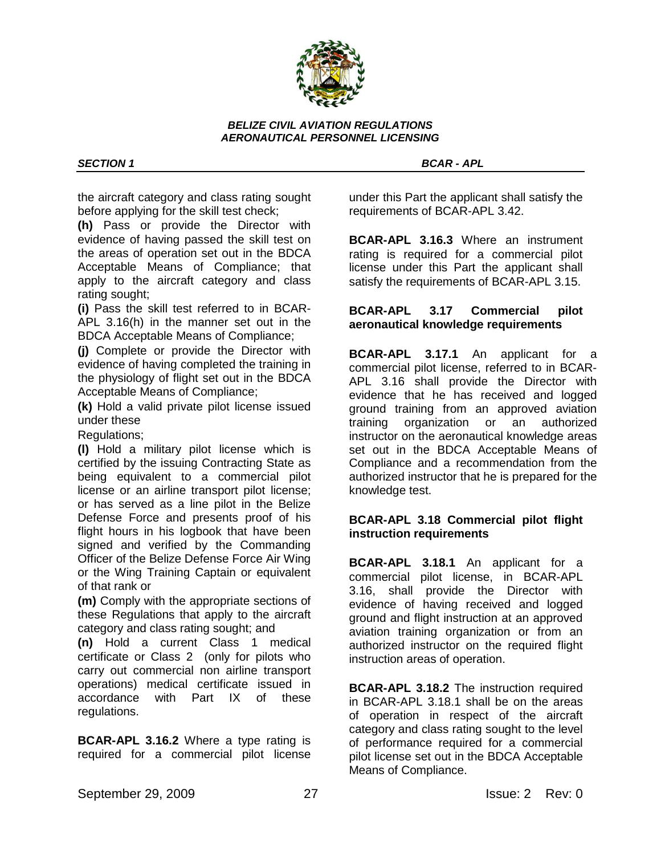

*SECTION 1 BCAR - APL* 

the aircraft category and class rating sought before applying for the skill test check;

**(h)** Pass or provide the Director with evidence of having passed the skill test on the areas of operation set out in the BDCA Acceptable Means of Compliance; that apply to the aircraft category and class rating sought;

**(i)** Pass the skill test referred to in BCAR-APL 3.16(h) in the manner set out in the BDCA Acceptable Means of Compliance;

**(j)** Complete or provide the Director with evidence of having completed the training in the physiology of flight set out in the BDCA Acceptable Means of Compliance;

**(k)** Hold a valid private pilot license issued under these

Regulations;

**(l)** Hold a military pilot license which is certified by the issuing Contracting State as being equivalent to a commercial pilot license or an airline transport pilot license; or has served as a line pilot in the Belize Defense Force and presents proof of his flight hours in his logbook that have been signed and verified by the Commanding Officer of the Belize Defense Force Air Wing or the Wing Training Captain or equivalent of that rank or

**(m)** Comply with the appropriate sections of these Regulations that apply to the aircraft category and class rating sought; and

**(n)** Hold a current Class 1 medical certificate or Class 2 (only for pilots who carry out commercial non airline transport operations) medical certificate issued in accordance with Part IX of these regulations.

**BCAR-APL 3.16.2** Where a type rating is required for a commercial pilot license

under this Part the applicant shall satisfy the requirements of BCAR-APL 3.42.

**BCAR-APL 3.16.3** Where an instrument rating is required for a commercial pilot license under this Part the applicant shall satisfy the requirements of BCAR-APL 3.15.

# **BCAR-APL 3.17 Commercial pilot aeronautical knowledge requirements**

**BCAR-APL 3.17.1** An applicant for a commercial pilot license, referred to in BCAR-APL 3.16 shall provide the Director with evidence that he has received and logged ground training from an approved aviation training organization or an authorized instructor on the aeronautical knowledge areas set out in the BDCA Acceptable Means of Compliance and a recommendation from the authorized instructor that he is prepared for the knowledge test.

## **BCAR-APL 3.18 Commercial pilot flight instruction requirements**

**BCAR-APL 3.18.1** An applicant for a commercial pilot license, in BCAR-APL 3.16, shall provide the Director with evidence of having received and logged ground and flight instruction at an approved aviation training organization or from an authorized instructor on the required flight instruction areas of operation.

**BCAR-APL 3.18.2** The instruction required in BCAR-APL 3.18.1 shall be on the areas of operation in respect of the aircraft category and class rating sought to the level of performance required for a commercial pilot license set out in the BDCA Acceptable Means of Compliance.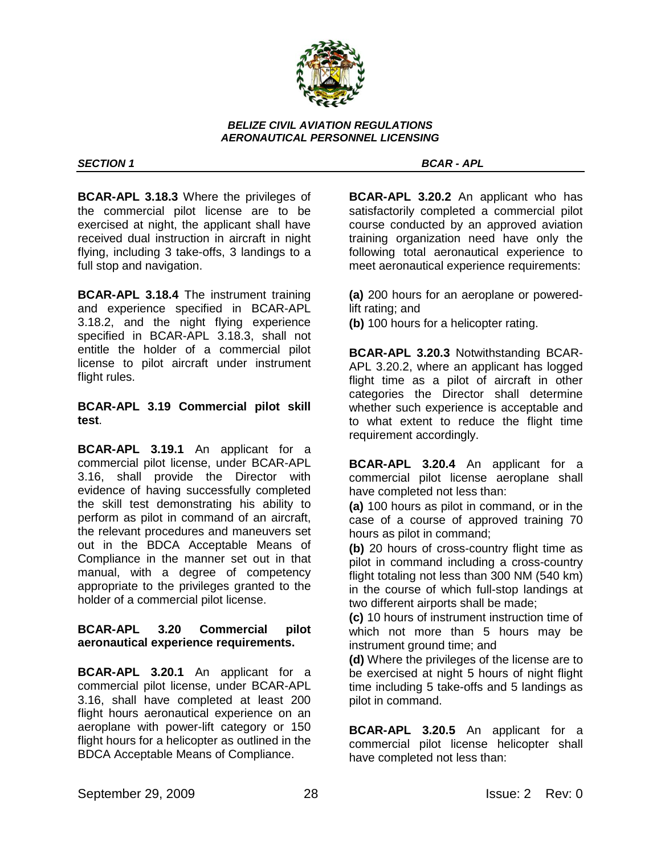

## *SECTION 1 BCAR - APL*

**BCAR-APL 3.20.2** An applicant who has satisfactorily completed a commercial pilot course conducted by an approved aviation training organization need have only the following total aeronautical experience to meet aeronautical experience requirements:

**(a)** 200 hours for an aeroplane or poweredlift rating; and

**(b)** 100 hours for a helicopter rating.

**BCAR-APL 3.20.3** Notwithstanding BCAR-APL 3.20.2, where an applicant has logged flight time as a pilot of aircraft in other categories the Director shall determine whether such experience is acceptable and to what extent to reduce the flight time requirement accordingly.

**BCAR-APL 3.20.4** An applicant for a commercial pilot license aeroplane shall have completed not less than:

**(a)** 100 hours as pilot in command, or in the case of a course of approved training 70 hours as pilot in command;

**(b)** 20 hours of cross-country flight time as pilot in command including a cross-country flight totaling not less than 300 NM (540 km) in the course of which full-stop landings at two different airports shall be made;

**(c)** 10 hours of instrument instruction time of which not more than 5 hours may be instrument ground time; and

**(d)** Where the privileges of the license are to be exercised at night 5 hours of night flight time including 5 take-offs and 5 landings as pilot in command.

**BCAR-APL 3.20.5** An applicant for a commercial pilot license helicopter shall have completed not less than:

**BCAR-APL 3.18.3** Where the privileges of the commercial pilot license are to be exercised at night, the applicant shall have received dual instruction in aircraft in night flying, including 3 take-offs, 3 landings to a full stop and navigation.

**BCAR-APL 3.18.4** The instrument training and experience specified in BCAR-APL 3.18.2, and the night flying experience specified in BCAR-APL 3.18.3, shall not entitle the holder of a commercial pilot license to pilot aircraft under instrument flight rules.

**BCAR-APL 3.19 Commercial pilot skill test**.

**BCAR-APL 3.19.1** An applicant for a commercial pilot license, under BCAR-APL 3.16, shall provide the Director with evidence of having successfully completed the skill test demonstrating his ability to perform as pilot in command of an aircraft, the relevant procedures and maneuvers set out in the BDCA Acceptable Means of Compliance in the manner set out in that manual, with a degree of competency appropriate to the privileges granted to the holder of a commercial pilot license.

# **BCAR-APL 3.20 Commercial pilot aeronautical experience requirements.**

**BCAR-APL 3.20.1** An applicant for a commercial pilot license, under BCAR-APL 3.16, shall have completed at least 200 flight hours aeronautical experience on an aeroplane with power-lift category or 150 flight hours for a helicopter as outlined in the BDCA Acceptable Means of Compliance.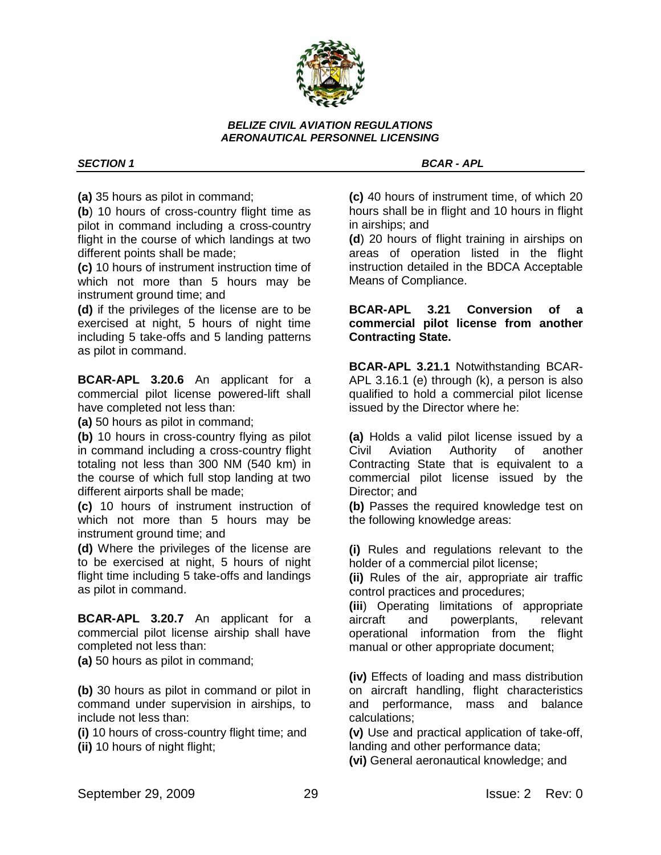

*SECTION 1 BCAR - APL* 

**(a)** 35 hours as pilot in command;

**(b**) 10 hours of cross-country flight time as pilot in command including a cross-country flight in the course of which landings at two different points shall be made;

**(c)** 10 hours of instrument instruction time of which not more than 5 hours may be instrument ground time; and

**(d)** if the privileges of the license are to be exercised at night, 5 hours of night time including 5 take-offs and 5 landing patterns as pilot in command.

**BCAR-APL 3.20.6** An applicant for a commercial pilot license powered-lift shall have completed not less than:

**(a)** 50 hours as pilot in command;

**(b)** 10 hours in cross-country flying as pilot in command including a cross-country flight totaling not less than 300 NM (540 km) in the course of which full stop landing at two different airports shall be made;

**(c)** 10 hours of instrument instruction of which not more than 5 hours may be instrument ground time; and

**(d)** Where the privileges of the license are to be exercised at night, 5 hours of night flight time including 5 take-offs and landings as pilot in command.

**BCAR-APL 3.20.7** An applicant for a commercial pilot license airship shall have completed not less than:

**(a)** 50 hours as pilot in command;

**(b)** 30 hours as pilot in command or pilot in command under supervision in airships, to include not less than:

**(i)** 10 hours of cross-country flight time; and **(ii)** 10 hours of night flight;

**(c)** 40 hours of instrument time, of which 20 hours shall be in flight and 10 hours in flight in airships; and

**(d**) 20 hours of flight training in airships on areas of operation listed in the flight instruction detailed in the BDCA Acceptable Means of Compliance.

## **BCAR-APL 3.21 Conversion of a commercial pilot license from another Contracting State.**

**BCAR-APL 3.21.1** Notwithstanding BCAR-APL 3.16.1 (e) through (k), a person is also qualified to hold a commercial pilot license issued by the Director where he:

**(a)** Holds a valid pilot license issued by a Civil Aviation Authority of another Contracting State that is equivalent to a commercial pilot license issued by the Director; and

**(b)** Passes the required knowledge test on the following knowledge areas:

**(i)** Rules and regulations relevant to the holder of a commercial pilot license;

**(ii)** Rules of the air, appropriate air traffic control practices and procedures;

**(iii**) Operating limitations of appropriate aircraft and powerplants, relevant operational information from the flight manual or other appropriate document;

**(iv)** Effects of loading and mass distribution on aircraft handling, flight characteristics and performance, mass and balance calculations;

**(v)** Use and practical application of take-off, landing and other performance data;

**(vi)** General aeronautical knowledge; and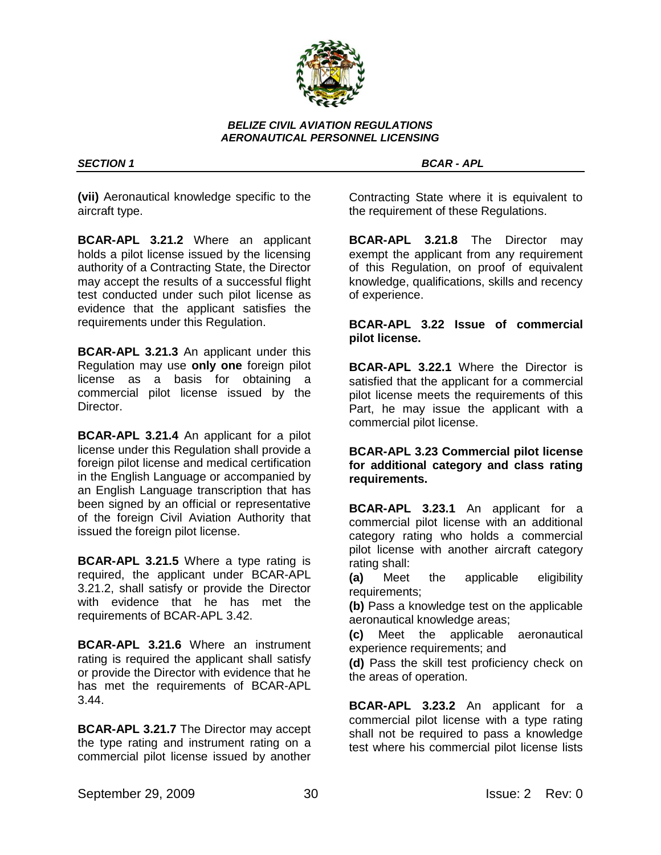

**(vii)** Aeronautical knowledge specific to the aircraft type.

**BCAR-APL 3.21.2** Where an applicant holds a pilot license issued by the licensing authority of a Contracting State, the Director may accept the results of a successful flight test conducted under such pilot license as evidence that the applicant satisfies the requirements under this Regulation.

**BCAR-APL 3.21.3** An applicant under this Regulation may use **only one** foreign pilot license as a basis for obtaining a commercial pilot license issued by the Director.

**BCAR-APL 3.21.4** An applicant for a pilot license under this Regulation shall provide a foreign pilot license and medical certification in the English Language or accompanied by an English Language transcription that has been signed by an official or representative of the foreign Civil Aviation Authority that issued the foreign pilot license.

**BCAR-APL 3.21.5** Where a type rating is required, the applicant under BCAR-APL 3.21.2, shall satisfy or provide the Director with evidence that he has met the requirements of BCAR-APL 3.42.

**BCAR-APL 3.21.6** Where an instrument rating is required the applicant shall satisfy or provide the Director with evidence that he has met the requirements of BCAR-APL 3.44.

**BCAR-APL 3.21.7** The Director may accept the type rating and instrument rating on a commercial pilot license issued by another

*SECTION 1 BCAR - APL* 

Contracting State where it is equivalent to the requirement of these Regulations.

**BCAR-APL 3.21.8** The Director may exempt the applicant from any requirement of this Regulation, on proof of equivalent knowledge, qualifications, skills and recency of experience.

## **BCAR-APL 3.22 Issue of commercial pilot license.**

**BCAR-APL 3.22.1** Where the Director is satisfied that the applicant for a commercial pilot license meets the requirements of this Part, he may issue the applicant with a commercial pilot license.

## **BCAR-APL 3.23 Commercial pilot license for additional category and class rating requirements.**

**BCAR-APL 3.23.1** An applicant for a commercial pilot license with an additional category rating who holds a commercial pilot license with another aircraft category rating shall:

**(a)** Meet the applicable eligibility requirements;

**(b)** Pass a knowledge test on the applicable aeronautical knowledge areas;

**(c)** Meet the applicable aeronautical experience requirements; and

**(d)** Pass the skill test proficiency check on the areas of operation.

**BCAR-APL 3.23.2** An applicant for a commercial pilot license with a type rating shall not be required to pass a knowledge test where his commercial pilot license lists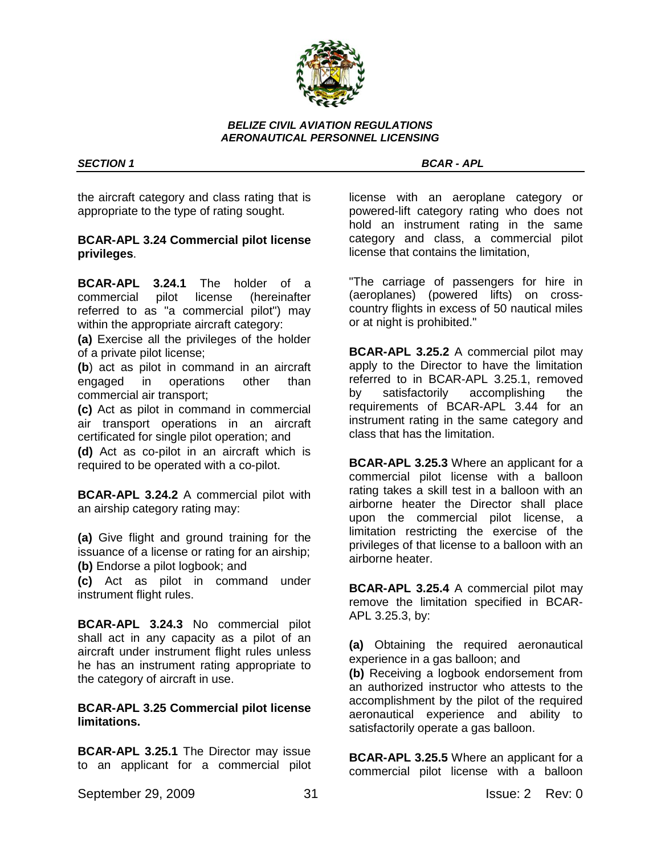

the aircraft category and class rating that is appropriate to the type of rating sought.

## **BCAR-APL 3.24 Commercial pilot license privileges**.

**BCAR-APL 3.24.1** The holder of a commercial pilot license (hereinafter referred to as "a commercial pilot") may within the appropriate aircraft category:

**(a)** Exercise all the privileges of the holder of a private pilot license;

**(b**) act as pilot in command in an aircraft engaged in operations other than commercial air transport;

**(c)** Act as pilot in command in commercial air transport operations in an aircraft certificated for single pilot operation; and

**(d)** Act as co-pilot in an aircraft which is required to be operated with a co-pilot.

**BCAR-APL 3.24.2** A commercial pilot with an airship category rating may:

**(a)** Give flight and ground training for the issuance of a license or rating for an airship; **(b)** Endorse a pilot logbook; and

**(c)** Act as pilot in command under instrument flight rules.

**BCAR-APL 3.24.3** No commercial pilot shall act in any capacity as a pilot of an aircraft under instrument flight rules unless he has an instrument rating appropriate to the category of aircraft in use.

**BCAR-APL 3.25 Commercial pilot license limitations.**

**BCAR-APL 3.25.1** The Director may issue to an applicant for a commercial pilot

*SECTION 1 BCAR - APL* 

license with an aeroplane category or powered-lift category rating who does not hold an instrument rating in the same category and class, a commercial pilot license that contains the limitation,

"The carriage of passengers for hire in (aeroplanes) (powered lifts) on crosscountry flights in excess of 50 nautical miles or at night is prohibited."

**BCAR-APL 3.25.2** A commercial pilot may apply to the Director to have the limitation referred to in BCAR-APL 3.25.1, removed by satisfactorily accomplishing the requirements of BCAR-APL 3.44 for an instrument rating in the same category and class that has the limitation.

**BCAR-APL 3.25.3** Where an applicant for a commercial pilot license with a balloon rating takes a skill test in a balloon with an airborne heater the Director shall place upon the commercial pilot license, a limitation restricting the exercise of the privileges of that license to a balloon with an airborne heater.

**BCAR-APL 3.25.4** A commercial pilot may remove the limitation specified in BCAR-APL 3.25.3, by:

**(a)** Obtaining the required aeronautical experience in a gas balloon; and

**(b)** Receiving a logbook endorsement from an authorized instructor who attests to the accomplishment by the pilot of the required aeronautical experience and ability to satisfactorily operate a gas balloon.

**BCAR-APL 3.25.5** Where an applicant for a commercial pilot license with a balloon

September 29, 2009 31 31 Issue: 2 Rev: 0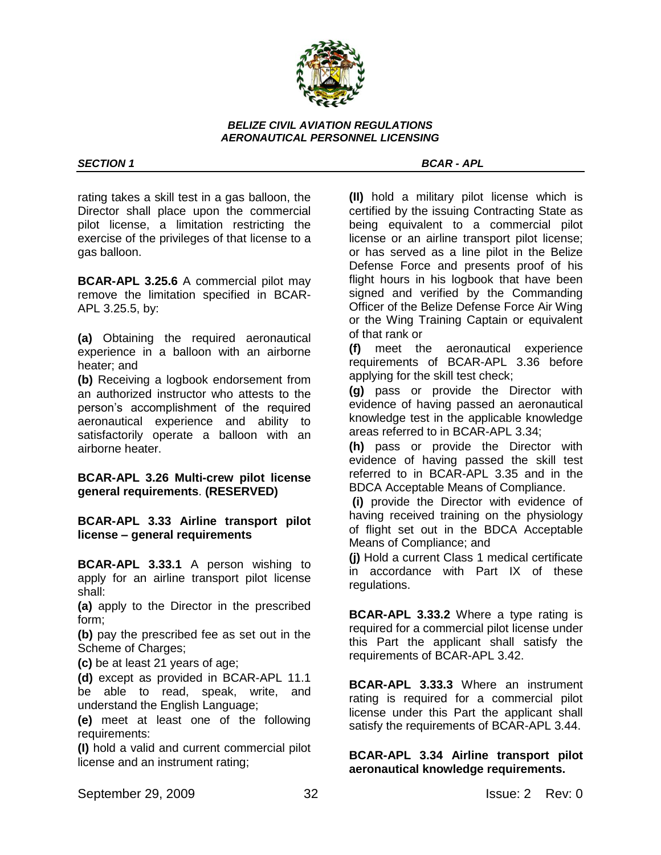

*SECTION 1 BCAR - APL* 

rating takes a skill test in a gas balloon, the Director shall place upon the commercial pilot license, a limitation restricting the exercise of the privileges of that license to a gas balloon.

**BCAR-APL 3.25.6** A commercial pilot may remove the limitation specified in BCAR-APL 3.25.5, by:

**(a)** Obtaining the required aeronautical experience in a balloon with an airborne heater; and

**(b)** Receiving a logbook endorsement from an authorized instructor who attests to the person"s accomplishment of the required aeronautical experience and ability to satisfactorily operate a balloon with an airborne heater.

## **BCAR-APL 3.26 Multi-crew pilot license general requirements**. **(RESERVED)**

**BCAR-APL 3.33 Airline transport pilot license – general requirements** 

**BCAR-APL 3.33.1** A person wishing to apply for an airline transport pilot license shall:

**(a)** apply to the Director in the prescribed form;

**(b)** pay the prescribed fee as set out in the Scheme of Charges;

**(c)** be at least 21 years of age;

**(d)** except as provided in BCAR-APL 11.1 be able to read, speak, write, and understand the English Language;

**(e)** meet at least one of the following requirements:

**(I)** hold a valid and current commercial pilot license and an instrument rating;

**(II)** hold a military pilot license which is certified by the issuing Contracting State as being equivalent to a commercial pilot license or an airline transport pilot license; or has served as a line pilot in the Belize Defense Force and presents proof of his flight hours in his logbook that have been signed and verified by the Commanding Officer of the Belize Defense Force Air Wing or the Wing Training Captain or equivalent of that rank or

**(f)** meet the aeronautical experience requirements of BCAR-APL 3.36 before applying for the skill test check;

**(g)** pass or provide the Director with evidence of having passed an aeronautical knowledge test in the applicable knowledge areas referred to in BCAR-APL 3.34;

**(h)** pass or provide the Director with evidence of having passed the skill test referred to in BCAR-APL 3.35 and in the BDCA Acceptable Means of Compliance.

**(i)** provide the Director with evidence of having received training on the physiology of flight set out in the BDCA Acceptable Means of Compliance; and

**(j)** Hold a current Class 1 medical certificate in accordance with Part IX of these regulations.

**BCAR-APL 3.33.2** Where a type rating is required for a commercial pilot license under this Part the applicant shall satisfy the requirements of BCAR-APL 3.42.

**BCAR-APL 3.33.3** Where an instrument rating is required for a commercial pilot license under this Part the applicant shall satisfy the requirements of BCAR-APL 3.44.

**BCAR-APL 3.34 Airline transport pilot aeronautical knowledge requirements.**

September 29, 2009 32 Issue: 2 Rev: 0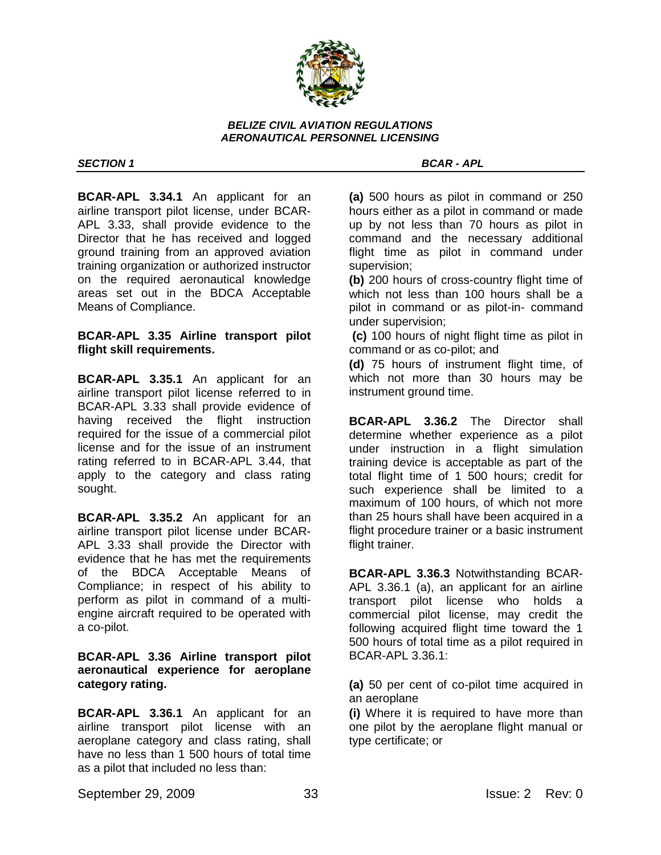

*SECTION 1 BCAR - APL* 

**BCAR-APL 3.34.1** An applicant for an airline transport pilot license, under BCAR-APL 3.33, shall provide evidence to the Director that he has received and logged ground training from an approved aviation training organization or authorized instructor on the required aeronautical knowledge areas set out in the BDCA Acceptable Means of Compliance.

# **BCAR-APL 3.35 Airline transport pilot flight skill requirements.**

**BCAR-APL 3.35.1** An applicant for an airline transport pilot license referred to in BCAR-APL 3.33 shall provide evidence of having received the flight instruction required for the issue of a commercial pilot license and for the issue of an instrument rating referred to in BCAR-APL 3.44, that apply to the category and class rating sought.

**BCAR-APL 3.35.2** An applicant for an airline transport pilot license under BCAR-APL 3.33 shall provide the Director with evidence that he has met the requirements of the BDCA Acceptable Means of Compliance; in respect of his ability to perform as pilot in command of a multiengine aircraft required to be operated with a co-pilot.

## **BCAR-APL 3.36 Airline transport pilot aeronautical experience for aeroplane category rating.**

**BCAR-APL 3.36.1** An applicant for an airline transport pilot license with an aeroplane category and class rating, shall have no less than 1 500 hours of total time as a pilot that included no less than:

**(a)** 500 hours as pilot in command or 250 hours either as a pilot in command or made up by not less than 70 hours as pilot in command and the necessary additional flight time as pilot in command under supervision;

**(b)** 200 hours of cross-country flight time of which not less than 100 hours shall be a pilot in command or as pilot-in- command under supervision;

**(c)** 100 hours of night flight time as pilot in command or as co-pilot; and

**(d)** 75 hours of instrument flight time, of which not more than 30 hours may be instrument ground time.

**BCAR-APL 3.36.2** The Director shall determine whether experience as a pilot under instruction in a flight simulation training device is acceptable as part of the total flight time of 1 500 hours; credit for such experience shall be limited to a maximum of 100 hours, of which not more than 25 hours shall have been acquired in a flight procedure trainer or a basic instrument flight trainer.

**BCAR-APL 3.36.3** Notwithstanding BCAR-APL 3.36.1 (a), an applicant for an airline transport pilot license who holds a commercial pilot license, may credit the following acquired flight time toward the 1 500 hours of total time as a pilot required in BCAR-APL 3.36.1:

**(a)** 50 per cent of co-pilot time acquired in an aeroplane

**(i)** Where it is required to have more than one pilot by the aeroplane flight manual or type certificate; or

September 29, 2009 33 Issue: 2 Rev: 0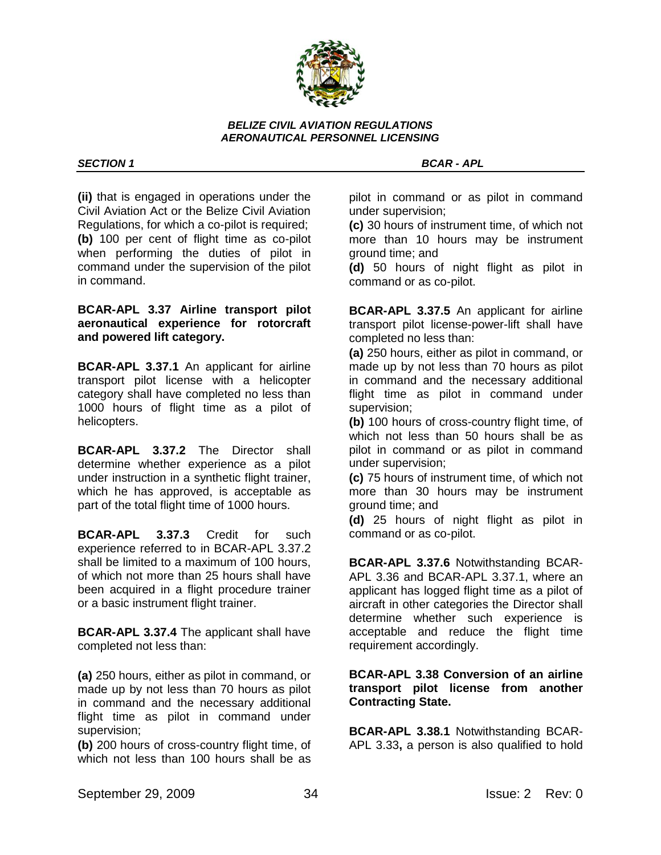

*SECTION 1 BCAR - APL* 

**(ii)** that is engaged in operations under the Civil Aviation Act or the Belize Civil Aviation Regulations, for which a co-pilot is required; **(b)** 100 per cent of flight time as co-pilot when performing the duties of pilot in command under the supervision of the pilot in command.

## **BCAR-APL 3.37 Airline transport pilot aeronautical experience for rotorcraft and powered lift category.**

**BCAR-APL 3.37.1** An applicant for airline transport pilot license with a helicopter category shall have completed no less than 1000 hours of flight time as a pilot of helicopters.

**BCAR-APL 3.37.2** The Director shall determine whether experience as a pilot under instruction in a synthetic flight trainer, which he has approved, is acceptable as part of the total flight time of 1000 hours.

**BCAR-APL 3.37.3** Credit for such experience referred to in BCAR-APL 3.37.2 shall be limited to a maximum of 100 hours, of which not more than 25 hours shall have been acquired in a flight procedure trainer or a basic instrument flight trainer.

**BCAR-APL 3.37.4** The applicant shall have completed not less than:

**(a)** 250 hours, either as pilot in command, or made up by not less than 70 hours as pilot in command and the necessary additional flight time as pilot in command under supervision;

**(b)** 200 hours of cross-country flight time, of which not less than 100 hours shall be as pilot in command or as pilot in command under supervision;

**(c)** 30 hours of instrument time, of which not more than 10 hours may be instrument ground time; and

**(d)** 50 hours of night flight as pilot in command or as co-pilot.

**BCAR-APL 3.37.5** An applicant for airline transport pilot license-power-lift shall have completed no less than:

**(a)** 250 hours, either as pilot in command, or made up by not less than 70 hours as pilot in command and the necessary additional flight time as pilot in command under supervision;

**(b)** 100 hours of cross-country flight time, of which not less than 50 hours shall be as pilot in command or as pilot in command under supervision;

**(c)** 75 hours of instrument time, of which not more than 30 hours may be instrument ground time; and

**(d)** 25 hours of night flight as pilot in command or as co-pilot.

**BCAR-APL 3.37.6** Notwithstanding BCAR-APL 3.36 and BCAR-APL 3.37.1, where an applicant has logged flight time as a pilot of aircraft in other categories the Director shall determine whether such experience is acceptable and reduce the flight time requirement accordingly.

# **BCAR-APL 3.38 Conversion of an airline transport pilot license from another Contracting State.**

**BCAR-APL 3.38.1** Notwithstanding BCAR-APL 3.33**,** a person is also qualified to hold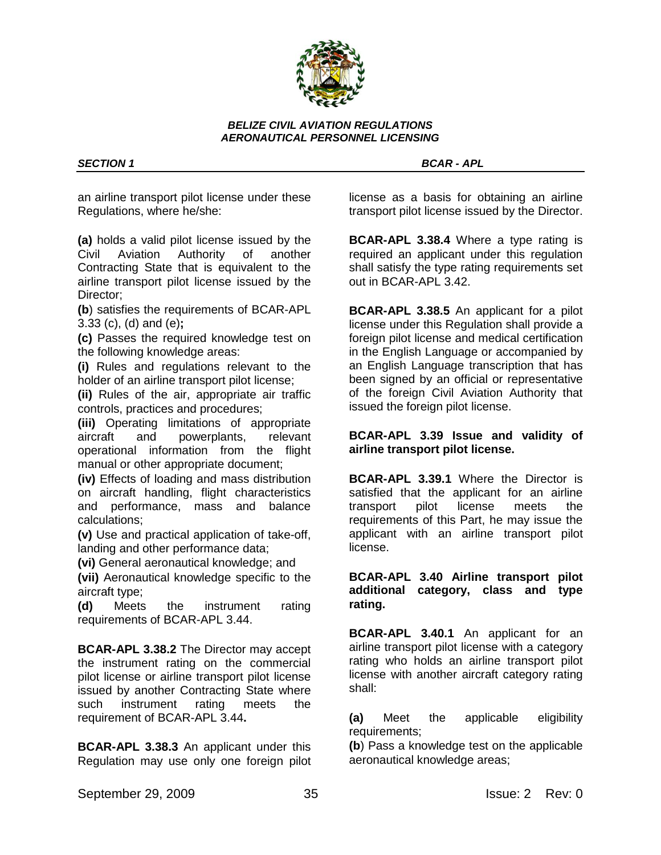

an airline transport pilot license under these Regulations, where he/she:

**(a)** holds a valid pilot license issued by the Civil Aviation Authority of another Contracting State that is equivalent to the airline transport pilot license issued by the Director;

**(b**) satisfies the requirements of BCAR-APL 3.33 (c), (d) and (e)**;**

**(c)** Passes the required knowledge test on the following knowledge areas:

**(i)** Rules and regulations relevant to the holder of an airline transport pilot license;

**(ii)** Rules of the air, appropriate air traffic controls, practices and procedures;

**(iii)** Operating limitations of appropriate aircraft and powerplants, relevant operational information from the flight manual or other appropriate document;

**(iv)** Effects of loading and mass distribution on aircraft handling, flight characteristics and performance, mass and balance calculations;

**(v)** Use and practical application of take-off, landing and other performance data;

**(vi)** General aeronautical knowledge; and

**(vii)** Aeronautical knowledge specific to the aircraft type;

**(d)** Meets the instrument rating requirements of BCAR-APL 3.44.

**BCAR-APL 3.38.2** The Director may accept the instrument rating on the commercial pilot license or airline transport pilot license issued by another Contracting State where such instrument rating meets the requirement of BCAR-APL 3.44**.**

**BCAR-APL 3.38.3** An applicant under this Regulation may use only one foreign pilot

*SECTION 1 BCAR - APL* 

license as a basis for obtaining an airline transport pilot license issued by the Director.

**BCAR-APL 3.38.4** Where a type rating is required an applicant under this regulation shall satisfy the type rating requirements set out in BCAR-APL 3.42.

**BCAR-APL 3.38.5** An applicant for a pilot license under this Regulation shall provide a foreign pilot license and medical certification in the English Language or accompanied by an English Language transcription that has been signed by an official or representative of the foreign Civil Aviation Authority that issued the foreign pilot license.

## **BCAR-APL 3.39 Issue and validity of airline transport pilot license.**

**BCAR-APL 3.39.1** Where the Director is satisfied that the applicant for an airline transport pilot license meets the requirements of this Part, he may issue the applicant with an airline transport pilot license.

**BCAR-APL 3.40 Airline transport pilot additional category, class and type rating.**

**BCAR-APL 3.40.1** An applicant for an airline transport pilot license with a category rating who holds an airline transport pilot license with another aircraft category rating shall:

**(a)** Meet the applicable eligibility requirements;

**(b**) Pass a knowledge test on the applicable aeronautical knowledge areas;

September 29, 2009 35 Issue: 2 Rev: 0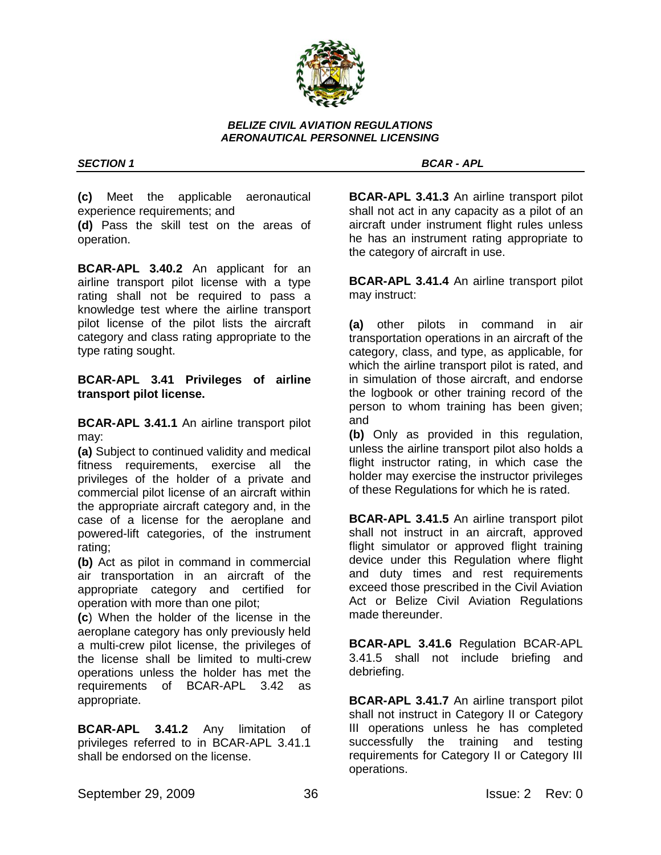

**(c)** Meet the applicable aeronautical experience requirements; and **(d)** Pass the skill test on the areas of operation.

**BCAR-APL 3.40.2** An applicant for an airline transport pilot license with a type rating shall not be required to pass a knowledge test where the airline transport pilot license of the pilot lists the aircraft category and class rating appropriate to the type rating sought.

## **BCAR-APL 3.41 Privileges of airline transport pilot license.**

**BCAR-APL 3.41.1** An airline transport pilot may:

**(a)** Subject to continued validity and medical fitness requirements, exercise all the privileges of the holder of a private and commercial pilot license of an aircraft within the appropriate aircraft category and, in the case of a license for the aeroplane and powered-lift categories, of the instrument rating;

**(b)** Act as pilot in command in commercial air transportation in an aircraft of the appropriate category and certified for operation with more than one pilot;

**(c**) When the holder of the license in the aeroplane category has only previously held a multi-crew pilot license, the privileges of the license shall be limited to multi-crew operations unless the holder has met the requirements of BCAR-APL 3.42 as appropriate.

**BCAR-APL 3.41.2** Any limitation of privileges referred to in BCAR-APL 3.41.1 shall be endorsed on the license.

*SECTION 1 BCAR - APL* 

**BCAR-APL 3.41.3** An airline transport pilot shall not act in any capacity as a pilot of an aircraft under instrument flight rules unless he has an instrument rating appropriate to the category of aircraft in use.

**BCAR-APL 3.41.4** An airline transport pilot may instruct:

**(a)** other pilots in command in air transportation operations in an aircraft of the category, class, and type, as applicable, for which the airline transport pilot is rated, and in simulation of those aircraft, and endorse the logbook or other training record of the person to whom training has been given; and

**(b)** Only as provided in this regulation, unless the airline transport pilot also holds a flight instructor rating, in which case the holder may exercise the instructor privileges of these Regulations for which he is rated.

**BCAR-APL 3.41.5** An airline transport pilot shall not instruct in an aircraft, approved flight simulator or approved flight training device under this Regulation where flight and duty times and rest requirements exceed those prescribed in the Civil Aviation Act or Belize Civil Aviation Regulations made thereunder.

**BCAR-APL 3.41.6** Regulation BCAR-APL 3.41.5 shall not include briefing and debriefing.

**BCAR-APL 3.41.7** An airline transport pilot shall not instruct in Category II or Category III operations unless he has completed successfully the training and testing requirements for Category II or Category III operations.

September 29, 2009 36 36 Issue: 2 Rev: 0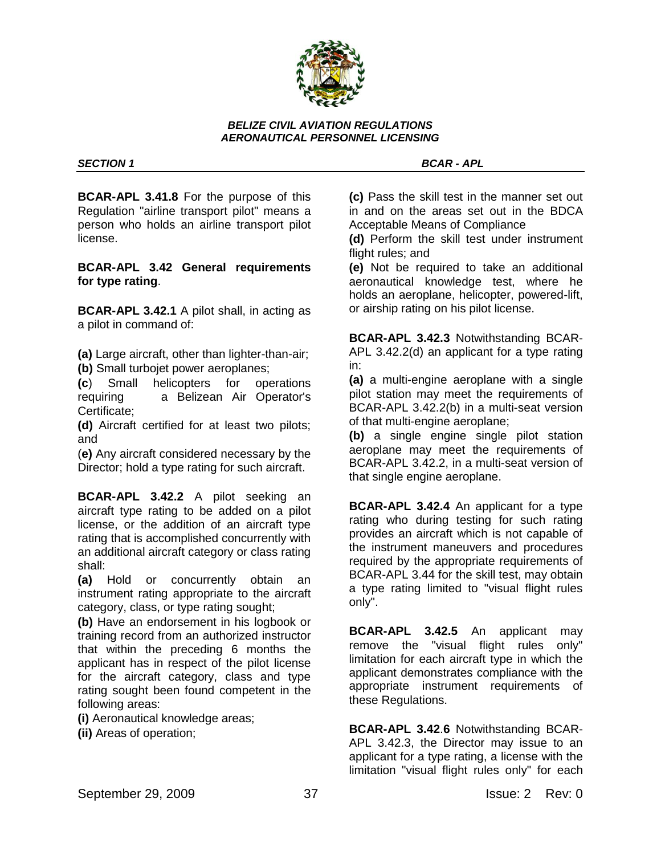

**BCAR-APL 3.41.8** For the purpose of this Regulation "airline transport pilot" means a person who holds an airline transport pilot license.

# **BCAR-APL 3.42 General requirements for type rating**.

**BCAR-APL 3.42.1** A pilot shall, in acting as a pilot in command of:

**(a)** Large aircraft, other than lighter-than-air; **(b)** Small turbojet power aeroplanes;

**(c**) Small helicopters for operations requiring a Belizean Air Operator's Certificate;

**(d)** Aircraft certified for at least two pilots; and

(**e)** Any aircraft considered necessary by the Director; hold a type rating for such aircraft.

**BCAR-APL 3.42.2** A pilot seeking an aircraft type rating to be added on a pilot license, or the addition of an aircraft type rating that is accomplished concurrently with an additional aircraft category or class rating shall:

**(a)** Hold or concurrently obtain an instrument rating appropriate to the aircraft category, class, or type rating sought;

**(b)** Have an endorsement in his logbook or training record from an authorized instructor that within the preceding 6 months the applicant has in respect of the pilot license for the aircraft category, class and type rating sought been found competent in the following areas:

**(i)** Aeronautical knowledge areas;

**(ii)** Areas of operation;

## *SECTION 1 BCAR - APL*

**(c)** Pass the skill test in the manner set out in and on the areas set out in the BDCA Acceptable Means of Compliance

**(d)** Perform the skill test under instrument flight rules; and

**(e)** Not be required to take an additional aeronautical knowledge test, where he holds an aeroplane, helicopter, powered-lift, or airship rating on his pilot license.

**BCAR-APL 3.42.3** Notwithstanding BCAR-APL 3.42.2(d) an applicant for a type rating in:

**(a)** a multi-engine aeroplane with a single pilot station may meet the requirements of BCAR-APL 3.42.2(b) in a multi-seat version of that multi-engine aeroplane;

**(b)** a single engine single pilot station aeroplane may meet the requirements of BCAR-APL 3.42.2, in a multi-seat version of that single engine aeroplane.

**BCAR-APL 3.42.4** An applicant for a type rating who during testing for such rating provides an aircraft which is not capable of the instrument maneuvers and procedures required by the appropriate requirements of BCAR-APL 3.44 for the skill test, may obtain a type rating limited to "visual flight rules only".

**BCAR-APL 3.42.5** An applicant may remove the "visual flight rules only" limitation for each aircraft type in which the applicant demonstrates compliance with the appropriate instrument requirements of these Regulations.

**BCAR-APL 3.42**.**6** Notwithstanding BCAR-APL 3.42.3, the Director may issue to an applicant for a type rating, a license with the limitation "visual flight rules only" for each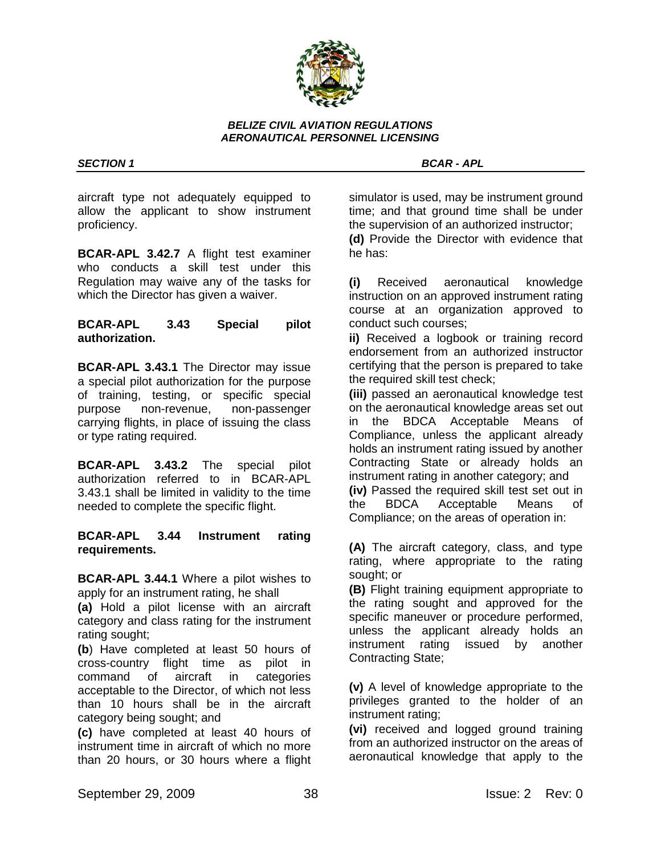

aircraft type not adequately equipped to allow the applicant to show instrument proficiency.

**BCAR-APL 3.42.7** A flight test examiner who conducts a skill test under this Regulation may waive any of the tasks for which the Director has given a waiver.

# **BCAR-APL 3.43 Special pilot authorization.**

**BCAR-APL 3.43.1** The Director may issue a special pilot authorization for the purpose of training, testing, or specific special purpose non-revenue, non-passenger carrying flights, in place of issuing the class or type rating required.

**BCAR-APL 3.43.2** The special pilot authorization referred to in BCAR-APL 3.43.1 shall be limited in validity to the time needed to complete the specific flight.

## **BCAR-APL 3.44 Instrument rating requirements.**

**BCAR-APL 3.44.1** Where a pilot wishes to apply for an instrument rating, he shall

**(a)** Hold a pilot license with an aircraft category and class rating for the instrument rating sought;

**(b**) Have completed at least 50 hours of cross-country flight time as pilot in command of aircraft in categories acceptable to the Director, of which not less than 10 hours shall be in the aircraft category being sought; and

**(c)** have completed at least 40 hours of instrument time in aircraft of which no more than 20 hours, or 30 hours where a flight

*SECTION 1 BCAR - APL* 

simulator is used, may be instrument ground time; and that ground time shall be under the supervision of an authorized instructor;

**(d)** Provide the Director with evidence that he has:

**(i)** Received aeronautical knowledge instruction on an approved instrument rating course at an organization approved to conduct such courses;

**ii)** Received a logbook or training record endorsement from an authorized instructor certifying that the person is prepared to take the required skill test check;

**(iii)** passed an aeronautical knowledge test on the aeronautical knowledge areas set out in the BDCA Acceptable Means of Compliance, unless the applicant already holds an instrument rating issued by another Contracting State or already holds an instrument rating in another category; and

**(iv)** Passed the required skill test set out in the BDCA Acceptable Means of Compliance; on the areas of operation in:

**(A)** The aircraft category, class, and type rating, where appropriate to the rating sought; or

**(B)** Flight training equipment appropriate to the rating sought and approved for the specific maneuver or procedure performed, unless the applicant already holds an instrument rating issued by another Contracting State;

**(v)** A level of knowledge appropriate to the privileges granted to the holder of an instrument rating;

**(vi)** received and logged ground training from an authorized instructor on the areas of aeronautical knowledge that apply to the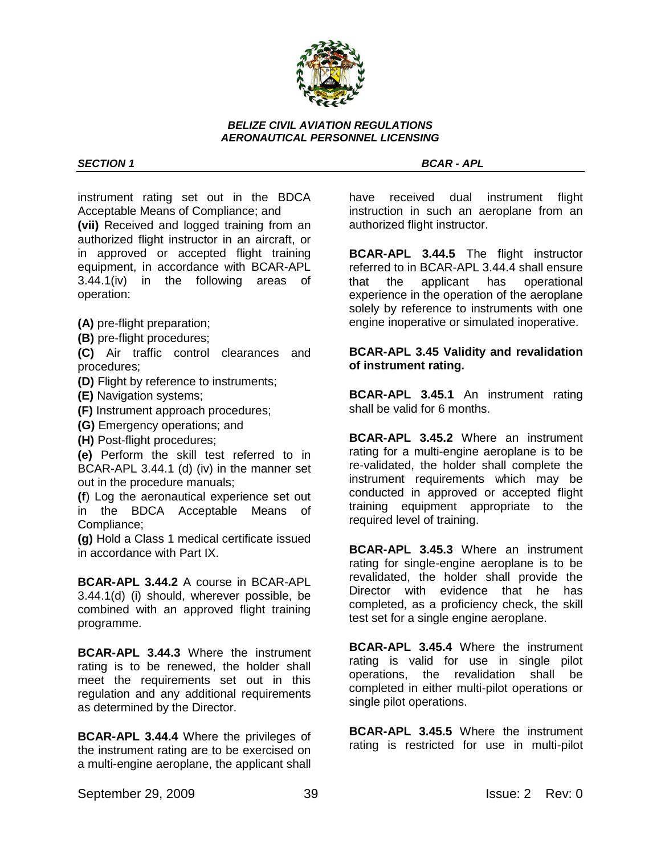

instrument rating set out in the BDCA Acceptable Means of Compliance; and **(vii)** Received and logged training from an authorized flight instructor in an aircraft, or in approved or accepted flight training equipment, in accordance with BCAR-APL 3.44.1(iv) in the following areas of operation:

**(A)** pre-flight preparation;

**(B)** pre-flight procedures;

**(C)** Air traffic control clearances and procedures;

- **(D)** Flight by reference to instruments;
- **(E)** Navigation systems;
- **(F)** Instrument approach procedures;
- **(G)** Emergency operations; and
- **(H)** Post-flight procedures;

**(e)** Perform the skill test referred to in BCAR-APL 3.44.1 (d) (iv) in the manner set out in the procedure manuals;

**(f**) Log the aeronautical experience set out in the BDCA Acceptable Means of Compliance;

**(g)** Hold a Class 1 medical certificate issued in accordance with Part IX.

**BCAR-APL 3.44.2** A course in BCAR-APL 3.44.1(d) (i) should, wherever possible, be combined with an approved flight training programme.

**BCAR-APL 3.44.3** Where the instrument rating is to be renewed, the holder shall meet the requirements set out in this regulation and any additional requirements as determined by the Director.

**BCAR-APL 3.44.4** Where the privileges of the instrument rating are to be exercised on a multi-engine aeroplane, the applicant shall

*SECTION 1 BCAR - APL* 

have received dual instrument flight instruction in such an aeroplane from an authorized flight instructor.

**BCAR-APL 3.44.5** The flight instructor referred to in BCAR-APL 3.44.4 shall ensure that the applicant has operational experience in the operation of the aeroplane solely by reference to instruments with one engine inoperative or simulated inoperative.

**BCAR-APL 3.45 Validity and revalidation of instrument rating.**

**BCAR-APL 3.45.1** An instrument rating shall be valid for 6 months.

**BCAR-APL 3.45.2** Where an instrument rating for a multi-engine aeroplane is to be re-validated, the holder shall complete the instrument requirements which may be conducted in approved or accepted flight training equipment appropriate to the required level of training.

**BCAR-APL 3.45.3** Where an instrument rating for single-engine aeroplane is to be revalidated, the holder shall provide the Director with evidence that he has completed, as a proficiency check, the skill test set for a single engine aeroplane.

**BCAR-APL 3.45.4** Where the instrument rating is valid for use in single pilot operations, the revalidation shall be completed in either multi-pilot operations or single pilot operations.

**BCAR-APL 3.45.5** Where the instrument rating is restricted for use in multi-pilot

September 29, 2009 39 39 Issue: 2 Rev: 0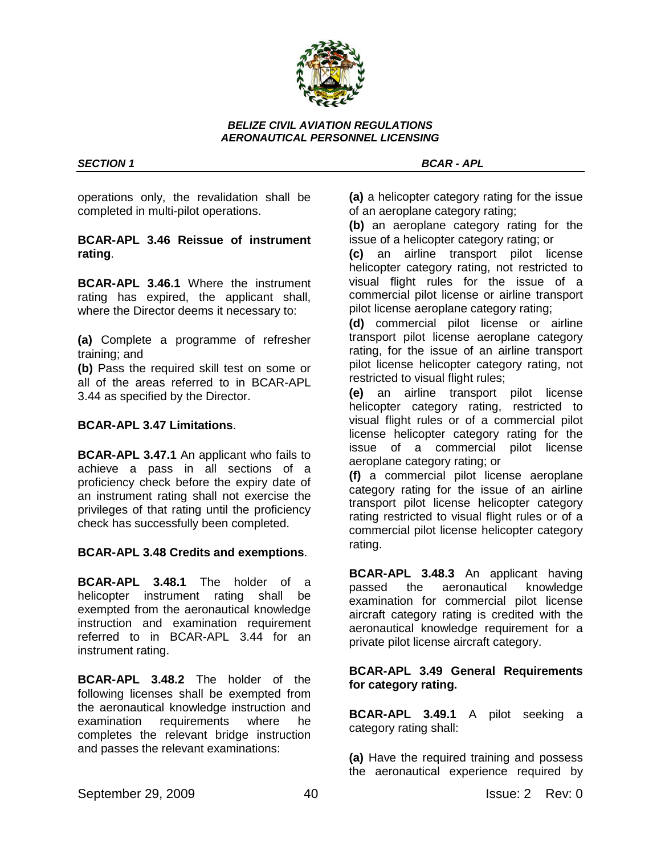

*SECTION 1 BCAR - APL* 

operations only, the revalidation shall be completed in multi-pilot operations.

# **BCAR-APL 3.46 Reissue of instrument rating**.

**BCAR-APL 3.46.1** Where the instrument rating has expired, the applicant shall, where the Director deems it necessary to:

**(a)** Complete a programme of refresher training; and

**(b)** Pass the required skill test on some or all of the areas referred to in BCAR-APL 3.44 as specified by the Director.

# **BCAR-APL 3.47 Limitations**.

**BCAR-APL 3.47.1** An applicant who fails to achieve a pass in all sections of a proficiency check before the expiry date of an instrument rating shall not exercise the privileges of that rating until the proficiency check has successfully been completed.

# **BCAR-APL 3.48 Credits and exemptions**.

**BCAR-APL 3.48.1** The holder of a helicopter instrument rating shall be exempted from the aeronautical knowledge instruction and examination requirement referred to in BCAR-APL 3.44 for an instrument rating.

**BCAR-APL 3.48.2** The holder of the following licenses shall be exempted from the aeronautical knowledge instruction and examination requirements where he completes the relevant bridge instruction and passes the relevant examinations:

**(a)** a helicopter category rating for the issue of an aeroplane category rating;

**(b)** an aeroplane category rating for the issue of a helicopter category rating; or

**(c)** an airline transport pilot license helicopter category rating, not restricted to visual flight rules for the issue of a commercial pilot license or airline transport pilot license aeroplane category rating;

**(d)** commercial pilot license or airline transport pilot license aeroplane category rating, for the issue of an airline transport pilot license helicopter category rating, not restricted to visual flight rules;

**(e)** an airline transport pilot license helicopter category rating, restricted to visual flight rules or of a commercial pilot license helicopter category rating for the issue of a commercial pilot license aeroplane category rating; or

**(f)** a commercial pilot license aeroplane category rating for the issue of an airline transport pilot license helicopter category rating restricted to visual flight rules or of a commercial pilot license helicopter category rating.

**BCAR-APL 3.48.3** An applicant having passed the aeronautical knowledge examination for commercial pilot license aircraft category rating is credited with the aeronautical knowledge requirement for a private pilot license aircraft category.

# **BCAR-APL 3.49 General Requirements for category rating.**

**BCAR-APL 3.49.1** A pilot seeking a category rating shall:

**(a)** Have the required training and possess the aeronautical experience required by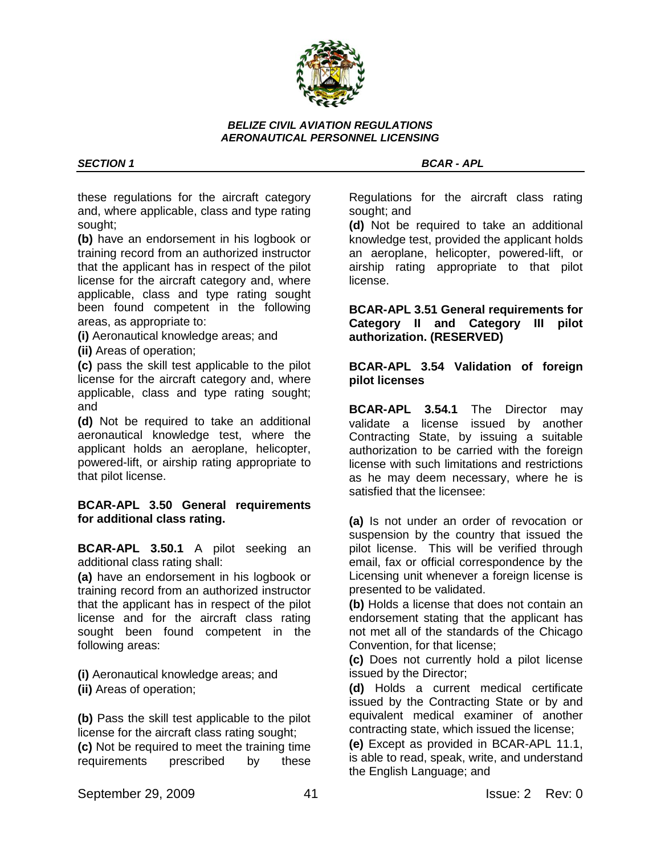

these regulations for the aircraft category and, where applicable, class and type rating sought;

**(b)** have an endorsement in his logbook or training record from an authorized instructor that the applicant has in respect of the pilot license for the aircraft category and, where applicable, class and type rating sought been found competent in the following areas, as appropriate to:

**(i)** Aeronautical knowledge areas; and

**(ii)** Areas of operation;

**(c)** pass the skill test applicable to the pilot license for the aircraft category and, where applicable, class and type rating sought; and

**(d)** Not be required to take an additional aeronautical knowledge test, where the applicant holds an aeroplane, helicopter, powered-lift, or airship rating appropriate to that pilot license.

# **BCAR-APL 3.50 General requirements for additional class rating.**

**BCAR-APL 3.50.1** A pilot seeking an additional class rating shall:

**(a)** have an endorsement in his logbook or training record from an authorized instructor that the applicant has in respect of the pilot license and for the aircraft class rating sought been found competent in the following areas:

**(i)** Aeronautical knowledge areas; and **(ii)** Areas of operation;

**(b)** Pass the skill test applicable to the pilot license for the aircraft class rating sought; **(c)** Not be required to meet the training time requirements prescribed by these

Regulations for the aircraft class rating sought; and

**(d)** Not be required to take an additional knowledge test, provided the applicant holds an aeroplane, helicopter, powered-lift, or airship rating appropriate to that pilot license.

**BCAR-APL 3.51 General requirements for Category II and Category III pilot authorization. (RESERVED)**

# **BCAR-APL 3.54 Validation of foreign pilot licenses**

**BCAR-APL 3.54.1** The Director may validate a license issued by another Contracting State, by issuing a suitable authorization to be carried with the foreign license with such limitations and restrictions as he may deem necessary, where he is satisfied that the licensee:

**(a)** Is not under an order of revocation or suspension by the country that issued the pilot license. This will be verified through email, fax or official correspondence by the Licensing unit whenever a foreign license is presented to be validated.

**(b)** Holds a license that does not contain an endorsement stating that the applicant has not met all of the standards of the Chicago Convention, for that license;

**(c)** Does not currently hold a pilot license issued by the Director;

**(d)** Holds a current medical certificate issued by the Contracting State or by and equivalent medical examiner of another contracting state, which issued the license;

**(e)** Except as provided in BCAR-APL 11.1, is able to read, speak, write, and understand the English Language; and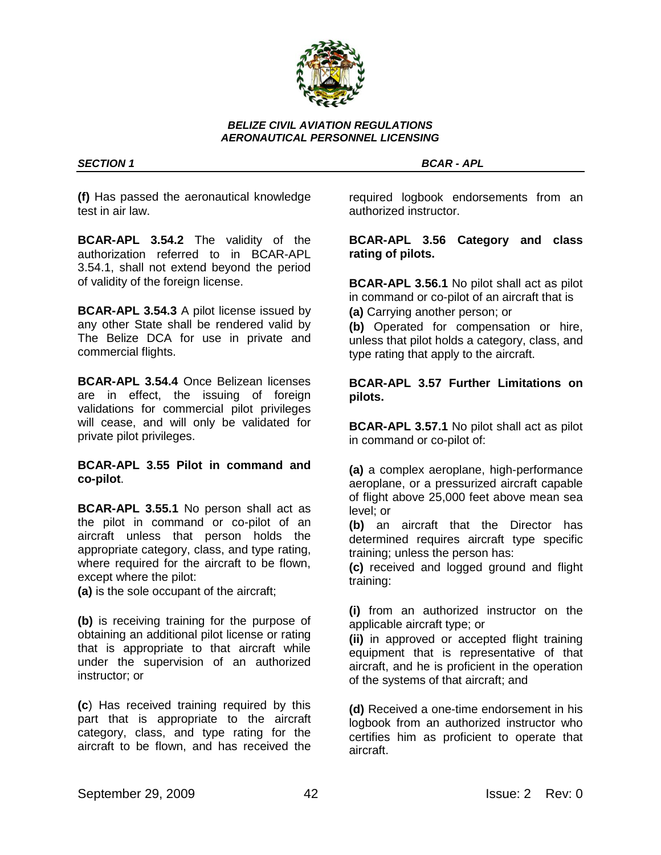

*SECTION 1 BCAR - APL* 

**(f)** Has passed the aeronautical knowledge test in air law.

**BCAR-APL 3.54.2** The validity of the authorization referred to in BCAR-APL 3.54.1, shall not extend beyond the period of validity of the foreign license.

**BCAR-APL 3.54.3** A pilot license issued by any other State shall be rendered valid by The Belize DCA for use in private and commercial flights.

**BCAR-APL 3.54.4** Once Belizean licenses are in effect, the issuing of foreign validations for commercial pilot privileges will cease, and will only be validated for private pilot privileges.

**BCAR-APL 3.55 Pilot in command and co-pilot**.

**BCAR-APL 3.55.1** No person shall act as the pilot in command or co-pilot of an aircraft unless that person holds the appropriate category, class, and type rating, where required for the aircraft to be flown, except where the pilot:

**(a)** is the sole occupant of the aircraft;

**(b)** is receiving training for the purpose of obtaining an additional pilot license or rating that is appropriate to that aircraft while under the supervision of an authorized instructor; or

**(c**) Has received training required by this part that is appropriate to the aircraft category, class, and type rating for the aircraft to be flown, and has received the

required logbook endorsements from an authorized instructor.

# **BCAR-APL 3.56 Category and class rating of pilots.**

**BCAR-APL 3.56.1** No pilot shall act as pilot in command or co-pilot of an aircraft that is

**(a)** Carrying another person; or

**(b)** Operated for compensation or hire, unless that pilot holds a category, class, and type rating that apply to the aircraft.

# **BCAR-APL 3.57 Further Limitations on pilots.**

**BCAR-APL 3.57.1** No pilot shall act as pilot in command or co-pilot of:

**(a)** a complex aeroplane, high-performance aeroplane, or a pressurized aircraft capable of flight above 25,000 feet above mean sea level; or

**(b)** an aircraft that the Director has determined requires aircraft type specific training; unless the person has:

**(c)** received and logged ground and flight training:

**(i)** from an authorized instructor on the applicable aircraft type; or

**(ii)** in approved or accepted flight training equipment that is representative of that aircraft, and he is proficient in the operation of the systems of that aircraft; and

**(d)** Received a one-time endorsement in his logbook from an authorized instructor who certifies him as proficient to operate that aircraft.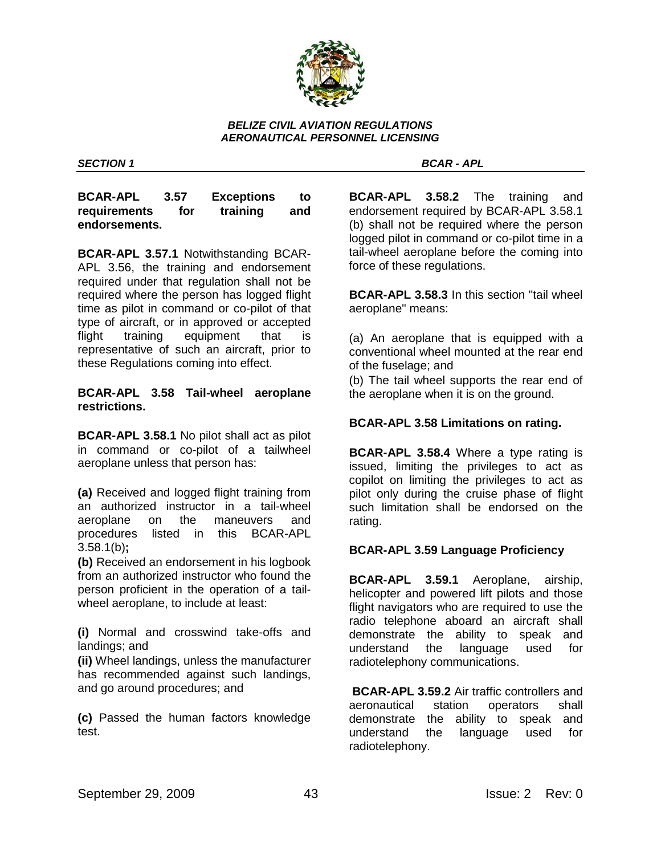

**BCAR-APL 3.57 Exceptions to requirements for training and endorsements.**

**BCAR-APL 3.57.1** Notwithstanding BCAR-APL 3.56, the training and endorsement required under that regulation shall not be required where the person has logged flight time as pilot in command or co-pilot of that type of aircraft, or in approved or accepted flight training equipment that is representative of such an aircraft, prior to these Regulations coming into effect.

## **BCAR-APL 3.58 Tail-wheel aeroplane restrictions.**

**BCAR-APL 3.58.1** No pilot shall act as pilot in command or co-pilot of a tailwheel aeroplane unless that person has:

**(a)** Received and logged flight training from an authorized instructor in a tail-wheel aeroplane on the maneuvers and procedures listed in this BCAR-APL 3.58.1(b)**;**

**(b)** Received an endorsement in his logbook from an authorized instructor who found the person proficient in the operation of a tailwheel aeroplane, to include at least:

**(i)** Normal and crosswind take-offs and landings; and

**(ii)** Wheel landings, unless the manufacturer has recommended against such landings, and go around procedures; and

**(c)** Passed the human factors knowledge test.

*SECTION 1 BCAR - APL* 

**BCAR-APL 3.58.2** The training and endorsement required by BCAR-APL 3.58.1 (b) shall not be required where the person logged pilot in command or co-pilot time in a tail-wheel aeroplane before the coming into force of these regulations.

**BCAR-APL 3.58.3** In this section "tail wheel aeroplane" means:

(a) An aeroplane that is equipped with a conventional wheel mounted at the rear end of the fuselage; and

(b) The tail wheel supports the rear end of the aeroplane when it is on the ground.

# **BCAR-APL 3.58 Limitations on rating.**

**BCAR-APL 3.58.4** Where a type rating is issued, limiting the privileges to act as copilot on limiting the privileges to act as pilot only during the cruise phase of flight such limitation shall be endorsed on the rating.

# **BCAR-APL 3.59 Language Proficiency**

**BCAR-APL 3.59.1** Aeroplane, airship, helicopter and powered lift pilots and those flight navigators who are required to use the radio telephone aboard an aircraft shall demonstrate the ability to speak and understand the language used for radiotelephony communications.

**BCAR-APL 3.59.2** Air traffic controllers and aeronautical station operators shall demonstrate the ability to speak and understand the language used for radiotelephony.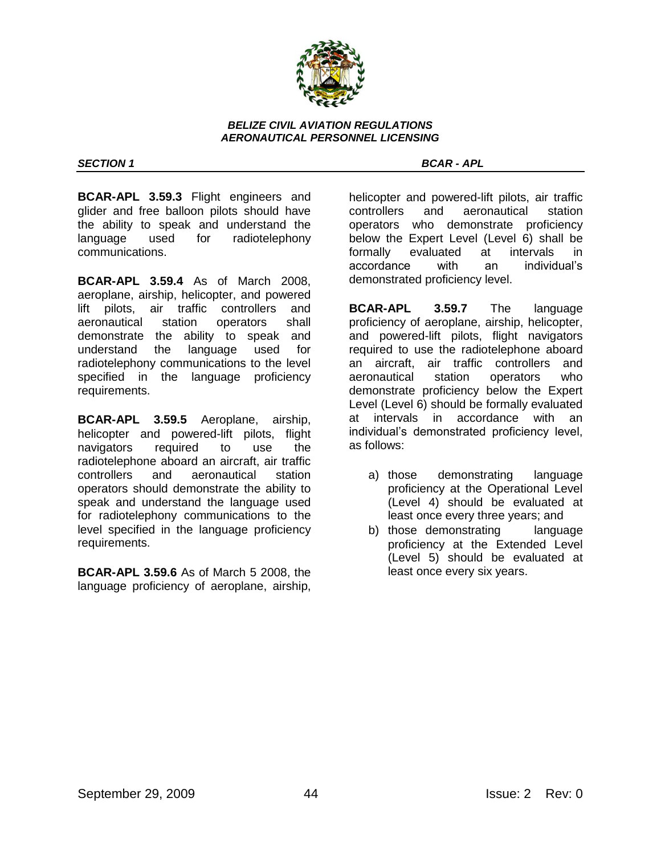

**BCAR-APL 3.59.3** Flight engineers and glider and free balloon pilots should have the ability to speak and understand the language used for radiotelephony communications.

**BCAR-APL 3.59.4** As of March 2008, aeroplane, airship, helicopter, and powered lift pilots, air traffic controllers and aeronautical station operators shall demonstrate the ability to speak and understand the language used for radiotelephony communications to the level specified in the language proficiency requirements.

**BCAR-APL 3.59.5** Aeroplane, airship, helicopter and powered-lift pilots, flight navigators required to use the radiotelephone aboard an aircraft, air traffic controllers and aeronautical station operators should demonstrate the ability to speak and understand the language used for radiotelephony communications to the level specified in the language proficiency requirements.

**BCAR-APL 3.59.6** As of March 5 2008, the language proficiency of aeroplane, airship,

## *SECTION 1 BCAR - APL*

helicopter and powered-lift pilots, air traffic controllers and aeronautical station operators who demonstrate proficiency below the Expert Level (Level 6) shall be formally evaluated at intervals in accordance with an individual"s demonstrated proficiency level.

**BCAR-APL 3.59.7** The language proficiency of aeroplane, airship, helicopter, and powered-lift pilots, flight navigators required to use the radiotelephone aboard an aircraft, air traffic controllers and aeronautical station operators who demonstrate proficiency below the Expert Level (Level 6) should be formally evaluated at intervals in accordance with an individual"s demonstrated proficiency level, as follows:

- a) those demonstrating language proficiency at the Operational Level (Level 4) should be evaluated at least once every three years; and
- b) those demonstrating language proficiency at the Extended Level (Level 5) should be evaluated at least once every six years.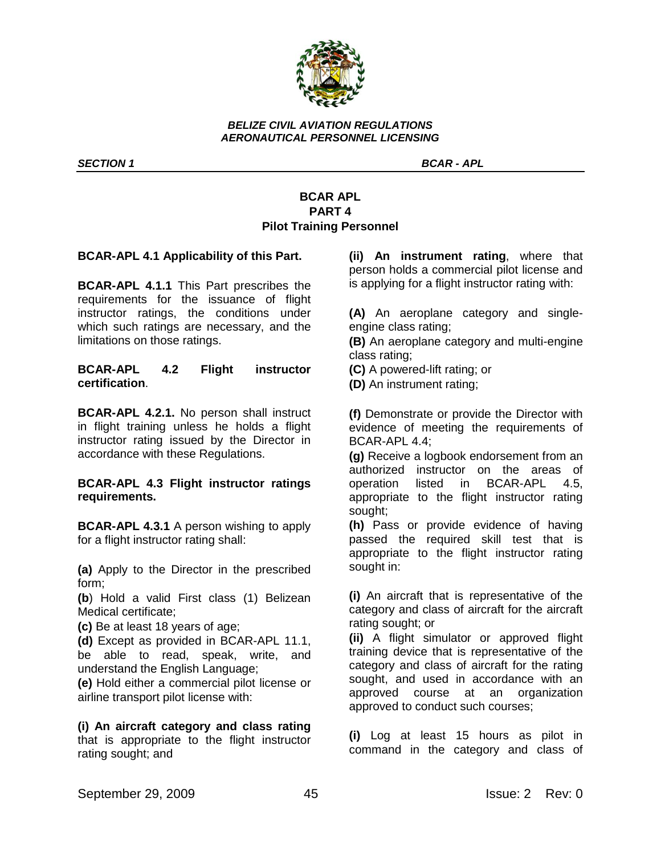

*SECTION 1 BCAR - APL* 

# **BCAR APL PART 4 Pilot Training Personnel**

# **BCAR-APL 4.1 Applicability of this Part.**

**BCAR-APL 4.1.1** This Part prescribes the requirements for the issuance of flight instructor ratings, the conditions under which such ratings are necessary, and the limitations on those ratings.

**BCAR-APL 4.2 Flight instructor certification**.

**BCAR-APL 4.2.1.** No person shall instruct in flight training unless he holds a flight instructor rating issued by the Director in accordance with these Regulations.

## **BCAR-APL 4.3 Flight instructor ratings requirements.**

**BCAR-APL 4.3.1** A person wishing to apply for a flight instructor rating shall:

**(a)** Apply to the Director in the prescribed form;

**(b**) Hold a valid First class (1) Belizean Medical certificate;

**(c)** Be at least 18 years of age;

**(d)** Except as provided in BCAR-APL 11.1, be able to read, speak, write, and understand the English Language;

**(e)** Hold either a commercial pilot license or airline transport pilot license with:

# **(i) An aircraft category and class rating**

that is appropriate to the flight instructor rating sought; and

**(ii) An instrument rating**, where that person holds a commercial pilot license and is applying for a flight instructor rating with:

**(A)** An aeroplane category and singleengine class rating;

**(B)** An aeroplane category and multi-engine class rating;

**(C)** A powered-lift rating; or

**(D)** An instrument rating;

**(f)** Demonstrate or provide the Director with evidence of meeting the requirements of BCAR-APL 4.4;

**(g)** Receive a logbook endorsement from an authorized instructor on the areas of operation listed in BCAR-APL 4.5, appropriate to the flight instructor rating sought;

**(h)** Pass or provide evidence of having passed the required skill test that is appropriate to the flight instructor rating sought in:

**(i)** An aircraft that is representative of the category and class of aircraft for the aircraft rating sought; or

**(ii)** A flight simulator or approved flight training device that is representative of the category and class of aircraft for the rating sought, and used in accordance with an approved course at an organization approved to conduct such courses;

**(i)** Log at least 15 hours as pilot in command in the category and class of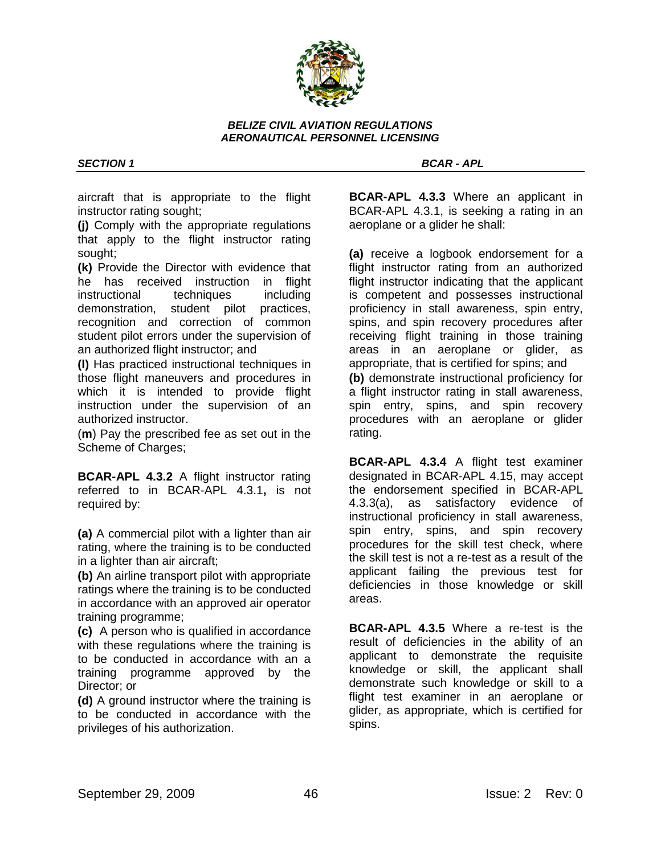

*SECTION 1 BCAR - APL* 

aircraft that is appropriate to the flight instructor rating sought;

**(j)** Comply with the appropriate regulations that apply to the flight instructor rating sought;

**(k)** Provide the Director with evidence that he has received instruction in flight instructional techniques including demonstration, student pilot practices, recognition and correction of common student pilot errors under the supervision of an authorized flight instructor; and

**(l)** Has practiced instructional techniques in those flight maneuvers and procedures in which it is intended to provide flight instruction under the supervision of an authorized instructor.

(**m**) Pay the prescribed fee as set out in the Scheme of Charges;

**BCAR-APL 4.3.2** A flight instructor rating referred to in BCAR-APL 4.3.1**,** is not required by:

**(a)** A commercial pilot with a lighter than air rating, where the training is to be conducted in a lighter than air aircraft;

**(b)** An airline transport pilot with appropriate ratings where the training is to be conducted in accordance with an approved air operator training programme;

**(c)** A person who is qualified in accordance with these regulations where the training is to be conducted in accordance with an a training programme approved by the Director; or

**(d)** A ground instructor where the training is to be conducted in accordance with the privileges of his authorization.

**BCAR-APL 4.3.3** Where an applicant in BCAR-APL 4.3.1, is seeking a rating in an aeroplane or a glider he shall:

**(a)** receive a logbook endorsement for a flight instructor rating from an authorized flight instructor indicating that the applicant is competent and possesses instructional proficiency in stall awareness, spin entry, spins, and spin recovery procedures after receiving flight training in those training areas in an aeroplane or glider, as appropriate, that is certified for spins; and **(b)** demonstrate instructional proficiency for a flight instructor rating in stall awareness, spin entry, spins, and spin recovery procedures with an aeroplane or glider rating.

**BCAR-APL 4.3.4** A flight test examiner designated in BCAR-APL 4.15, may accept the endorsement specified in BCAR-APL 4.3.3(a), as satisfactory evidence of instructional proficiency in stall awareness, spin entry, spins, and spin recovery procedures for the skill test check, where the skill test is not a re-test as a result of the applicant failing the previous test for deficiencies in those knowledge or skill areas.

**BCAR-APL 4.3.5** Where a re-test is the result of deficiencies in the ability of an applicant to demonstrate the requisite knowledge or skill, the applicant shall demonstrate such knowledge or skill to a flight test examiner in an aeroplane or glider, as appropriate, which is certified for spins.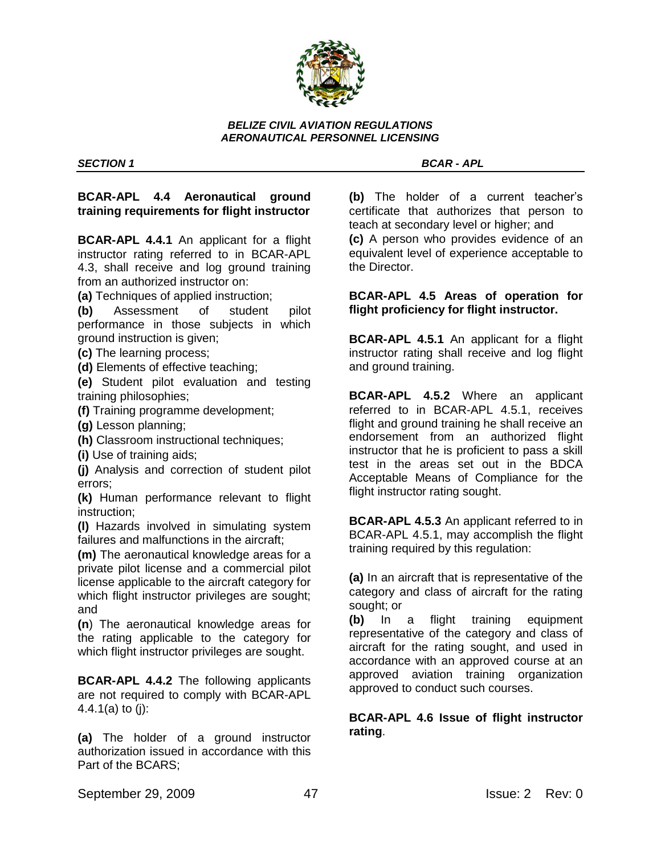

## *SECTION 1 BCAR - APL*

## **BCAR-APL 4.4 Aeronautical ground training requirements for flight instructor**

**BCAR-APL 4.4.1** An applicant for a flight instructor rating referred to in BCAR-APL 4.3, shall receive and log ground training from an authorized instructor on:

**(a)** Techniques of applied instruction;

**(b)** Assessment of student pilot performance in those subjects in which ground instruction is given;

- **(c)** The learning process;
- **(d)** Elements of effective teaching;

**(e)** Student pilot evaluation and testing training philosophies;

- **(f)** Training programme development;
- **(g)** Lesson planning;
- **(h)** Classroom instructional techniques;
- **(i)** Use of training aids;

**(j)** Analysis and correction of student pilot errors;

**(k)** Human performance relevant to flight instruction;

**(l)** Hazards involved in simulating system failures and malfunctions in the aircraft;

**(m)** The aeronautical knowledge areas for a private pilot license and a commercial pilot license applicable to the aircraft category for which flight instructor privileges are sought; and

**(n**) The aeronautical knowledge areas for the rating applicable to the category for which flight instructor privileges are sought.

**BCAR-APL 4.4.2** The following applicants are not required to comply with BCAR-APL 4.4.1(a) to (j):

**(a)** The holder of a ground instructor authorization issued in accordance with this Part of the BCARS;

**(b)** The holder of a current teacher"s certificate that authorizes that person to teach at secondary level or higher; and

**(c)** A person who provides evidence of an equivalent level of experience acceptable to the Director.

## **BCAR-APL 4.5 Areas of operation for flight proficiency for flight instructor.**

**BCAR-APL 4.5.1** An applicant for a flight instructor rating shall receive and log flight and ground training.

**BCAR-APL 4.5.2** Where an applicant referred to in BCAR-APL 4.5.1, receives flight and ground training he shall receive an endorsement from an authorized flight instructor that he is proficient to pass a skill test in the areas set out in the BDCA Acceptable Means of Compliance for the flight instructor rating sought.

**BCAR-APL 4.5.3** An applicant referred to in BCAR-APL 4.5.1, may accomplish the flight training required by this regulation:

**(a)** In an aircraft that is representative of the category and class of aircraft for the rating sought; or

**(b)** In a flight training equipment representative of the category and class of aircraft for the rating sought, and used in accordance with an approved course at an approved aviation training organization approved to conduct such courses.

**BCAR-APL 4.6 Issue of flight instructor rating**.

September 29, 2009 47 **All Accords** 47 **Issue: 2 Rev: 0**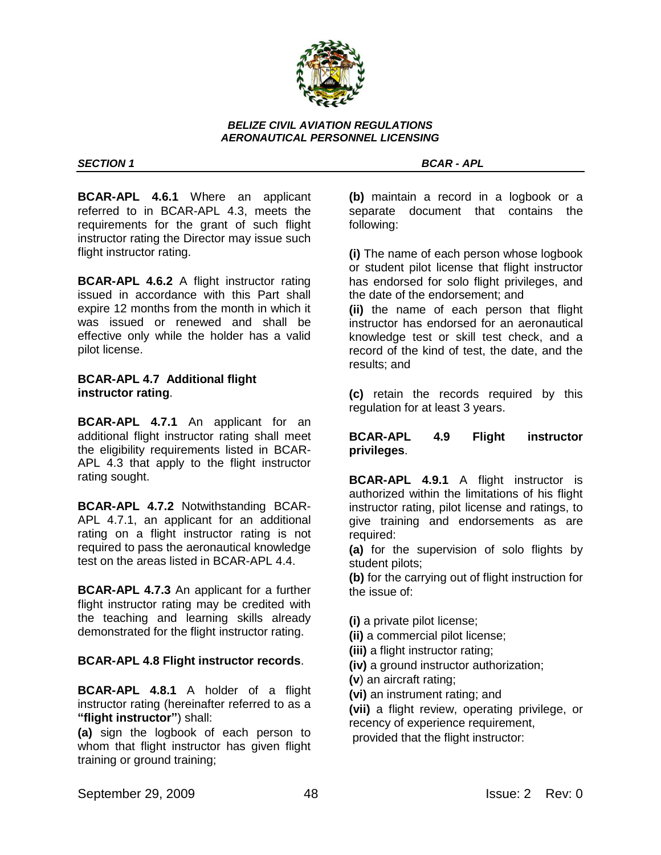

**BCAR-APL 4.6.1** Where an applicant referred to in BCAR-APL 4.3, meets the requirements for the grant of such flight instructor rating the Director may issue such flight instructor rating.

**BCAR-APL 4.6.2** A flight instructor rating issued in accordance with this Part shall expire 12 months from the month in which it was issued or renewed and shall be effective only while the holder has a valid pilot license.

## **BCAR-APL 4.7 Additional flight instructor rating**.

**BCAR-APL 4.7.1** An applicant for an additional flight instructor rating shall meet the eligibility requirements listed in BCAR-APL 4.3 that apply to the flight instructor rating sought.

**BCAR-APL 4.7.2** Notwithstanding BCAR-APL 4.7.1, an applicant for an additional rating on a flight instructor rating is not required to pass the aeronautical knowledge test on the areas listed in BCAR-APL 4.4.

**BCAR-APL 4.7.3** An applicant for a further flight instructor rating may be credited with the teaching and learning skills already demonstrated for the flight instructor rating.

# **BCAR-APL 4.8 Flight instructor records**.

**BCAR-APL 4.8.1** A holder of a flight instructor rating (hereinafter referred to as a **"flight instructor"**) shall:

**(a)** sign the logbook of each person to whom that flight instructor has given flight training or ground training;

*SECTION 1 BCAR - APL* 

**(b)** maintain a record in a logbook or a separate document that contains the following:

**(i)** The name of each person whose logbook or student pilot license that flight instructor has endorsed for solo flight privileges, and the date of the endorsement; and

**(ii)** the name of each person that flight instructor has endorsed for an aeronautical knowledge test or skill test check, and a record of the kind of test, the date, and the results; and

**(c)** retain the records required by this regulation for at least 3 years.

# **BCAR-APL 4.9 Flight instructor privileges**.

**BCAR-APL 4.9.1** A flight instructor is authorized within the limitations of his flight instructor rating, pilot license and ratings, to give training and endorsements as are required:

**(a)** for the supervision of solo flights by student pilots;

**(b)** for the carrying out of flight instruction for the issue of:

**(i)** a private pilot license;

**(ii)** a commercial pilot license;

**(iii)** a flight instructor rating;

**(iv)** a ground instructor authorization;

**(v**) an aircraft rating;

**(vi)** an instrument rating; and

**(vii)** a flight review, operating privilege, or recency of experience requirement,

provided that the flight instructor:

September 29, 2009 **48 ISSUE: 2 Rev: 0 ISSUE: 2 Rev: 0**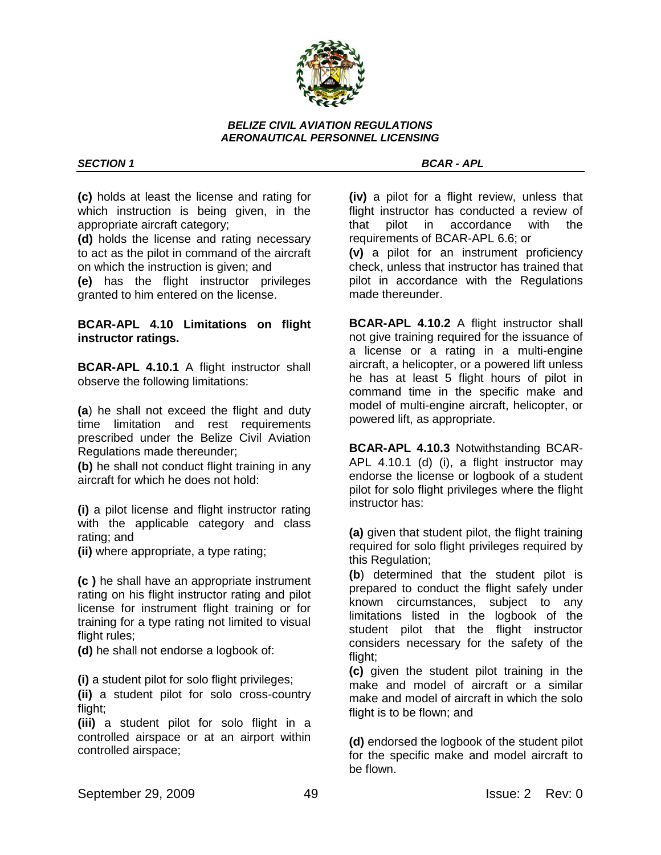

**(c)** holds at least the license and rating for which instruction is being given, in the appropriate aircraft category;

**(d)** holds the license and rating necessary to act as the pilot in command of the aircraft on which the instruction is given; and

**(e)** has the flight instructor privileges granted to him entered on the license.

# **BCAR-APL 4.10 Limitations on flight instructor ratings.**

**BCAR-APL 4.10.1** A flight instructor shall observe the following limitations:

**(a**) he shall not exceed the flight and duty time limitation and rest requirements prescribed under the Belize Civil Aviation Regulations made thereunder;

**(b)** he shall not conduct flight training in any aircraft for which he does not hold:

**(i)** a pilot license and flight instructor rating with the applicable category and class rating; and

**(ii)** where appropriate, a type rating;

**(c )** he shall have an appropriate instrument rating on his flight instructor rating and pilot license for instrument flight training or for training for a type rating not limited to visual flight rules;

**(d)** he shall not endorse a logbook of:

**(i)** a student pilot for solo flight privileges;

**(ii)** a student pilot for solo cross-country flight:

**(iii)** a student pilot for solo flight in a controlled airspace or at an airport within controlled airspace;

*SECTION 1 BCAR - APL* 

**(iv)** a pilot for a flight review, unless that flight instructor has conducted a review of that pilot in accordance with the requirements of BCAR-APL 6.6; or

**(v)** a pilot for an instrument proficiency check, unless that instructor has trained that pilot in accordance with the Regulations made thereunder.

**BCAR-APL 4.10.2** A flight instructor shall not give training required for the issuance of a license or a rating in a multi-engine aircraft, a helicopter, or a powered lift unless he has at least 5 flight hours of pilot in command time in the specific make and model of multi-engine aircraft, helicopter, or powered lift, as appropriate.

**BCAR-APL 4.10.3** Notwithstanding BCAR-APL 4.10.1 (d) (i), a flight instructor may endorse the license or logbook of a student pilot for solo flight privileges where the flight instructor has:

**(a)** given that student pilot, the flight training required for solo flight privileges required by this Regulation;

**(b**) determined that the student pilot is prepared to conduct the flight safely under known circumstances, subject to any limitations listed in the logbook of the student pilot that the flight instructor considers necessary for the safety of the flight;

**(c)** given the student pilot training in the make and model of aircraft or a similar make and model of aircraft in which the solo flight is to be flown; and

**(d)** endorsed the logbook of the student pilot for the specific make and model aircraft to be flown.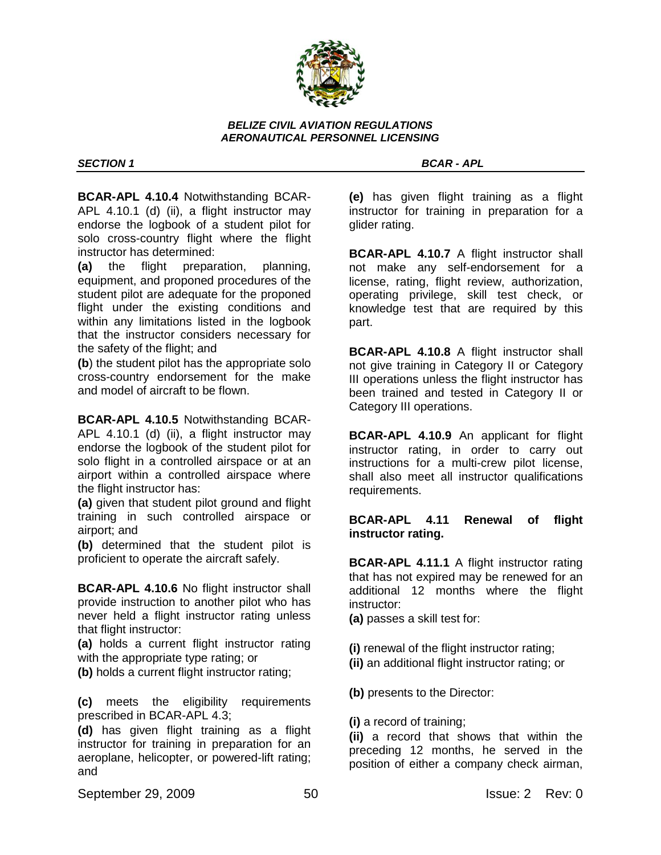

**BCAR-APL 4.10.4** Notwithstanding BCAR-APL 4.10.1 (d) (ii), a flight instructor may endorse the logbook of a student pilot for solo cross-country flight where the flight instructor has determined:

**(a)** the flight preparation, planning, equipment, and proponed procedures of the student pilot are adequate for the proponed flight under the existing conditions and within any limitations listed in the logbook that the instructor considers necessary for the safety of the flight; and

**(b**) the student pilot has the appropriate solo cross-country endorsement for the make and model of aircraft to be flown.

**BCAR-APL 4.10.5** Notwithstanding BCAR-APL 4.10.1 (d) (ii), a flight instructor may endorse the logbook of the student pilot for solo flight in a controlled airspace or at an airport within a controlled airspace where the flight instructor has:

**(a)** given that student pilot ground and flight training in such controlled airspace or airport; and

**(b)** determined that the student pilot is proficient to operate the aircraft safely.

**BCAR-APL 4.10.6** No flight instructor shall provide instruction to another pilot who has never held a flight instructor rating unless that flight instructor:

**(a)** holds a current flight instructor rating with the appropriate type rating; or

**(b)** holds a current flight instructor rating;

**(c)** meets the eligibility requirements prescribed in BCAR-APL 4.3;

**(d)** has given flight training as a flight instructor for training in preparation for an aeroplane, helicopter, or powered-lift rating; and

*SECTION 1 BCAR - APL* 

**(e)** has given flight training as a flight instructor for training in preparation for a glider rating.

**BCAR-APL 4.10.7** A flight instructor shall not make any self-endorsement for a license, rating, flight review, authorization, operating privilege, skill test check, or knowledge test that are required by this part.

**BCAR-APL 4.10.8** A flight instructor shall not give training in Category II or Category III operations unless the flight instructor has been trained and tested in Category II or Category III operations.

**BCAR-APL 4.10.9** An applicant for flight instructor rating, in order to carry out instructions for a multi-crew pilot license, shall also meet all instructor qualifications requirements.

**BCAR-APL 4.11 Renewal of flight instructor rating.**

**BCAR-APL 4.11.1** A flight instructor rating that has not expired may be renewed for an additional 12 months where the flight instructor:

**(a)** passes a skill test for:

**(i)** renewal of the flight instructor rating;

**(ii)** an additional flight instructor rating; or

**(b)** presents to the Director:

**(i)** a record of training;

**(ii)** a record that shows that within the preceding 12 months, he served in the position of either a company check airman,

September 29, 2009 **50 1991 1992 1993 1993 1993 1993 1998 1993 1998 1999 1999 1999**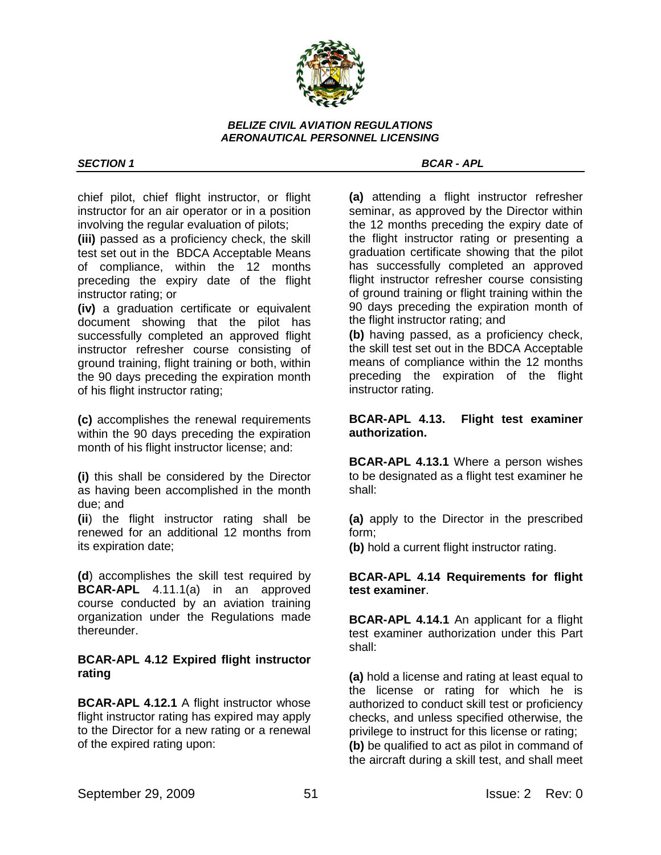

chief pilot, chief flight instructor, or flight instructor for an air operator or in a position involving the regular evaluation of pilots;

**(iii)** passed as a proficiency check, the skill test set out in the BDCA Acceptable Means of compliance, within the 12 months preceding the expiry date of the flight instructor rating; or

**(iv)** a graduation certificate or equivalent document showing that the pilot has successfully completed an approved flight instructor refresher course consisting of ground training, flight training or both, within the 90 days preceding the expiration month of his flight instructor rating;

**(c)** accomplishes the renewal requirements within the 90 days preceding the expiration month of his flight instructor license; and:

**(i)** this shall be considered by the Director as having been accomplished in the month due; and

**(ii**) the flight instructor rating shall be renewed for an additional 12 months from its expiration date;

**(d**) accomplishes the skill test required by **BCAR-APL** 4.11.1(a) in an approved course conducted by an aviation training organization under the Regulations made thereunder.

# **BCAR-APL 4.12 Expired flight instructor rating**

**BCAR-APL 4.12.1** A flight instructor whose flight instructor rating has expired may apply to the Director for a new rating or a renewal of the expired rating upon:

## *SECTION 1 BCAR - APL*

**(a)** attending a flight instructor refresher seminar, as approved by the Director within the 12 months preceding the expiry date of the flight instructor rating or presenting a graduation certificate showing that the pilot has successfully completed an approved flight instructor refresher course consisting of ground training or flight training within the 90 days preceding the expiration month of the flight instructor rating; and

**(b)** having passed, as a proficiency check, the skill test set out in the BDCA Acceptable means of compliance within the 12 months preceding the expiration of the flight instructor rating.

# **BCAR-APL 4.13. Flight test examiner authorization.**

**BCAR-APL 4.13.1** Where a person wishes to be designated as a flight test examiner he shall:

**(a)** apply to the Director in the prescribed form;

**(b)** hold a current flight instructor rating.

# **BCAR-APL 4.14 Requirements for flight test examiner**.

**BCAR-APL 4.14.1** An applicant for a flight test examiner authorization under this Part shall:

**(a)** hold a license and rating at least equal to the license or rating for which he is authorized to conduct skill test or proficiency checks, and unless specified otherwise, the privilege to instruct for this license or rating; **(b)** be qualified to act as pilot in command of the aircraft during a skill test, and shall meet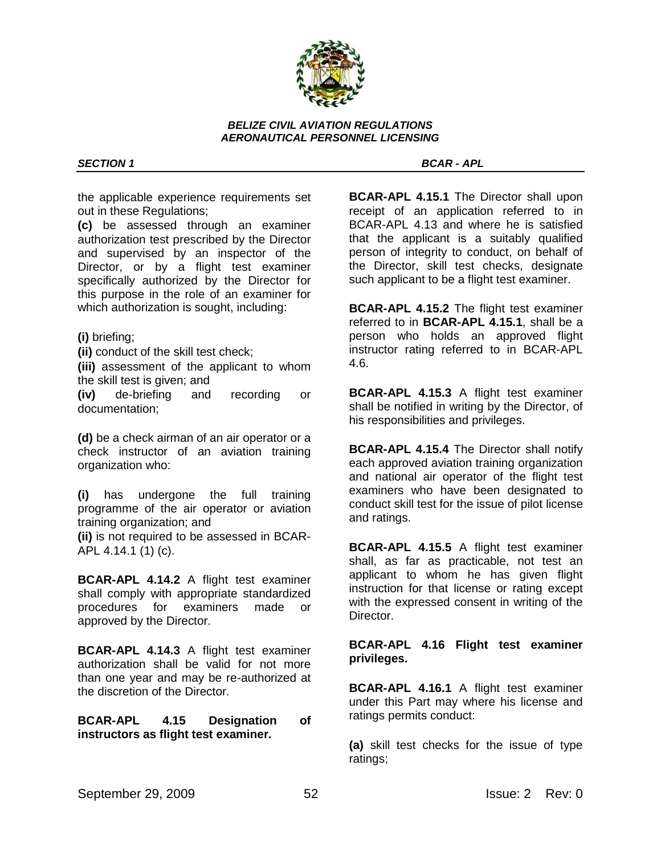

*SECTION 1 BCAR - APL* 

the applicable experience requirements set out in these Regulations;

**(c)** be assessed through an examiner authorization test prescribed by the Director and supervised by an inspector of the Director, or by a flight test examiner specifically authorized by the Director for this purpose in the role of an examiner for which authorization is sought, including:

**(i)** briefing;

**(ii)** conduct of the skill test check;

**(iii)** assessment of the applicant to whom the skill test is given; and

**(iv)** de-briefing and recording or documentation;

**(d)** be a check airman of an air operator or a check instructor of an aviation training organization who:

**(i)** has undergone the full training programme of the air operator or aviation training organization; and

**(ii)** is not required to be assessed in BCAR-APL 4.14.1 (1) (c).

**BCAR-APL 4.14.2** A flight test examiner shall comply with appropriate standardized procedures for examiners made or approved by the Director.

**BCAR-APL 4.14.3** A flight test examiner authorization shall be valid for not more than one year and may be re-authorized at the discretion of the Director.

**BCAR-APL 4.15 Designation of instructors as flight test examiner.**

**BCAR-APL 4.15.1** The Director shall upon receipt of an application referred to in BCAR-APL 4.13 and where he is satisfied that the applicant is a suitably qualified person of integrity to conduct, on behalf of the Director, skill test checks, designate such applicant to be a flight test examiner.

**BCAR-APL 4.15.2** The flight test examiner referred to in **BCAR-APL 4.15.1**, shall be a person who holds an approved flight instructor rating referred to in BCAR-APL 4.6.

**BCAR-APL 4.15.3** A flight test examiner shall be notified in writing by the Director, of his responsibilities and privileges.

**BCAR-APL 4.15.4** The Director shall notify each approved aviation training organization and national air operator of the flight test examiners who have been designated to conduct skill test for the issue of pilot license and ratings.

**BCAR-APL 4.15.5** A flight test examiner shall, as far as practicable, not test an applicant to whom he has given flight instruction for that license or rating except with the expressed consent in writing of the Director.

# **BCAR-APL 4.16 Flight test examiner privileges.**

**BCAR-APL 4.16.1** A flight test examiner under this Part may where his license and ratings permits conduct:

**(a)** skill test checks for the issue of type ratings;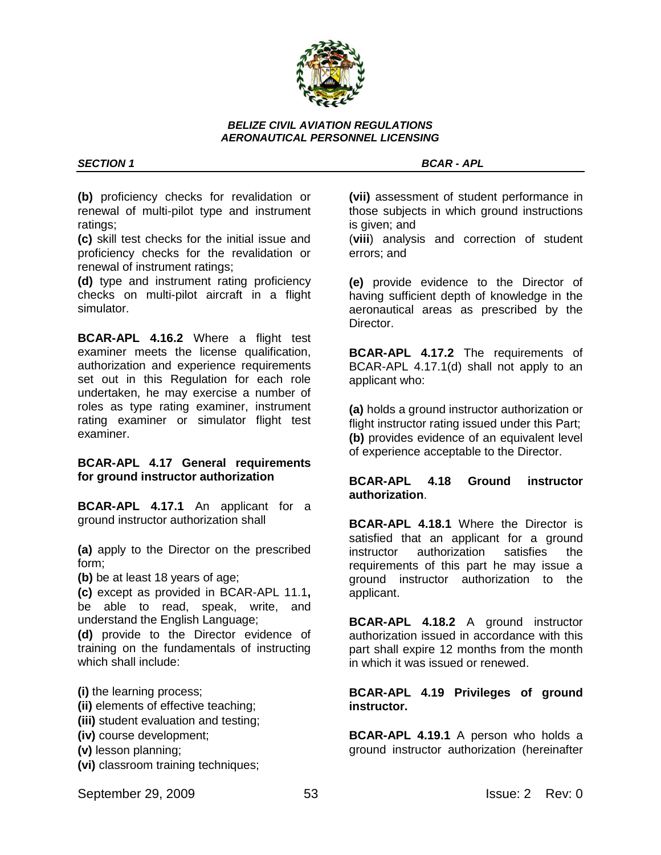

*SECTION 1 BCAR - APL* 

**(b)** proficiency checks for revalidation or renewal of multi-pilot type and instrument ratings;

**(c)** skill test checks for the initial issue and proficiency checks for the revalidation or renewal of instrument ratings;

**(d)** type and instrument rating proficiency checks on multi-pilot aircraft in a flight simulator.

**BCAR-APL 4.16.2** Where a flight test examiner meets the license qualification, authorization and experience requirements set out in this Regulation for each role undertaken, he may exercise a number of roles as type rating examiner, instrument rating examiner or simulator flight test examiner.

# **BCAR-APL 4.17 General requirements for ground instructor authorization**

**BCAR-APL 4.17.1** An applicant for a ground instructor authorization shall

**(a)** apply to the Director on the prescribed form;

**(b)** be at least 18 years of age;

**(c)** except as provided in BCAR-APL 11.1**,** be able to read, speak, write, and understand the English Language;

**(d)** provide to the Director evidence of training on the fundamentals of instructing which shall include:

**(i)** the learning process;

- **(ii)** elements of effective teaching;
- **(iii)** student evaluation and testing;
- **(iv)** course development;

**(v)** lesson planning;

**(vi)** classroom training techniques;

**(vii)** assessment of student performance in those subjects in which ground instructions is given; and

(**viii**) analysis and correction of student errors; and

**(e)** provide evidence to the Director of having sufficient depth of knowledge in the aeronautical areas as prescribed by the Director.

**BCAR-APL 4.17.2** The requirements of BCAR-APL 4.17.1(d) shall not apply to an applicant who:

**(a)** holds a ground instructor authorization or flight instructor rating issued under this Part; **(b)** provides evidence of an equivalent level of experience acceptable to the Director.

# **BCAR-APL 4.18 Ground instructor authorization**.

**BCAR-APL 4.18.1** Where the Director is satisfied that an applicant for a ground instructor authorization satisfies the requirements of this part he may issue a ground instructor authorization to the applicant.

**BCAR-APL 4.18.2** A ground instructor authorization issued in accordance with this part shall expire 12 months from the month in which it was issued or renewed.

**BCAR-APL 4.19 Privileges of ground instructor.**

**BCAR-APL 4.19.1** A person who holds a ground instructor authorization (hereinafter

September 29, 2009 53 Issue: 2 Rev: 0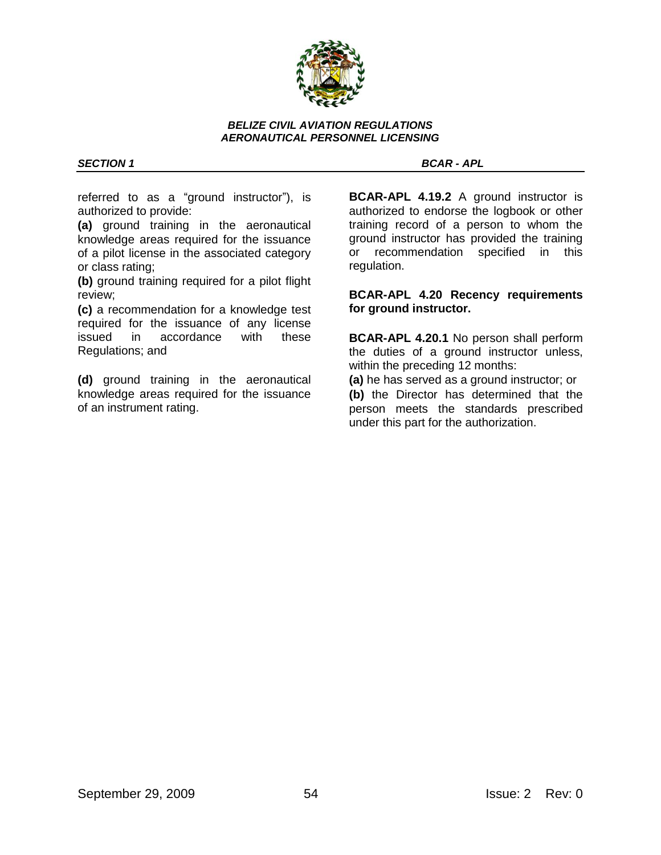

*SECTION 1 BCAR - APL* 

referred to as a "ground instructor"), is authorized to provide:

**(a)** ground training in the aeronautical knowledge areas required for the issuance of a pilot license in the associated category or class rating;

**(b)** ground training required for a pilot flight review;

**(c)** a recommendation for a knowledge test required for the issuance of any license issued in accordance with these Regulations; and

**(d)** ground training in the aeronautical knowledge areas required for the issuance of an instrument rating.

**BCAR-APL 4.19.2** A ground instructor is authorized to endorse the logbook or other training record of a person to whom the ground instructor has provided the training or recommendation specified in this regulation.

# **BCAR-APL 4.20 Recency requirements for ground instructor.**

**BCAR-APL 4.20.1** No person shall perform the duties of a ground instructor unless, within the preceding 12 months:

**(a)** he has served as a ground instructor; or

**(b)** the Director has determined that the person meets the standards prescribed under this part for the authorization.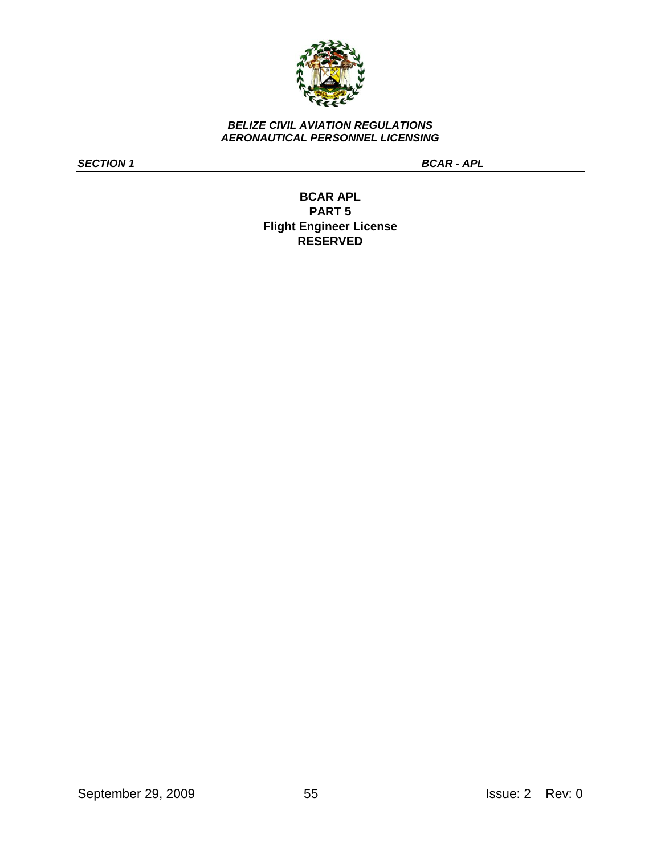

*SECTION 1 BCAR - APL* 

# **BCAR APL PART 5 Flight Engineer License RESERVED**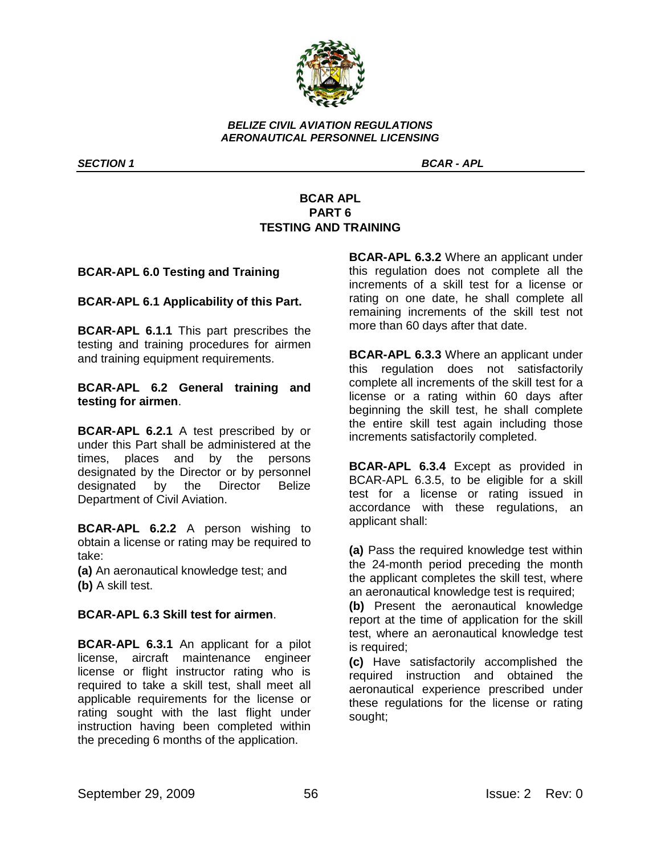

*SECTION 1 BCAR - APL* 

# **BCAR APL PART 6 TESTING AND TRAINING**

# **BCAR-APL 6.0 Testing and Training**

# **BCAR-APL 6.1 Applicability of this Part.**

**BCAR-APL 6.1.1** This part prescribes the testing and training procedures for airmen and training equipment requirements.

**BCAR-APL 6.2 General training and testing for airmen**.

**BCAR-APL 6.2.1** A test prescribed by or under this Part shall be administered at the times, places and by the persons designated by the Director or by personnel designated by the Director Belize Department of Civil Aviation.

**BCAR-APL 6.2.2** A person wishing to obtain a license or rating may be required to take:

**(a)** An aeronautical knowledge test; and **(b)** A skill test.

# **BCAR-APL 6.3 Skill test for airmen**.

**BCAR-APL 6.3.1** An applicant for a pilot license, aircraft maintenance engineer license or flight instructor rating who is required to take a skill test, shall meet all applicable requirements for the license or rating sought with the last flight under instruction having been completed within the preceding 6 months of the application.

**BCAR-APL 6.3.2** Where an applicant under this regulation does not complete all the increments of a skill test for a license or rating on one date, he shall complete all remaining increments of the skill test not more than 60 days after that date.

**BCAR-APL 6.3.3** Where an applicant under this regulation does not satisfactorily complete all increments of the skill test for a license or a rating within 60 days after beginning the skill test, he shall complete the entire skill test again including those increments satisfactorily completed.

**BCAR-APL 6.3.4** Except as provided in BCAR-APL 6.3.5, to be eligible for a skill test for a license or rating issued in accordance with these regulations, an applicant shall:

**(a)** Pass the required knowledge test within the 24-month period preceding the month the applicant completes the skill test, where an aeronautical knowledge test is required;

**(b)** Present the aeronautical knowledge report at the time of application for the skill test, where an aeronautical knowledge test is required;

**(c)** Have satisfactorily accomplished the required instruction and obtained the aeronautical experience prescribed under these regulations for the license or rating sought;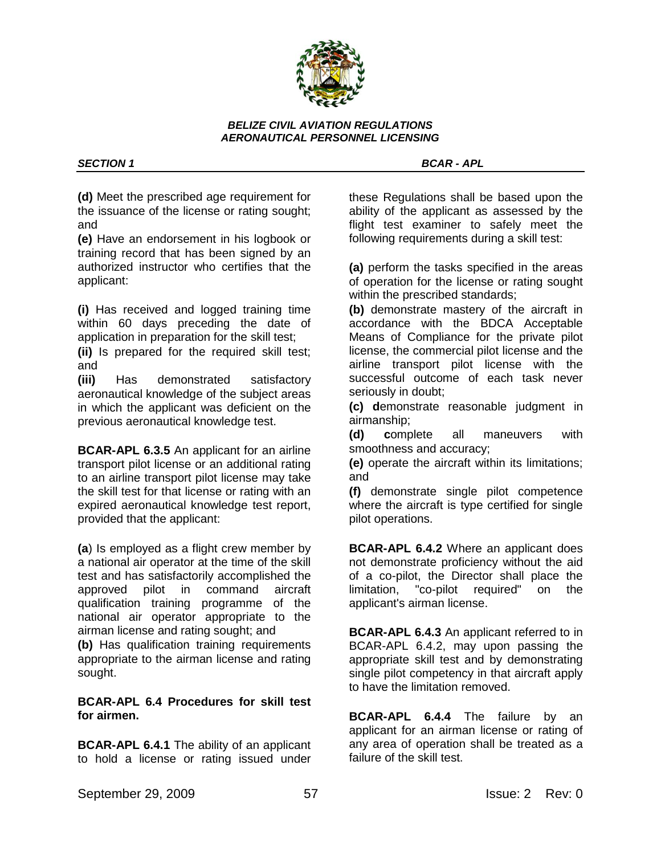

*SECTION 1 BCAR - APL* 

**(d)** Meet the prescribed age requirement for the issuance of the license or rating sought; and

**(e)** Have an endorsement in his logbook or training record that has been signed by an authorized instructor who certifies that the applicant:

**(i)** Has received and logged training time within 60 days preceding the date of application in preparation for the skill test;

**(ii)** Is prepared for the required skill test; and

**(iii)** Has demonstrated satisfactory aeronautical knowledge of the subject areas in which the applicant was deficient on the previous aeronautical knowledge test.

**BCAR-APL 6.3.5** An applicant for an airline transport pilot license or an additional rating to an airline transport pilot license may take the skill test for that license or rating with an expired aeronautical knowledge test report, provided that the applicant:

**(a**) Is employed as a flight crew member by a national air operator at the time of the skill test and has satisfactorily accomplished the approved pilot in command aircraft qualification training programme of the national air operator appropriate to the airman license and rating sought; and

**(b)** Has qualification training requirements appropriate to the airman license and rating sought.

**BCAR-APL 6.4 Procedures for skill test for airmen.**

**BCAR-APL 6.4.1** The ability of an applicant to hold a license or rating issued under these Regulations shall be based upon the ability of the applicant as assessed by the flight test examiner to safely meet the following requirements during a skill test:

**(a)** perform the tasks specified in the areas of operation for the license or rating sought within the prescribed standards;

**(b)** demonstrate mastery of the aircraft in accordance with the BDCA Acceptable Means of Compliance for the private pilot license, the commercial pilot license and the airline transport pilot license with the successful outcome of each task never seriously in doubt;

**(c) d**emonstrate reasonable judgment in airmanship;

**(d) c**omplete all maneuvers with smoothness and accuracy;

**(e)** operate the aircraft within its limitations; and

**(f)** demonstrate single pilot competence where the aircraft is type certified for single pilot operations.

**BCAR-APL 6.4.2** Where an applicant does not demonstrate proficiency without the aid of a co-pilot, the Director shall place the limitation, "co-pilot required" on the applicant's airman license.

**BCAR-APL 6.4.3** An applicant referred to in BCAR-APL 6.4.2, may upon passing the appropriate skill test and by demonstrating single pilot competency in that aircraft apply to have the limitation removed.

**BCAR-APL 6.4.4** The failure by an applicant for an airman license or rating of any area of operation shall be treated as a failure of the skill test.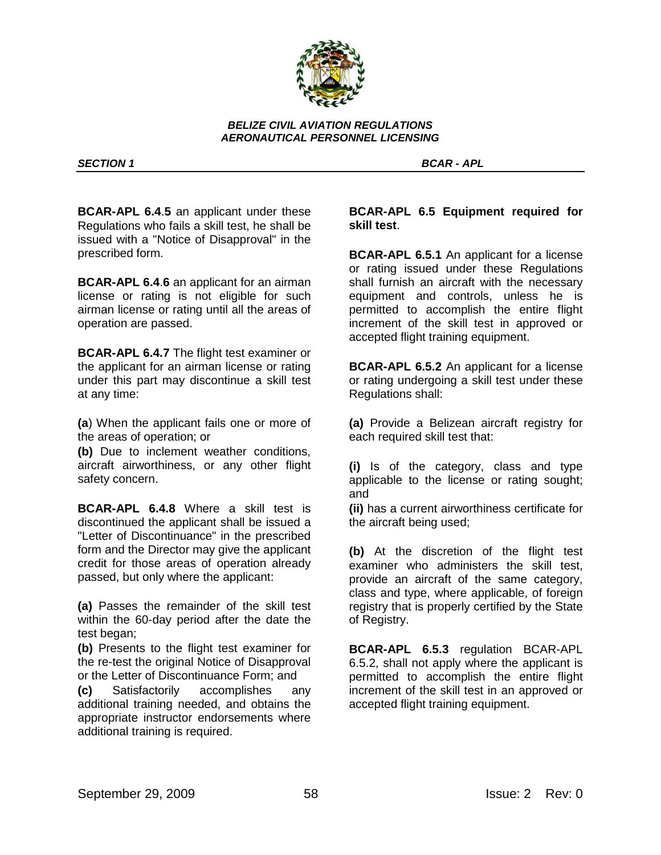

*SECTION 1 BCAR - APL* 

**BCAR-APL 6.4**.**5** an applicant under these Regulations who fails a skill test, he shall be issued with a "Notice of Disapproval" in the prescribed form.

**BCAR-APL 6.4**.**6** an applicant for an airman license or rating is not eligible for such airman license or rating until all the areas of operation are passed.

**BCAR-APL 6.4.7** The flight test examiner or the applicant for an airman license or rating under this part may discontinue a skill test at any time:

**(a**) When the applicant fails one or more of the areas of operation; or

**(b)** Due to inclement weather conditions, aircraft airworthiness, or any other flight safety concern.

**BCAR-APL 6.4.8** Where a skill test is discontinued the applicant shall be issued a "Letter of Discontinuance" in the prescribed form and the Director may give the applicant credit for those areas of operation already passed, but only where the applicant:

**(a)** Passes the remainder of the skill test within the 60-day period after the date the test began;

**(b)** Presents to the flight test examiner for the re-test the original Notice of Disapproval or the Letter of Discontinuance Form; and

**(c)** Satisfactorily accomplishes any additional training needed, and obtains the appropriate instructor endorsements where additional training is required.

**BCAR-APL 6.5 Equipment required for skill test**.

**BCAR-APL 6.5.1** An applicant for a license or rating issued under these Regulations shall furnish an aircraft with the necessary equipment and controls, unless he is permitted to accomplish the entire flight increment of the skill test in approved or accepted flight training equipment.

**BCAR-APL 6.5.2** An applicant for a license or rating undergoing a skill test under these Regulations shall:

**(a)** Provide a Belizean aircraft registry for each required skill test that:

**(i)** Is of the category, class and type applicable to the license or rating sought; and

**(ii)** has a current airworthiness certificate for the aircraft being used;

**(b)** At the discretion of the flight test examiner who administers the skill test, provide an aircraft of the same category, class and type, where applicable, of foreign registry that is properly certified by the State of Registry.

**BCAR-APL 6.5.3** regulation BCAR-APL 6.5.2, shall not apply where the applicant is permitted to accomplish the entire flight increment of the skill test in an approved or accepted flight training equipment.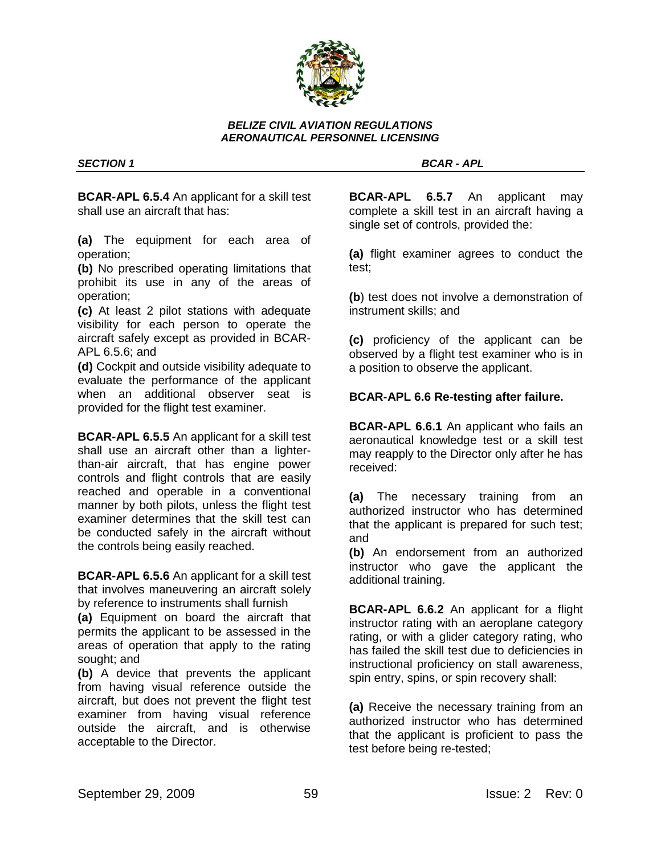

**BCAR-APL 6.5.4** An applicant for a skill test shall use an aircraft that has:

**(a)** The equipment for each area of operation;

**(b)** No prescribed operating limitations that prohibit its use in any of the areas of operation;

**(c)** At least 2 pilot stations with adequate visibility for each person to operate the aircraft safely except as provided in BCAR-APL 6.5.6; and

**(d)** Cockpit and outside visibility adequate to evaluate the performance of the applicant when an additional observer seat is provided for the flight test examiner.

**BCAR-APL 6.5.5** An applicant for a skill test shall use an aircraft other than a lighterthan-air aircraft, that has engine power controls and flight controls that are easily reached and operable in a conventional manner by both pilots, unless the flight test examiner determines that the skill test can be conducted safely in the aircraft without the controls being easily reached.

**BCAR-APL 6.5.6** An applicant for a skill test that involves maneuvering an aircraft solely by reference to instruments shall furnish

**(a)** Equipment on board the aircraft that permits the applicant to be assessed in the areas of operation that apply to the rating sought; and

**(b)** A device that prevents the applicant from having visual reference outside the aircraft, but does not prevent the flight test examiner from having visual reference outside the aircraft, and is otherwise acceptable to the Director.

*SECTION 1 BCAR - APL* 

**BCAR-APL 6.5.7** An applicant may complete a skill test in an aircraft having a single set of controls, provided the:

**(a)** flight examiner agrees to conduct the test;

**(b**) test does not involve a demonstration of instrument skills; and

**(c)** proficiency of the applicant can be observed by a flight test examiner who is in a position to observe the applicant.

# **BCAR-APL 6.6 Re-testing after failure.**

**BCAR-APL 6.6.1** An applicant who fails an aeronautical knowledge test or a skill test may reapply to the Director only after he has received:

**(a)** The necessary training from an authorized instructor who has determined that the applicant is prepared for such test; and

**(b)** An endorsement from an authorized instructor who gave the applicant the additional training.

**BCAR-APL 6.6.2** An applicant for a flight instructor rating with an aeroplane category rating, or with a glider category rating, who has failed the skill test due to deficiencies in instructional proficiency on stall awareness, spin entry, spins, or spin recovery shall:

**(a)** Receive the necessary training from an authorized instructor who has determined that the applicant is proficient to pass the test before being re-tested;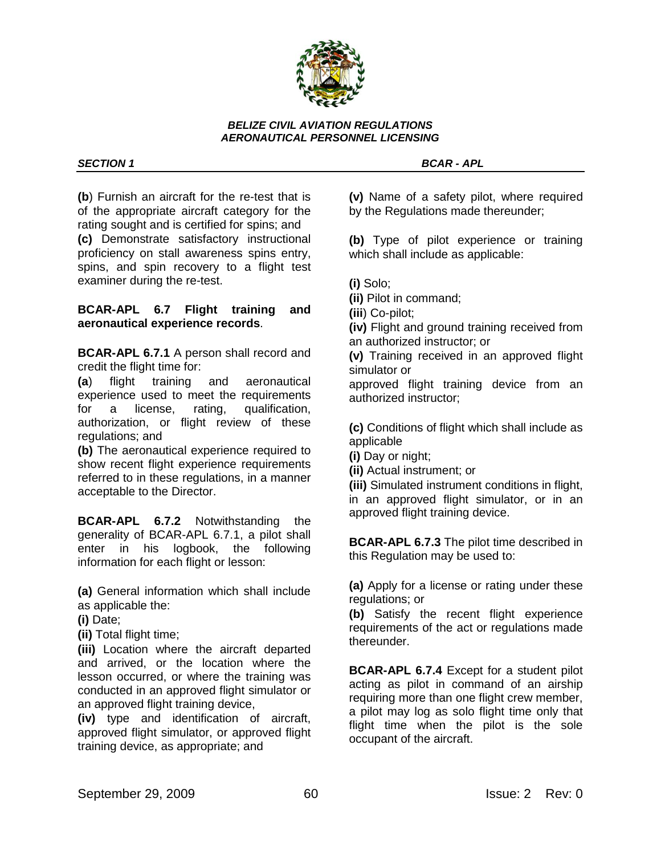

*SECTION 1 BCAR - APL* 

**(b**) Furnish an aircraft for the re-test that is of the appropriate aircraft category for the rating sought and is certified for spins; and **(c)** Demonstrate satisfactory instructional proficiency on stall awareness spins entry, spins, and spin recovery to a flight test examiner during the re-test.

# **BCAR-APL 6.7 Flight training and aeronautical experience records**.

**BCAR-APL 6.7.1** A person shall record and credit the flight time for:

**(a**) flight training and aeronautical experience used to meet the requirements for a license, rating, qualification, authorization, or flight review of these regulations; and

**(b)** The aeronautical experience required to show recent flight experience requirements referred to in these regulations, in a manner acceptable to the Director.

**BCAR-APL 6.7.2** Notwithstanding the generality of BCAR-APL 6.7.1, a pilot shall enter in his logbook, the following information for each flight or lesson:

**(a)** General information which shall include as applicable the:

**(i)** Date;

**(ii)** Total flight time;

**(iii)** Location where the aircraft departed and arrived, or the location where the lesson occurred, or where the training was conducted in an approved flight simulator or an approved flight training device,

**(iv)** type and identification of aircraft, approved flight simulator, or approved flight training device, as appropriate; and

**(v)** Name of a safety pilot, where required by the Regulations made thereunder;

**(b)** Type of pilot experience or training which shall include as applicable:

**(i)** Solo;

**(ii)** Pilot in command;

**(iii**) Co-pilot;

**(iv)** Flight and ground training received from an authorized instructor; or

**(v)** Training received in an approved flight simulator or

approved flight training device from an authorized instructor;

**(c)** Conditions of flight which shall include as applicable

**(i)** Day or night;

**(ii)** Actual instrument; or

**(iii)** Simulated instrument conditions in flight, in an approved flight simulator, or in an approved flight training device.

**BCAR-APL 6.7.3** The pilot time described in this Regulation may be used to:

**(a)** Apply for a license or rating under these regulations; or

**(b)** Satisfy the recent flight experience requirements of the act or regulations made thereunder.

**BCAR-APL 6.7.4** Except for a student pilot acting as pilot in command of an airship requiring more than one flight crew member, a pilot may log as solo flight time only that flight time when the pilot is the sole occupant of the aircraft.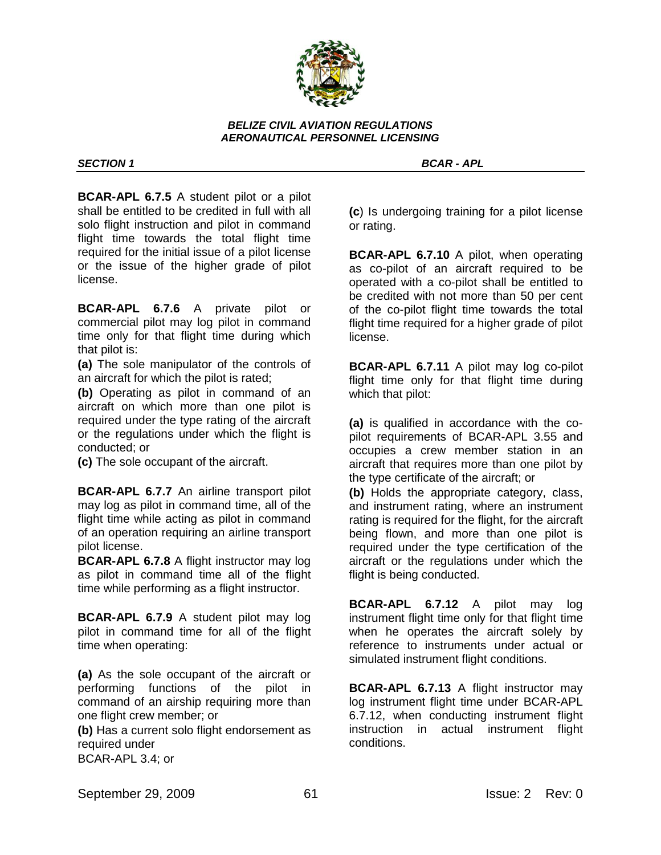

*SECTION 1 BCAR - APL* 

**BCAR-APL 6.7.5** A student pilot or a pilot shall be entitled to be credited in full with all solo flight instruction and pilot in command flight time towards the total flight time required for the initial issue of a pilot license or the issue of the higher grade of pilot license.

**BCAR-APL 6.7.6** A private pilot or commercial pilot may log pilot in command time only for that flight time during which that pilot is:

**(a)** The sole manipulator of the controls of an aircraft for which the pilot is rated;

**(b)** Operating as pilot in command of an aircraft on which more than one pilot is required under the type rating of the aircraft or the regulations under which the flight is conducted; or

**(c)** The sole occupant of the aircraft.

**BCAR-APL 6.7.7** An airline transport pilot may log as pilot in command time, all of the flight time while acting as pilot in command of an operation requiring an airline transport pilot license.

**BCAR-APL 6.7.8** A flight instructor may log as pilot in command time all of the flight time while performing as a flight instructor.

**BCAR-APL 6.7.9** A student pilot may log pilot in command time for all of the flight time when operating:

**(a)** As the sole occupant of the aircraft or performing functions of the pilot in command of an airship requiring more than one flight crew member; or

**(b)** Has a current solo flight endorsement as required under BCAR-APL 3.4; or

**(c**) Is undergoing training for a pilot license or rating.

**BCAR-APL 6.7.10** A pilot, when operating as co-pilot of an aircraft required to be operated with a co-pilot shall be entitled to be credited with not more than 50 per cent of the co-pilot flight time towards the total flight time required for a higher grade of pilot license.

**BCAR-APL 6.7.11** A pilot may log co-pilot flight time only for that flight time during which that pilot:

**(a)** is qualified in accordance with the copilot requirements of BCAR-APL 3.55 and occupies a crew member station in an aircraft that requires more than one pilot by the type certificate of the aircraft; or

**(b)** Holds the appropriate category, class, and instrument rating, where an instrument rating is required for the flight, for the aircraft being flown, and more than one pilot is required under the type certification of the aircraft or the regulations under which the flight is being conducted.

**BCAR-APL 6.7.12** A pilot may log instrument flight time only for that flight time when he operates the aircraft solely by reference to instruments under actual or simulated instrument flight conditions.

**BCAR-APL 6.7.13** A flight instructor may log instrument flight time under BCAR-APL 6.7.12, when conducting instrument flight instruction in actual instrument flight conditions.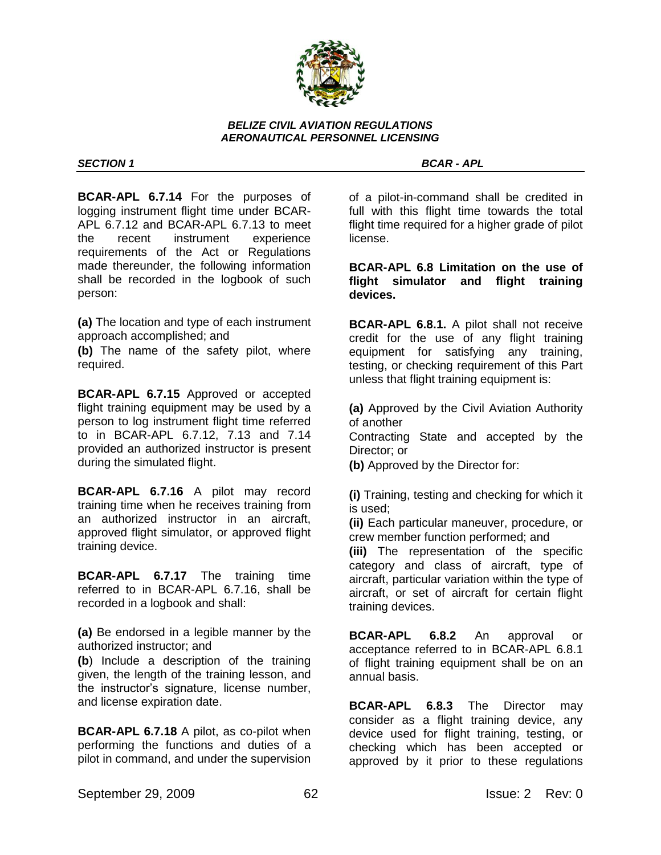

**BCAR-APL 6.7.14** For the purposes of logging instrument flight time under BCAR-APL 6.7.12 and BCAR-APL 6.7.13 to meet the recent instrument experience requirements of the Act or Regulations made thereunder, the following information shall be recorded in the logbook of such person:

**(a)** The location and type of each instrument approach accomplished; and

**(b)** The name of the safety pilot, where required.

**BCAR-APL 6.7.15** Approved or accepted flight training equipment may be used by a person to log instrument flight time referred to in BCAR-APL 6.7.12, 7.13 and 7.14 provided an authorized instructor is present during the simulated flight.

**BCAR-APL 6.7.16** A pilot may record training time when he receives training from an authorized instructor in an aircraft, approved flight simulator, or approved flight training device.

**BCAR-APL 6.7.17** The training time referred to in BCAR-APL 6.7.16, shall be recorded in a logbook and shall:

**(a)** Be endorsed in a legible manner by the authorized instructor; and

**(b**) Include a description of the training given, the length of the training lesson, and the instructor"s signature, license number, and license expiration date.

**BCAR-APL 6.7.18** A pilot, as co-pilot when performing the functions and duties of a pilot in command, and under the supervision

*SECTION 1 BCAR - APL* 

of a pilot-in-command shall be credited in full with this flight time towards the total flight time required for a higher grade of pilot license.

**BCAR-APL 6.8 Limitation on the use of flight simulator and flight training devices.**

**BCAR-APL 6.8.1.** A pilot shall not receive credit for the use of any flight training equipment for satisfying any training, testing, or checking requirement of this Part unless that flight training equipment is:

**(a)** Approved by the Civil Aviation Authority of another

Contracting State and accepted by the Director; or

**(b)** Approved by the Director for:

**(i)** Training, testing and checking for which it is used;

**(ii)** Each particular maneuver, procedure, or crew member function performed; and

**(iii)** The representation of the specific category and class of aircraft, type of aircraft, particular variation within the type of aircraft, or set of aircraft for certain flight training devices.

**BCAR-APL 6.8.2** An approval or acceptance referred to in BCAR-APL 6.8.1 of flight training equipment shall be on an annual basis.

**BCAR-APL 6.8.3** The Director may consider as a flight training device, any device used for flight training, testing, or checking which has been accepted or approved by it prior to these regulations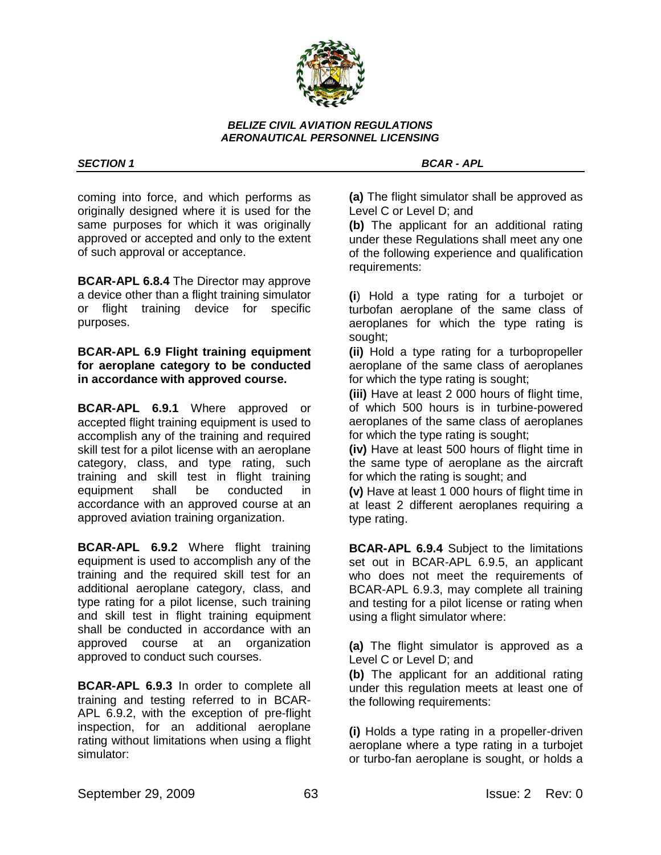

*SECTION 1 BCAR - APL* 

coming into force, and which performs as originally designed where it is used for the same purposes for which it was originally approved or accepted and only to the extent of such approval or acceptance.

**BCAR-APL 6.8.4** The Director may approve a device other than a flight training simulator or flight training device for specific purposes.

# **BCAR-APL 6.9 Flight training equipment for aeroplane category to be conducted in accordance with approved course.**

**BCAR-APL 6.9.1** Where approved or accepted flight training equipment is used to accomplish any of the training and required skill test for a pilot license with an aeroplane category, class, and type rating, such training and skill test in flight training equipment shall be conducted in accordance with an approved course at an approved aviation training organization.

**BCAR-APL 6.9.2** Where flight training equipment is used to accomplish any of the training and the required skill test for an additional aeroplane category, class, and type rating for a pilot license, such training and skill test in flight training equipment shall be conducted in accordance with an approved course at an organization approved to conduct such courses.

**BCAR-APL 6.9.3** In order to complete all training and testing referred to in BCAR-APL 6.9.2, with the exception of pre-flight inspection, for an additional aeroplane rating without limitations when using a flight simulator:

**(a)** The flight simulator shall be approved as Level C or Level D; and

**(b)** The applicant for an additional rating under these Regulations shall meet any one of the following experience and qualification requirements:

**(i**) Hold a type rating for a turbojet or turbofan aeroplane of the same class of aeroplanes for which the type rating is sought;

**(ii)** Hold a type rating for a turbopropeller aeroplane of the same class of aeroplanes for which the type rating is sought;

**(iii)** Have at least 2 000 hours of flight time, of which 500 hours is in turbine-powered aeroplanes of the same class of aeroplanes for which the type rating is sought;

**(iv)** Have at least 500 hours of flight time in the same type of aeroplane as the aircraft for which the rating is sought; and

**(v)** Have at least 1 000 hours of flight time in at least 2 different aeroplanes requiring a type rating.

**BCAR-APL 6.9.4** Subject to the limitations set out in BCAR-APL 6.9.5, an applicant who does not meet the requirements of BCAR-APL 6.9.3, may complete all training and testing for a pilot license or rating when using a flight simulator where:

**(a)** The flight simulator is approved as a Level C or Level D; and

**(b)** The applicant for an additional rating under this regulation meets at least one of the following requirements:

**(i)** Holds a type rating in a propeller-driven aeroplane where a type rating in a turbojet or turbo-fan aeroplane is sought, or holds a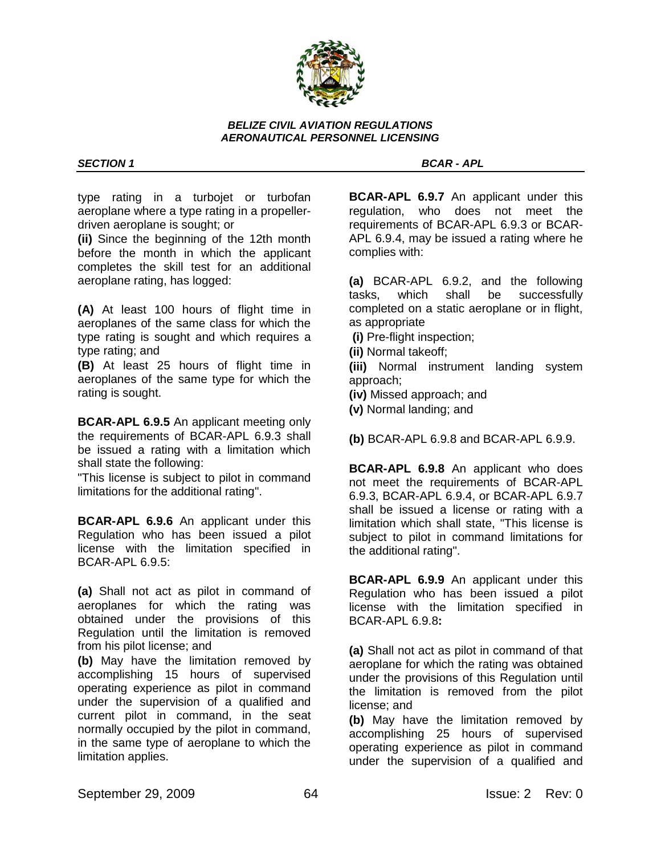

## *SECTION 1 BCAR - APL*

type rating in a turbojet or turbofan aeroplane where a type rating in a propellerdriven aeroplane is sought; or

**(ii)** Since the beginning of the 12th month before the month in which the applicant completes the skill test for an additional aeroplane rating, has logged:

**(A)** At least 100 hours of flight time in aeroplanes of the same class for which the type rating is sought and which requires a type rating; and

**(B)** At least 25 hours of flight time in aeroplanes of the same type for which the rating is sought.

**BCAR-APL 6.9.5** An applicant meeting only the requirements of BCAR-APL 6.9.3 shall be issued a rating with a limitation which shall state the following:

"This license is subject to pilot in command limitations for the additional rating".

**BCAR-APL 6.9.6** An applicant under this Regulation who has been issued a pilot license with the limitation specified in BCAR-APL 6.9.5:

**(a)** Shall not act as pilot in command of aeroplanes for which the rating was obtained under the provisions of this Regulation until the limitation is removed from his pilot license; and

**(b)** May have the limitation removed by accomplishing 15 hours of supervised operating experience as pilot in command under the supervision of a qualified and current pilot in command, in the seat normally occupied by the pilot in command, in the same type of aeroplane to which the limitation applies.

**BCAR-APL 6.9.7** An applicant under this regulation, who does not meet the requirements of BCAR-APL 6.9.3 or BCAR-APL 6.9.4, may be issued a rating where he complies with:

**(a)** BCAR-APL 6.9.2, and the following tasks, which shall be successfully completed on a static aeroplane or in flight, as appropriate

**(i)** Pre-flight inspection;

**(ii)** Normal takeoff;

**(iii)** Normal instrument landing system approach;

**(iv)** Missed approach; and

**(v)** Normal landing; and

**(b)** BCAR-APL 6.9.8 and BCAR-APL 6.9.9.

**BCAR-APL 6.9.8** An applicant who does not meet the requirements of BCAR-APL 6.9.3, BCAR-APL 6.9.4, or BCAR-APL 6.9.7 shall be issued a license or rating with a limitation which shall state, "This license is subject to pilot in command limitations for the additional rating".

**BCAR-APL 6.9.9** An applicant under this Regulation who has been issued a pilot license with the limitation specified in BCAR-APL 6.9.8**:**

**(a)** Shall not act as pilot in command of that aeroplane for which the rating was obtained under the provisions of this Regulation until the limitation is removed from the pilot license; and

**(b)** May have the limitation removed by accomplishing 25 hours of supervised operating experience as pilot in command under the supervision of a qualified and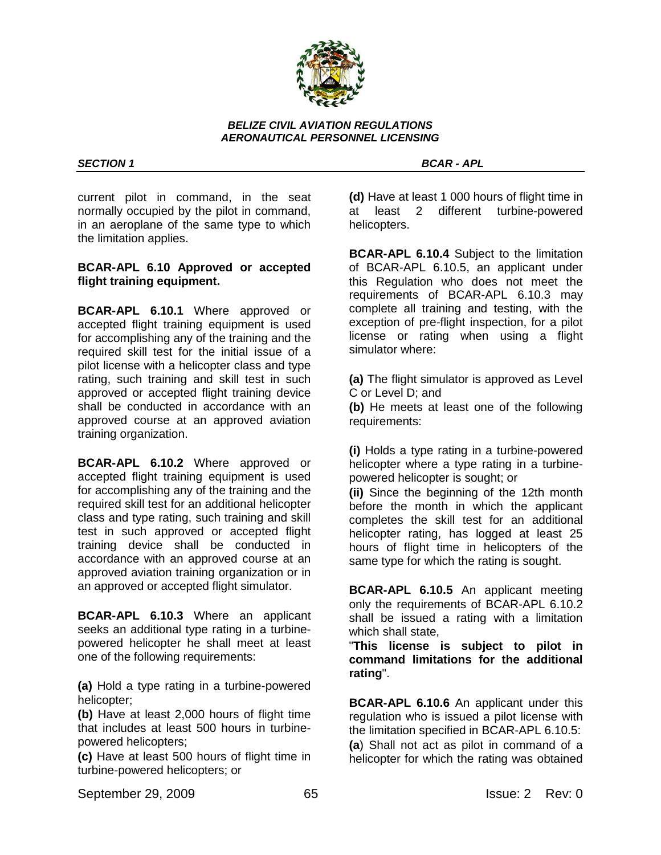

current pilot in command, in the seat normally occupied by the pilot in command, in an aeroplane of the same type to which the limitation applies.

## **BCAR-APL 6.10 Approved or accepted flight training equipment.**

**BCAR-APL 6.10.1** Where approved or accepted flight training equipment is used for accomplishing any of the training and the required skill test for the initial issue of a pilot license with a helicopter class and type rating, such training and skill test in such approved or accepted flight training device shall be conducted in accordance with an approved course at an approved aviation training organization.

**BCAR-APL 6.10.2** Where approved or accepted flight training equipment is used for accomplishing any of the training and the required skill test for an additional helicopter class and type rating, such training and skill test in such approved or accepted flight training device shall be conducted in accordance with an approved course at an approved aviation training organization or in an approved or accepted flight simulator.

**BCAR-APL 6.10.3** Where an applicant seeks an additional type rating in a turbinepowered helicopter he shall meet at least one of the following requirements:

**(a)** Hold a type rating in a turbine-powered helicopter;

**(b)** Have at least 2,000 hours of flight time that includes at least 500 hours in turbinepowered helicopters;

**(c)** Have at least 500 hours of flight time in turbine-powered helicopters; or

*SECTION 1 BCAR - APL* 

**(d)** Have at least 1 000 hours of flight time in at least 2 different turbine-powered helicopters.

**BCAR-APL 6.10.4** Subject to the limitation of BCAR-APL 6.10.5, an applicant under this Regulation who does not meet the requirements of BCAR-APL 6.10.3 may complete all training and testing, with the exception of pre-flight inspection, for a pilot license or rating when using a flight simulator where:

**(a)** The flight simulator is approved as Level C or Level D; and

**(b)** He meets at least one of the following requirements:

**(i)** Holds a type rating in a turbine-powered helicopter where a type rating in a turbinepowered helicopter is sought; or

**(ii)** Since the beginning of the 12th month before the month in which the applicant completes the skill test for an additional helicopter rating, has logged at least 25 hours of flight time in helicopters of the same type for which the rating is sought.

**BCAR-APL 6.10.5** An applicant meeting only the requirements of BCAR-APL 6.10.2 shall be issued a rating with a limitation which shall state,

"**This license is subject to pilot in command limitations for the additional rating**".

**BCAR-APL 6.10.6** An applicant under this regulation who is issued a pilot license with the limitation specified in BCAR-APL 6.10.5: **(a**) Shall not act as pilot in command of a helicopter for which the rating was obtained

September 29, 2009 **65 ISSUE: 2 Rev: 0 ISSUE: 2 Rev: 0**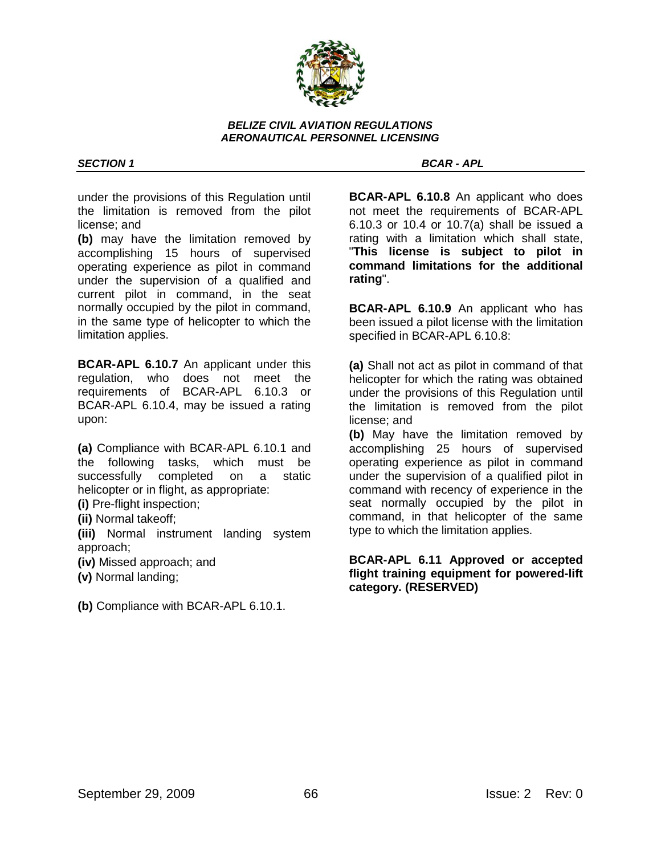

*SECTION 1 BCAR - APL* 

under the provisions of this Regulation until the limitation is removed from the pilot license; and

**(b)** may have the limitation removed by accomplishing 15 hours of supervised operating experience as pilot in command under the supervision of a qualified and current pilot in command, in the seat normally occupied by the pilot in command, in the same type of helicopter to which the limitation applies.

**BCAR-APL 6.10.7** An applicant under this regulation, who does not meet the requirements of BCAR-APL 6.10.3 or BCAR-APL 6.10.4, may be issued a rating upon:

**(a)** Compliance with BCAR-APL 6.10.1 and the following tasks, which must be successfully completed on a static helicopter or in flight, as appropriate:

- **(i)** Pre-flight inspection;
- **(ii)** Normal takeoff;

**(iii)** Normal instrument landing system approach;

- **(iv)** Missed approach; and
- **(v)** Normal landing;

**(b)** Compliance with BCAR-APL 6.10.1.

**BCAR-APL 6.10.8** An applicant who does not meet the requirements of BCAR-APL 6.10.3 or 10.4 or 10.7(a) shall be issued a rating with a limitation which shall state, "**This license is subject to pilot in command limitations for the additional rating**".

**BCAR-APL 6.10.9** An applicant who has been issued a pilot license with the limitation specified in BCAR-APL 6.10.8:

**(a)** Shall not act as pilot in command of that helicopter for which the rating was obtained under the provisions of this Regulation until the limitation is removed from the pilot license; and

**(b)** May have the limitation removed by accomplishing 25 hours of supervised operating experience as pilot in command under the supervision of a qualified pilot in command with recency of experience in the seat normally occupied by the pilot in command, in that helicopter of the same type to which the limitation applies.

**BCAR-APL 6.11 Approved or accepted flight training equipment for powered-lift category. (RESERVED)**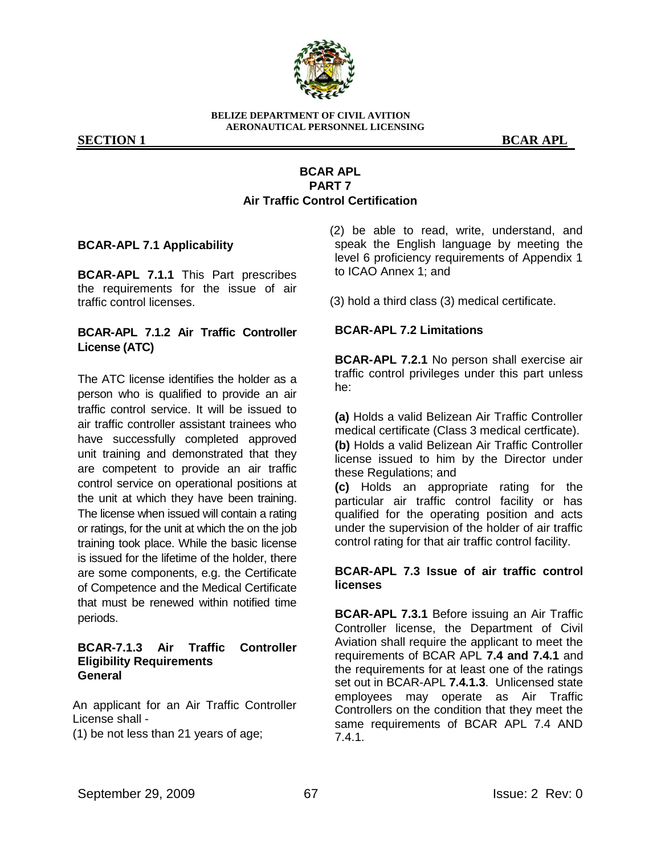

**SECTION 1 BCAR APL** 

# **BCAR APL PART 7 Air Traffic Control Certification**

# **BCAR-APL 7.1 Applicability**

**BCAR-APL 7.1.1** This Part prescribes the requirements for the issue of air traffic control licenses.

# **BCAR-APL 7.1.2 Air Traffic Controller License (ATC)**

The ATC license identifies the holder as a person who is qualified to provide an air traffic control service. It will be issued to air traffic controller assistant trainees who have successfully completed approved unit training and demonstrated that they are competent to provide an air traffic control service on operational positions at the unit at which they have been training. The license when issued will contain a rating or ratings, for the unit at which the on the job training took place. While the basic license is issued for the lifetime of the holder, there are some components, e.g. the Certificate of Competence and the Medical Certificate that must be renewed within notified time periods.

## **BCAR-7.1.3 Air Traffic Controller Eligibility Requirements General**

An applicant for an Air Traffic Controller License shall -

(1) be not less than 21 years of age;

(2) be able to read, write, understand, and speak the English language by meeting the level 6 proficiency requirements of Appendix 1 to ICAO Annex 1; and

(3) hold a third class (3) medical certificate.

# **BCAR-APL 7.2 Limitations**

**BCAR-APL 7.2.1** No person shall exercise air traffic control privileges under this part unless he:

**(a)** Holds a valid Belizean Air Traffic Controller medical certificate (Class 3 medical certficate).

**(b)** Holds a valid Belizean Air Traffic Controller license issued to him by the Director under these Regulations; and

**(c)** Holds an appropriate rating for the particular air traffic control facility or has qualified for the operating position and acts under the supervision of the holder of air traffic control rating for that air traffic control facility.

## **BCAR-APL 7.3 Issue of air traffic control licenses**

**BCAR-APL 7.3.1** Before issuing an Air Traffic Controller license, the Department of Civil Aviation shall require the applicant to meet the requirements of BCAR APL **7.4 and 7.4.1** and the requirements for at least one of the ratings set out in BCAR-APL **7.4.1.3**. Unlicensed state employees may operate as Air Traffic Controllers on the condition that they meet the same requirements of BCAR APL 7.4 AND 7.4.1.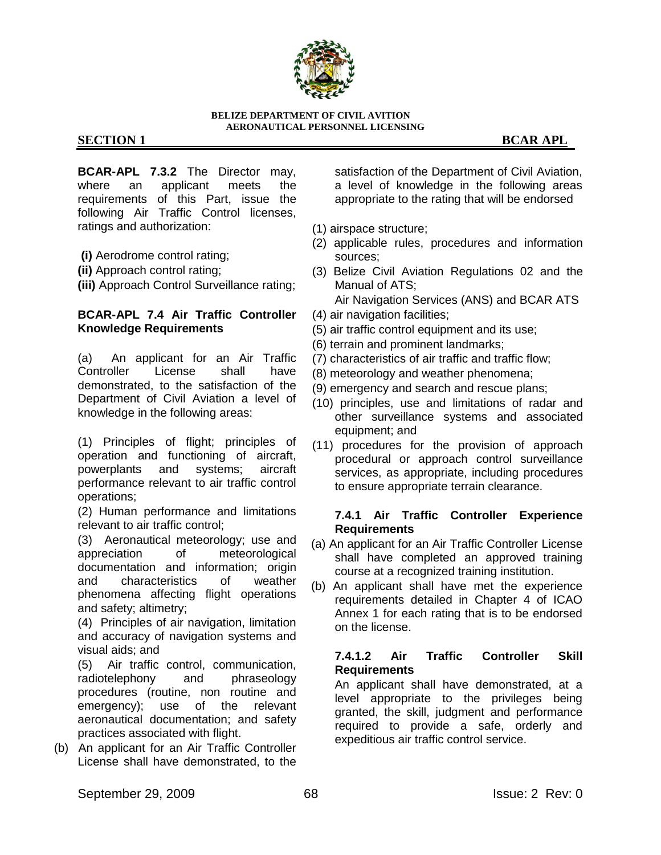

# **SECTION 1** BCAR APL

**BCAR-APL 7.3.2** The Director may, where an applicant meets the requirements of this Part, issue the following Air Traffic Control licenses, ratings and authorization:

**(i)** Aerodrome control rating;

**(ii)** Approach control rating;

**(iii)** Approach Control Surveillance rating;

## **BCAR-APL 7.4 Air Traffic Controller Knowledge Requirements**

(a) An applicant for an Air Traffic Controller License shall have demonstrated, to the satisfaction of the Department of Civil Aviation a level of knowledge in the following areas:

(1) Principles of flight; principles of operation and functioning of aircraft, powerplants and systems; aircraft performance relevant to air traffic control operations;

(2) Human performance and limitations relevant to air traffic control;

(3) Aeronautical meteorology; use and appreciation of meteorological documentation and information; origin and characteristics of weather phenomena affecting flight operations and safety; altimetry;

(4) Principles of air navigation, limitation and accuracy of navigation systems and visual aids; and

(5) Air traffic control, communication, radiotelephony and phraseology procedures (routine, non routine and emergency); use of the relevant aeronautical documentation; and safety practices associated with flight.

(b) An applicant for an Air Traffic Controller License shall have demonstrated, to the satisfaction of the Department of Civil Aviation, a level of knowledge in the following areas appropriate to the rating that will be endorsed

- (1) airspace structure;
- (2) applicable rules, procedures and information sources;
- (3) Belize Civil Aviation Regulations 02 and the Manual of ATS;

Air Navigation Services (ANS) and BCAR ATS (4) air navigation facilities;

- (5) air traffic control equipment and its use;
- (6) terrain and prominent landmarks;
- (7) characteristics of air traffic and traffic flow;
- (8) meteorology and weather phenomena;
- (9) emergency and search and rescue plans;
- (10) principles, use and limitations of radar and other surveillance systems and associated equipment; and
- (11) procedures for the provision of approach procedural or approach control surveillance services, as appropriate, including procedures to ensure appropriate terrain clearance.

# **7.4.1 Air Traffic Controller Experience Requirements**

- (a) An applicant for an Air Traffic Controller License shall have completed an approved training course at a recognized training institution.
- (b) An applicant shall have met the experience requirements detailed in Chapter 4 of ICAO Annex 1 for each rating that is to be endorsed on the license.

# **7.4.1.2 Air Traffic Controller Skill Requirements**

An applicant shall have demonstrated, at a level appropriate to the privileges being granted, the skill, judgment and performance required to provide a safe, orderly and expeditious air traffic control service.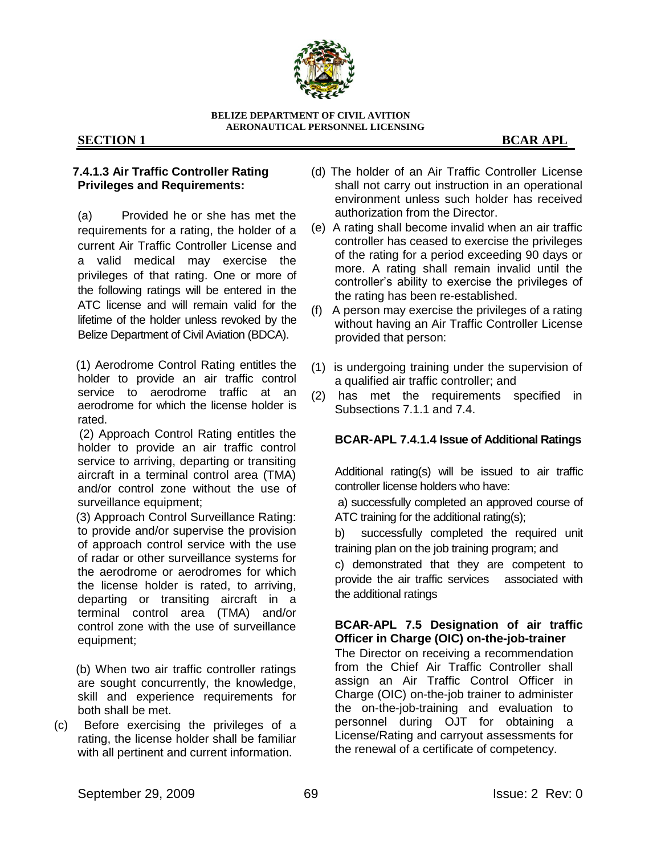

# **SECTION 1 BCAR APL**

# **7.4.1.3 Air Traffic Controller Rating Privileges and Requirements:**

(a) Provided he or she has met the requirements for a rating, the holder of a current Air Traffic Controller License and a valid medical may exercise the privileges of that rating. One or more of the following ratings will be entered in the ATC license and will remain valid for the lifetime of the holder unless revoked by the Belize Department of Civil Aviation (BDCA).

(1) Aerodrome Control Rating entitles the holder to provide an air traffic control service to aerodrome traffic at an aerodrome for which the license holder is rated.

(2) Approach Control Rating entitles the holder to provide an air traffic control service to arriving, departing or transiting aircraft in a terminal control area (TMA) and/or control zone without the use of surveillance equipment;

(3) Approach Control Surveillance Rating: to provide and/or supervise the provision of approach control service with the use of radar or other surveillance systems for the aerodrome or aerodromes for which the license holder is rated, to arriving, departing or transiting aircraft in a terminal control area (TMA) and/or control zone with the use of surveillance equipment;

(b) When two air traffic controller ratings are sought concurrently, the knowledge, skill and experience requirements for both shall be met.

(c) Before exercising the privileges of a rating, the license holder shall be familiar with all pertinent and current information.

- (d) The holder of an Air Traffic Controller License shall not carry out instruction in an operational environment unless such holder has received authorization from the Director.
- (e) A rating shall become invalid when an air traffic controller has ceased to exercise the privileges of the rating for a period exceeding 90 days or more. A rating shall remain invalid until the controller"s ability to exercise the privileges of the rating has been re-established.
- (f) A person may exercise the privileges of a rating without having an Air Traffic Controller License provided that person:
- (1) is undergoing training under the supervision of a qualified air traffic controller; and
- (2) has met the requirements specified in Subsections 7.1.1 and 7.4.

# **BCAR-APL 7.4.1.4 Issue of Additional Ratings**

Additional rating(s) will be issued to air traffic controller license holders who have:

a) successfully completed an approved course of ATC training for the additional rating(s);

b) successfully completed the required unit training plan on the job training program; and

c) demonstrated that they are competent to provide the air traffic services associated with the additional ratings

# **BCAR-APL 7.5 Designation of air traffic Officer in Charge (OIC) on-the-job-trainer**

The Director on receiving a recommendation from the Chief Air Traffic Controller shall assign an Air Traffic Control Officer in Charge (OIC) on-the-job trainer to administer the on-the-job-training and evaluation to personnel during OJT for obtaining a License/Rating and carryout assessments for the renewal of a certificate of competency.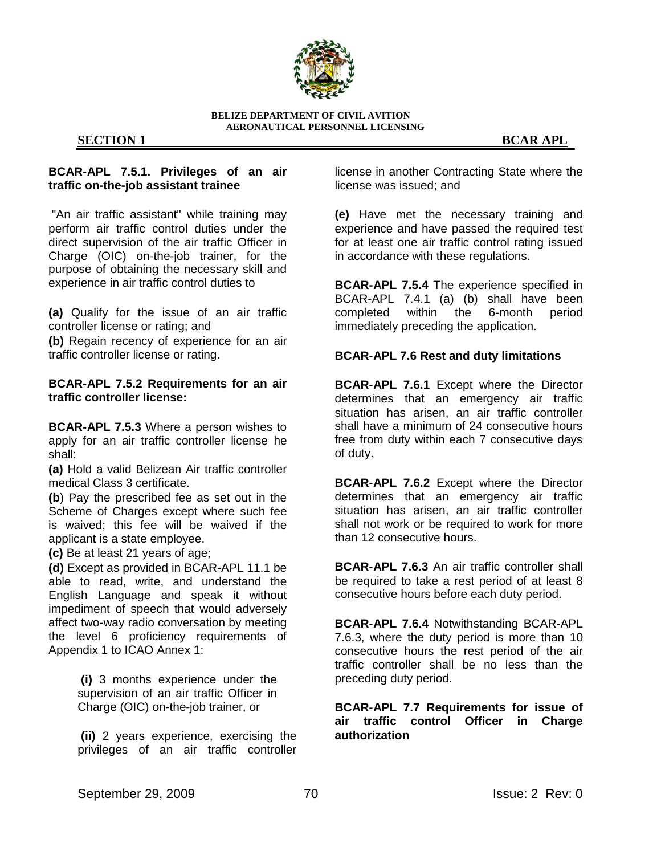

## **SECTION 1 BCAR APL**

## **BCAR-APL 7.5.1. Privileges of an air traffic on-the-job assistant trainee**

"An air traffic assistant" while training may perform air traffic control duties under the direct supervision of the air traffic Officer in Charge (OIC) on-the-job trainer, for the purpose of obtaining the necessary skill and experience in air traffic control duties to

**(a)** Qualify for the issue of an air traffic controller license or rating; and

**(b)** Regain recency of experience for an air traffic controller license or rating.

## **BCAR-APL 7.5.2 Requirements for an air traffic controller license:**

**BCAR-APL 7.5.3** Where a person wishes to apply for an air traffic controller license he shall:

**(a)** Hold a valid Belizean Air traffic controller medical Class 3 certificate.

**(b**) Pay the prescribed fee as set out in the Scheme of Charges except where such fee is waived; this fee will be waived if the applicant is a state employee.

**(c)** Be at least 21 years of age;

**(d)** Except as provided in BCAR-APL 11.1 be able to read, write, and understand the English Language and speak it without impediment of speech that would adversely affect two-way radio conversation by meeting the level 6 proficiency requirements of Appendix 1 to ICAO Annex 1:

> **(i)** 3 months experience under the supervision of an air traffic Officer in Charge (OIC) on-the-job trainer, or

**(ii)** 2 years experience, exercising the privileges of an air traffic controller license in another Contracting State where the license was issued; and

**(e)** Have met the necessary training and experience and have passed the required test for at least one air traffic control rating issued in accordance with these regulations.

**BCAR-APL 7.5.4** The experience specified in BCAR-APL 7.4.1 (a) (b) shall have been completed within the 6-month period immediately preceding the application.

# **BCAR-APL 7.6 Rest and duty limitations**

**BCAR-APL 7.6.1** Except where the Director determines that an emergency air traffic situation has arisen, an air traffic controller shall have a minimum of 24 consecutive hours free from duty within each 7 consecutive days of duty.

**BCAR-APL 7.6.2** Except where the Director determines that an emergency air traffic situation has arisen, an air traffic controller shall not work or be required to work for more than 12 consecutive hours.

**BCAR-APL 7.6.3** An air traffic controller shall be required to take a rest period of at least 8 consecutive hours before each duty period.

**BCAR-APL 7.6.4** Notwithstanding BCAR-APL 7.6.3, where the duty period is more than 10 consecutive hours the rest period of the air traffic controller shall be no less than the preceding duty period.

**BCAR-APL 7.7 Requirements for issue of air traffic control Officer in Charge authorization**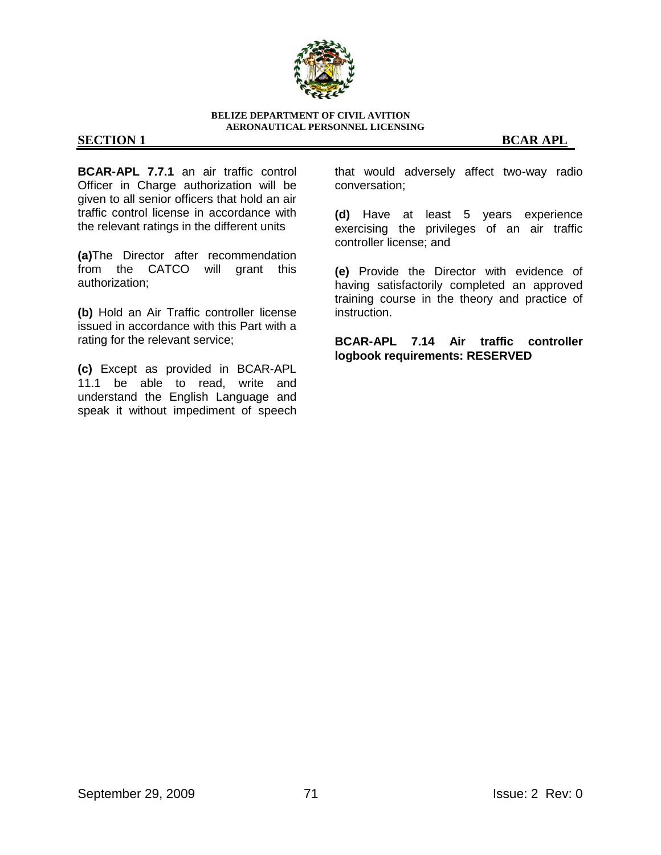

**BCAR-APL 7.7.1** an air traffic control Officer in Charge authorization will be given to all senior officers that hold an air traffic control license in accordance with the relevant ratings in the different units

**(a)**The Director after recommendation from the CATCO will grant this authorization;

**(b)** Hold an Air Traffic controller license issued in accordance with this Part with a rating for the relevant service;

**(c)** Except as provided in BCAR-APL 11.1 be able to read, write and understand the English Language and speak it without impediment of speech

that would adversely affect two-way radio conversation;

**(d)** Have at least 5 years experience exercising the privileges of an air traffic controller license; and

**(e)** Provide the Director with evidence of having satisfactorily completed an approved training course in the theory and practice of instruction.

**BCAR-APL 7.14 Air traffic controller logbook requirements: RESERVED**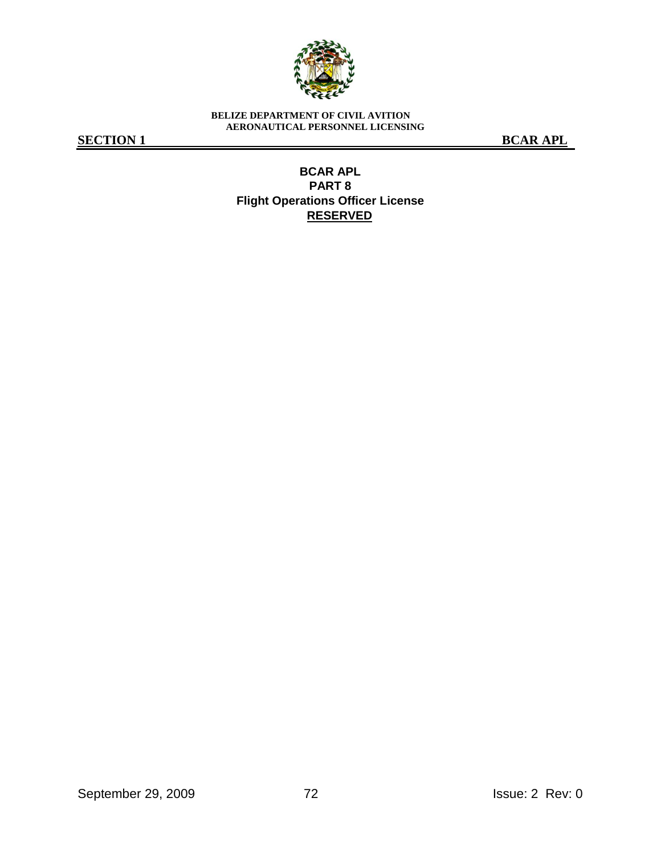

**SECTION 1 BCAR APL** 

**BCAR APL PART 8 Flight Operations Officer License RESERVED**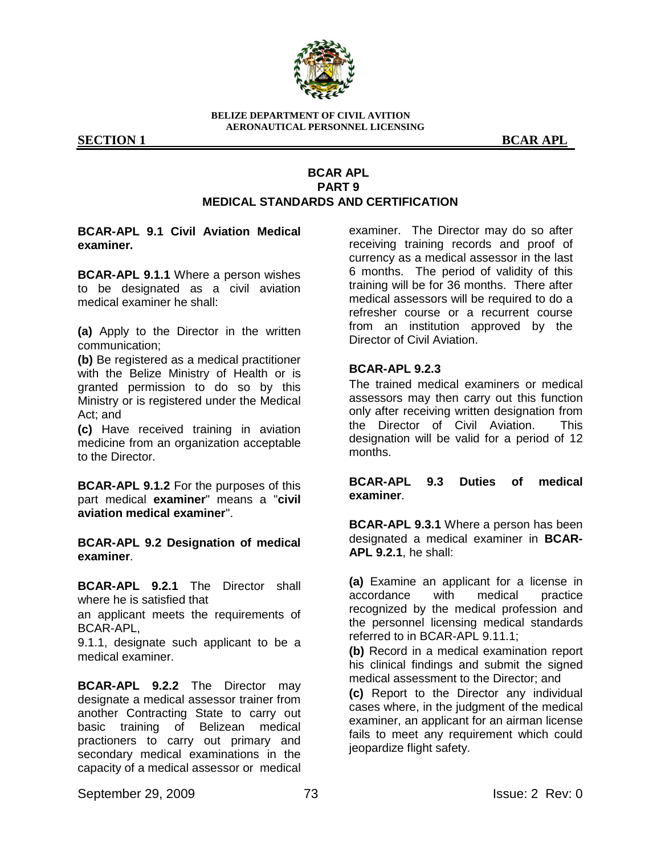

**SECTION 1** BCAR APL

# **BCAR APL PART 9 MEDICAL STANDARDS AND CERTIFICATION**

## **BCAR-APL 9.1 Civil Aviation Medical examiner.**

**BCAR-APL 9.1.1** Where a person wishes to be designated as a civil aviation medical examiner he shall:

**(a)** Apply to the Director in the written communication;

**(b)** Be registered as a medical practitioner with the Belize Ministry of Health or is granted permission to do so by this Ministry or is registered under the Medical Act; and

**(c)** Have received training in aviation medicine from an organization acceptable to the Director.

**BCAR-APL 9.1.2** For the purposes of this part medical **examiner**" means a "**civil aviation medical examiner**".

**BCAR-APL 9.2 Designation of medical examiner**.

**BCAR-APL 9.2.1** The Director shall where he is satisfied that

an applicant meets the requirements of BCAR-APL,

9.1.1, designate such applicant to be a medical examiner.

**BCAR-APL 9.2.2** The Director may designate a medical assessor trainer from another Contracting State to carry out basic training of Belizean medical practioners to carry out primary and secondary medical examinations in the capacity of a medical assessor or medical examiner. The Director may do so after receiving training records and proof of currency as a medical assessor in the last 6 months. The period of validity of this training will be for 36 months. There after medical assessors will be required to do a refresher course or a recurrent course from an institution approved by the Director of Civil Aviation.

## **BCAR-APL 9.2.3**

The trained medical examiners or medical assessors may then carry out this function only after receiving written designation from the Director of Civil Aviation. This designation will be valid for a period of 12 months.

**BCAR-APL 9.3 Duties of medical examiner**.

**BCAR-APL 9.3.1** Where a person has been designated a medical examiner in **BCAR-APL 9.2.1**, he shall:

**(a)** Examine an applicant for a license in accordance with medical practice recognized by the medical profession and the personnel licensing medical standards referred to in BCAR-APL 9.11.1;

**(b)** Record in a medical examination report his clinical findings and submit the signed medical assessment to the Director; and

**(c)** Report to the Director any individual cases where, in the judgment of the medical examiner, an applicant for an airman license fails to meet any requirement which could jeopardize flight safety.

September 29, 2009 73 Issue: 2 Rev: 0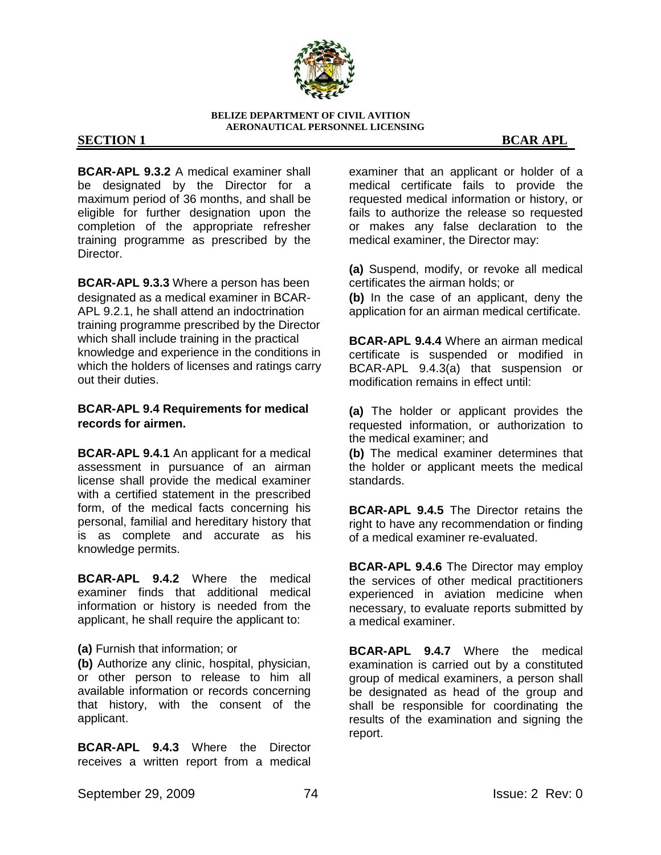

## **SECTION 1 BCAR APL**

**BCAR-APL 9.3.2** A medical examiner shall be designated by the Director for a maximum period of 36 months, and shall be eligible for further designation upon the completion of the appropriate refresher training programme as prescribed by the Director.

**BCAR-APL 9.3.3** Where a person has been designated as a medical examiner in BCAR-APL 9.2.1, he shall attend an indoctrination training programme prescribed by the Director which shall include training in the practical knowledge and experience in the conditions in which the holders of licenses and ratings carry out their duties.

# **BCAR-APL 9.4 Requirements for medical records for airmen.**

**BCAR-APL 9.4.1** An applicant for a medical assessment in pursuance of an airman license shall provide the medical examiner with a certified statement in the prescribed form, of the medical facts concerning his personal, familial and hereditary history that is as complete and accurate as his knowledge permits.

**BCAR-APL 9.4.2** Where the medical examiner finds that additional medical information or history is needed from the applicant, he shall require the applicant to:

**(a)** Furnish that information; or

**(b)** Authorize any clinic, hospital, physician, or other person to release to him all available information or records concerning that history, with the consent of the applicant.

**BCAR-APL 9.4.3** Where the Director receives a written report from a medical examiner that an applicant or holder of a medical certificate fails to provide the requested medical information or history, or fails to authorize the release so requested or makes any false declaration to the medical examiner, the Director may:

**(a)** Suspend, modify, or revoke all medical certificates the airman holds; or

**(b)** In the case of an applicant, deny the application for an airman medical certificate.

**BCAR-APL 9.4.4** Where an airman medical certificate is suspended or modified in BCAR-APL 9.4.3(a) that suspension or modification remains in effect until:

**(a)** The holder or applicant provides the requested information, or authorization to the medical examiner; and

**(b)** The medical examiner determines that the holder or applicant meets the medical standards.

**BCAR-APL 9.4.5** The Director retains the right to have any recommendation or finding of a medical examiner re-evaluated.

**BCAR-APL 9.4.6** The Director may employ the services of other medical practitioners experienced in aviation medicine when necessary, to evaluate reports submitted by a medical examiner.

**BCAR-APL 9.4.7** Where the medical examination is carried out by a constituted group of medical examiners, a person shall be designated as head of the group and shall be responsible for coordinating the results of the examination and signing the report.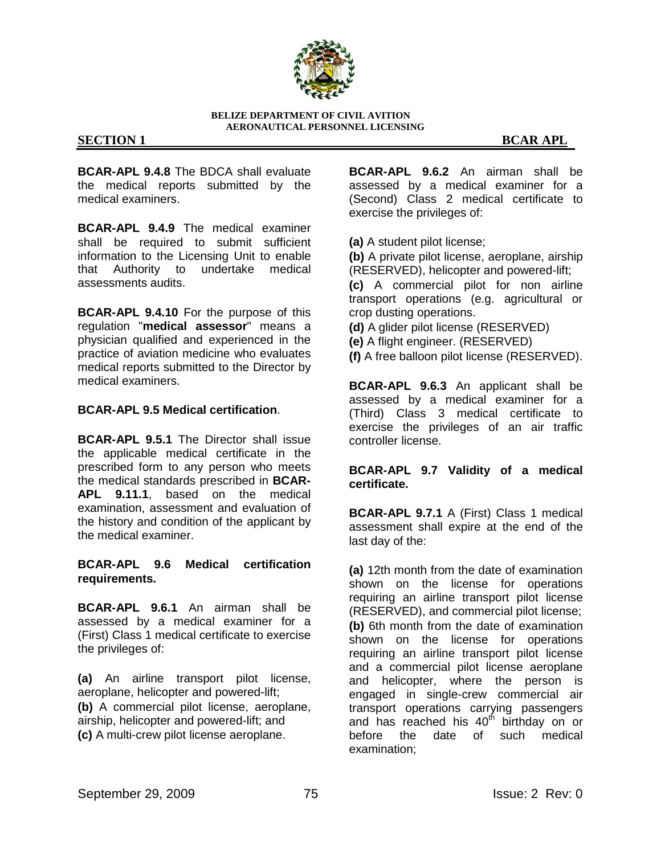

**BCAR-APL 9.4.8** The BDCA shall evaluate the medical reports submitted by the medical examiners.

**BCAR-APL 9.4.9** The medical examiner shall be required to submit sufficient information to the Licensing Unit to enable that Authority to undertake medical assessments audits.

**BCAR-APL 9.4.10** For the purpose of this regulation "**medical assessor**" means a physician qualified and experienced in the practice of aviation medicine who evaluates medical reports submitted to the Director by medical examiners.

## **BCAR-APL 9.5 Medical certification**.

**BCAR-APL 9.5.1** The Director shall issue the applicable medical certificate in the prescribed form to any person who meets the medical standards prescribed in **BCAR-APL 9.11.1**, based on the medical examination, assessment and evaluation of the history and condition of the applicant by the medical examiner.

## **BCAR-APL 9.6 Medical certification requirements.**

**BCAR-APL 9.6.1** An airman shall be assessed by a medical examiner for a (First) Class 1 medical certificate to exercise the privileges of:

**(a)** An airline transport pilot license, aeroplane, helicopter and powered-lift; **(b)** A commercial pilot license, aeroplane, airship, helicopter and powered-lift; and **(c)** A multi-crew pilot license aeroplane.

**BCAR-APL 9.6.2** An airman shall be assessed by a medical examiner for a (Second) Class 2 medical certificate to exercise the privileges of:

**(a)** A student pilot license;

**(b)** A private pilot license, aeroplane, airship (RESERVED), helicopter and powered-lift;

**(c)** A commercial pilot for non airline transport operations (e.g. agricultural or crop dusting operations.

**(d)** A glider pilot license (RESERVED)

**(e)** A flight engineer. (RESERVED)

**(f)** A free balloon pilot license (RESERVED).

**BCAR-APL 9.6.3** An applicant shall be assessed by a medical examiner for a (Third) Class 3 medical certificate to exercise the privileges of an air traffic controller license.

## **BCAR-APL 9.7 Validity of a medical certificate.**

**BCAR-APL 9.7.1** A (First) Class 1 medical assessment shall expire at the end of the last day of the:

**(a)** 12th month from the date of examination shown on the license for operations requiring an airline transport pilot license (RESERVED), and commercial pilot license; **(b)** 6th month from the date of examination shown on the license for operations requiring an airline transport pilot license and a commercial pilot license aeroplane and helicopter, where the person is engaged in single-crew commercial air transport operations carrying passengers and has reached his  $40<sup>th</sup>$  birthday on or before the date of such medical examination;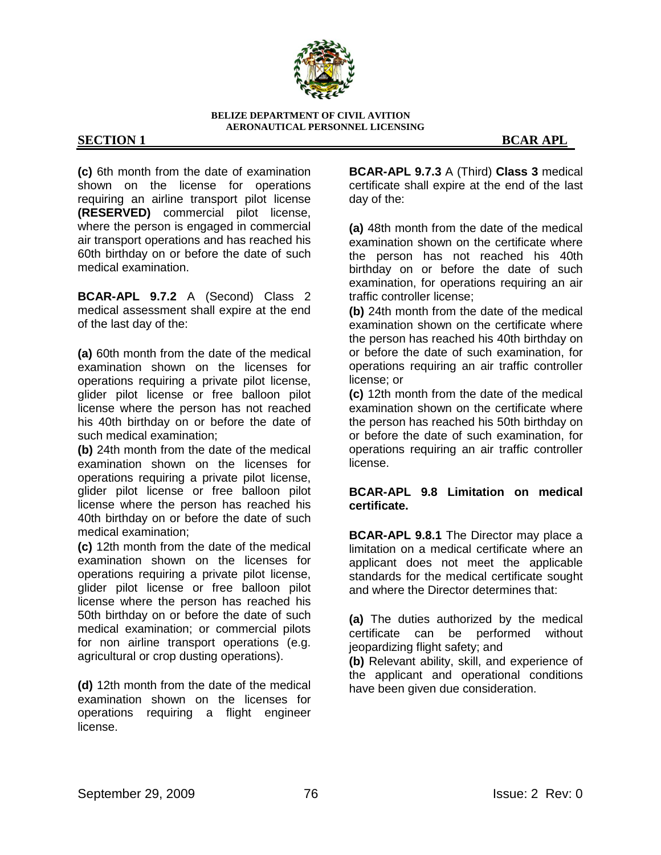

**(c)** 6th month from the date of examination shown on the license for operations requiring an airline transport pilot license **(RESERVED)** commercial pilot license, where the person is engaged in commercial air transport operations and has reached his 60th birthday on or before the date of such medical examination.

**BCAR-APL 9.7.2** A (Second) Class 2 medical assessment shall expire at the end of the last day of the:

**(a)** 60th month from the date of the medical examination shown on the licenses for operations requiring a private pilot license, glider pilot license or free balloon pilot license where the person has not reached his 40th birthday on or before the date of such medical examination;

**(b)** 24th month from the date of the medical examination shown on the licenses for operations requiring a private pilot license, glider pilot license or free balloon pilot license where the person has reached his 40th birthday on or before the date of such medical examination;

**(c)** 12th month from the date of the medical examination shown on the licenses for operations requiring a private pilot license, glider pilot license or free balloon pilot license where the person has reached his 50th birthday on or before the date of such medical examination; or commercial pilots for non airline transport operations (e.g. agricultural or crop dusting operations).

**(d)** 12th month from the date of the medical examination shown on the licenses for operations requiring a flight engineer license.

**BCAR-APL 9.7.3** A (Third) **Class 3** medical certificate shall expire at the end of the last day of the:

**(a)** 48th month from the date of the medical examination shown on the certificate where the person has not reached his 40th birthday on or before the date of such examination, for operations requiring an air traffic controller license;

**(b)** 24th month from the date of the medical examination shown on the certificate where the person has reached his 40th birthday on or before the date of such examination, for operations requiring an air traffic controller license; or

**(c)** 12th month from the date of the medical examination shown on the certificate where the person has reached his 50th birthday on or before the date of such examination, for operations requiring an air traffic controller license.

# **BCAR-APL 9.8 Limitation on medical certificate.**

**BCAR-APL 9.8.1** The Director may place a limitation on a medical certificate where an applicant does not meet the applicable standards for the medical certificate sought and where the Director determines that:

**(a)** The duties authorized by the medical certificate can be performed without jeopardizing flight safety; and

**(b)** Relevant ability, skill, and experience of the applicant and operational conditions have been given due consideration.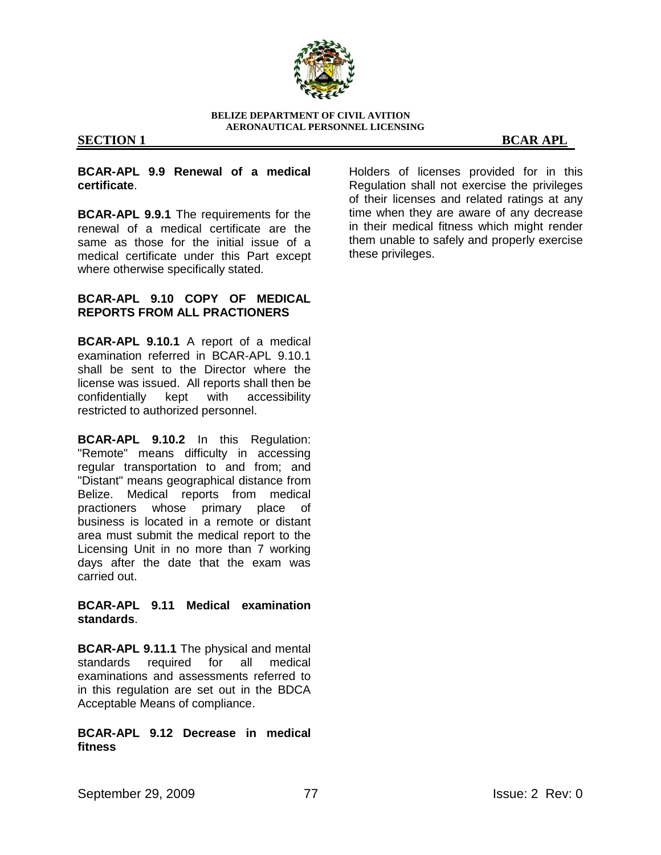

# **SECTION 1 BCAR APL**

## **BCAR-APL 9.9 Renewal of a medical certificate**.

**BCAR-APL 9.9.1** The requirements for the renewal of a medical certificate are the same as those for the initial issue of a medical certificate under this Part except where otherwise specifically stated.

# **BCAR-APL 9.10 COPY OF MEDICAL REPORTS FROM ALL PRACTIONERS**

**BCAR-APL 9.10.1** A report of a medical examination referred in BCAR-APL 9.10.1 shall be sent to the Director where the license was issued. All reports shall then be confidentially kept with accessibility restricted to authorized personnel.

**BCAR-APL 9.10.2** In this Regulation: "Remote" means difficulty in accessing regular transportation to and from; and "Distant" means geographical distance from Belize. Medical reports from medical practioners whose primary place of business is located in a remote or distant area must submit the medical report to the Licensing Unit in no more than 7 working days after the date that the exam was carried out.

**BCAR-APL 9.11 Medical examination standards**.

**BCAR-APL 9.11.1** The physical and mental standards required for all medical examinations and assessments referred to in this regulation are set out in the BDCA Acceptable Means of compliance.

## **BCAR-APL 9.12 Decrease in medical fitness**

Holders of licenses provided for in this Regulation shall not exercise the privileges of their licenses and related ratings at any time when they are aware of any decrease in their medical fitness which might render them unable to safely and properly exercise these privileges.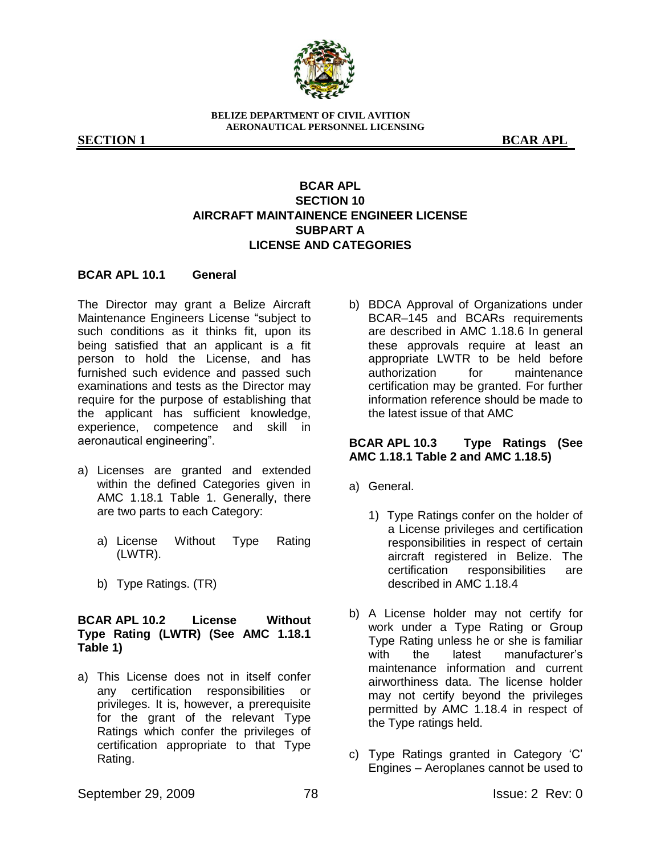

**SECTION 1 BCAR APL** 

# **BCAR APL SECTION 10 AIRCRAFT MAINTAINENCE ENGINEER LICENSE SUBPART A LICENSE AND CATEGORIES**

## **BCAR APL 10.1 General**

The Director may grant a Belize Aircraft Maintenance Engineers License "subject to such conditions as it thinks fit, upon its being satisfied that an applicant is a fit person to hold the License, and has furnished such evidence and passed such examinations and tests as the Director may require for the purpose of establishing that the applicant has sufficient knowledge, experience, competence and skill in aeronautical engineering".

- a) Licenses are granted and extended within the defined Categories given in AMC 1.18.1 Table 1. Generally, there are two parts to each Category:
	- a) License Without Type Rating (LWTR).
	- b) Type Ratings. (TR)

# **BCAR APL 10.2 License Without Type Rating (LWTR) (See AMC 1.18.1 Table 1)**

a) This License does not in itself confer any certification responsibilities or privileges. It is, however, a prerequisite for the grant of the relevant Type Ratings which confer the privileges of certification appropriate to that Type Rating.

b) BDCA Approval of Organizations under BCAR–145 and BCARs requirements are described in AMC 1.18.6 In general these approvals require at least an appropriate LWTR to be held before authorization for maintenance certification may be granted. For further information reference should be made to the latest issue of that AMC

## **BCAR APL 10.3 Type Ratings (See AMC 1.18.1 Table 2 and AMC 1.18.5)**

- a) General.
	- 1) Type Ratings confer on the holder of a License privileges and certification responsibilities in respect of certain aircraft registered in Belize. The certification responsibilities are described in AMC 1.18.4
- b) A License holder may not certify for work under a Type Rating or Group Type Rating unless he or she is familiar with the latest manufacturer's maintenance information and current airworthiness data. The license holder may not certify beyond the privileges permitted by AMC 1.18.4 in respect of the Type ratings held.
- c) Type Ratings granted in Category "C" Engines – Aeroplanes cannot be used to

September 29, 2009 78 78 Issue: 2 Rev: 0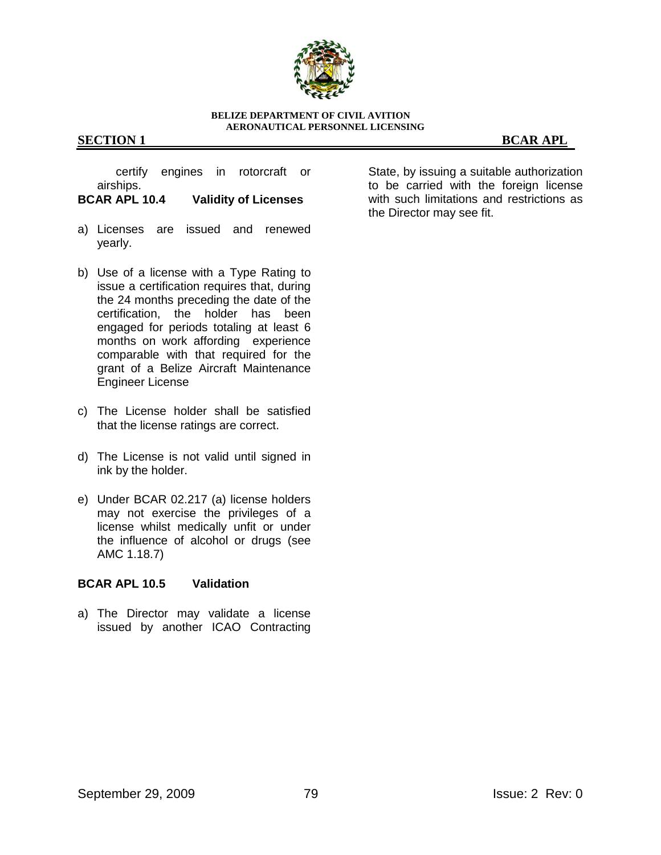

## **SECTION 1 BCAR APL**

certify engines in rotorcraft or airships.

## **BCAR APL 10.4 Validity of Licenses**

- a) Licenses are issued and renewed yearly.
- b) Use of a license with a Type Rating to issue a certification requires that, during the 24 months preceding the date of the certification, the holder has been engaged for periods totaling at least 6 months on work affording experience comparable with that required for the grant of a Belize Aircraft Maintenance Engineer License
- c) The License holder shall be satisfied that the license ratings are correct.
- d) The License is not valid until signed in ink by the holder.
- e) Under BCAR 02.217 (a) license holders may not exercise the privileges of a license whilst medically unfit or under the influence of alcohol or drugs (see AMC 1.18.7)

## **BCAR APL 10.5 Validation**

a) The Director may validate a license issued by another ICAO Contracting State, by issuing a suitable authorization to be carried with the foreign license with such limitations and restrictions as the Director may see fit.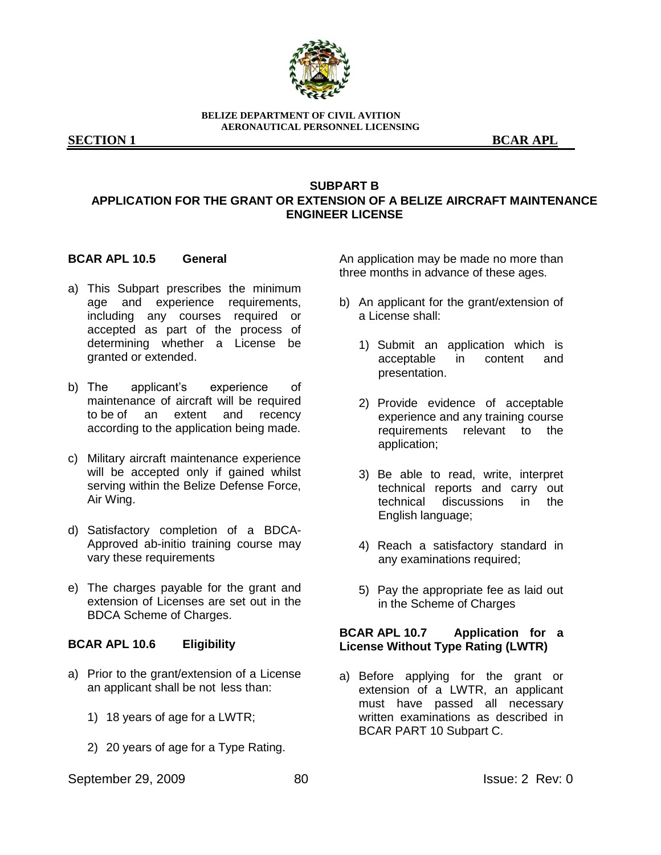

**SECTION 1 BCAR APL** 

# **SUBPART B APPLICATION FOR THE GRANT OR EXTENSION OF A BELIZE AIRCRAFT MAINTENANCE ENGINEER LICENSE**

## **BCAR APL 10.5 General**

- a) This Subpart prescribes the minimum age and experience requirements, including any courses required or accepted as part of the process of determining whether a License be granted or extended.
- b) The applicant"s experience of maintenance of aircraft will be required to be of an extent and recency according to the application being made.
- c) Military aircraft maintenance experience will be accepted only if gained whilst serving within the Belize Defense Force, Air Wing.
- d) Satisfactory completion of a BDCA-Approved ab-initio training course may vary these requirements
- e) The charges payable for the grant and extension of Licenses are set out in the BDCA Scheme of Charges.

# **BCAR APL 10.6 Eligibility**

- a) Prior to the grant/extension of a License an applicant shall be not less than:
	- 1) 18 years of age for a LWTR;
	- 2) 20 years of age for a Type Rating.

September 29, 2009 80 80 Issue: 2 Rev: 0

An application may be made no more than three months in advance of these ages.

- b) An applicant for the grant/extension of a License shall:
	- 1) Submit an application which is acceptable in content and presentation.
	- 2) Provide evidence of acceptable experience and any training course requirements relevant to the application;
	- 3) Be able to read, write, interpret technical reports and carry out technical discussions in the English language;
	- 4) Reach a satisfactory standard in any examinations required;
	- 5) Pay the appropriate fee as laid out in the Scheme of Charges

## **BCAR APL 10.7 Application for a License Without Type Rating (LWTR)**

a) Before applying for the grant or extension of a LWTR, an applicant must have passed all necessary written examinations as described in BCAR PART 10 Subpart C.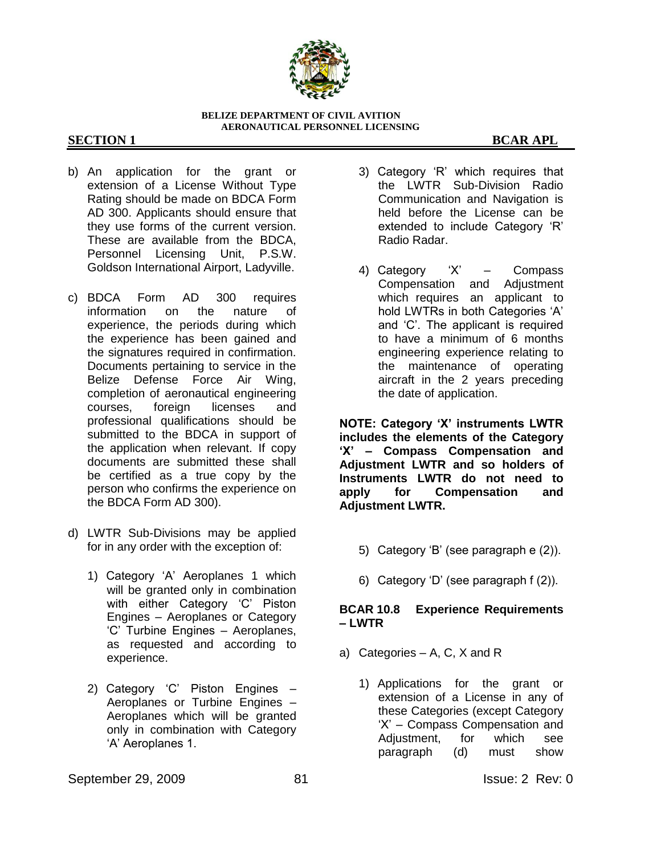

# **SECTION 1** BCAR APL

- b) An application for the grant or extension of a License Without Type Rating should be made on BDCA Form AD 300. Applicants should ensure that they use forms of the current version. These are available from the BDCA, Personnel Licensing Unit, P.S.W. Goldson International Airport, Ladyville.
- c) BDCA Form AD 300 requires information on the nature of experience, the periods during which the experience has been gained and the signatures required in confirmation. Documents pertaining to service in the Belize Defense Force Air Wing, completion of aeronautical engineering courses, foreign licenses and professional qualifications should be submitted to the BDCA in support of the application when relevant. If copy documents are submitted these shall be certified as a true copy by the person who confirms the experience on the BDCA Form AD 300).
- d) LWTR Sub-Divisions may be applied for in any order with the exception of:
	- 1) Category "A" Aeroplanes 1 which will be granted only in combination with either Category 'C' Piston Engines – Aeroplanes or Category "C" Turbine Engines – Aeroplanes, as requested and according to experience.
	- 2) Category "C" Piston Engines Aeroplanes or Turbine Engines – Aeroplanes which will be granted only in combination with Category 'A' Aeroplanes 1.
- 3) Category "R" which requires that the LWTR Sub-Division Radio Communication and Navigation is held before the License can be extended to include Category "R" Radio Radar.
- 4) Category "X" Compass Compensation and Adjustment which requires an applicant to hold LWTRs in both Categories 'A' and "C". The applicant is required to have a minimum of 6 months engineering experience relating to the maintenance of operating aircraft in the 2 years preceding the date of application.

**NOTE: Category "X" instruments LWTR includes the elements of the Category "X" – Compass Compensation and Adjustment LWTR and so holders of Instruments LWTR do not need to apply for Compensation and Adjustment LWTR.**

- 5) Category "B" (see paragraph e (2)).
- 6) Category "D" (see paragraph f (2)).

# **BCAR 10.8 Experience Requirements – LWTR**

- a) Categories A, C, X and R
	- 1) Applications for the grant or extension of a License in any of these Categories (except Category 'X' - Compass Compensation and Adjustment, for which see paragraph (d) must show

September 29, 2009 81 81 Issue: 2 Rev: 0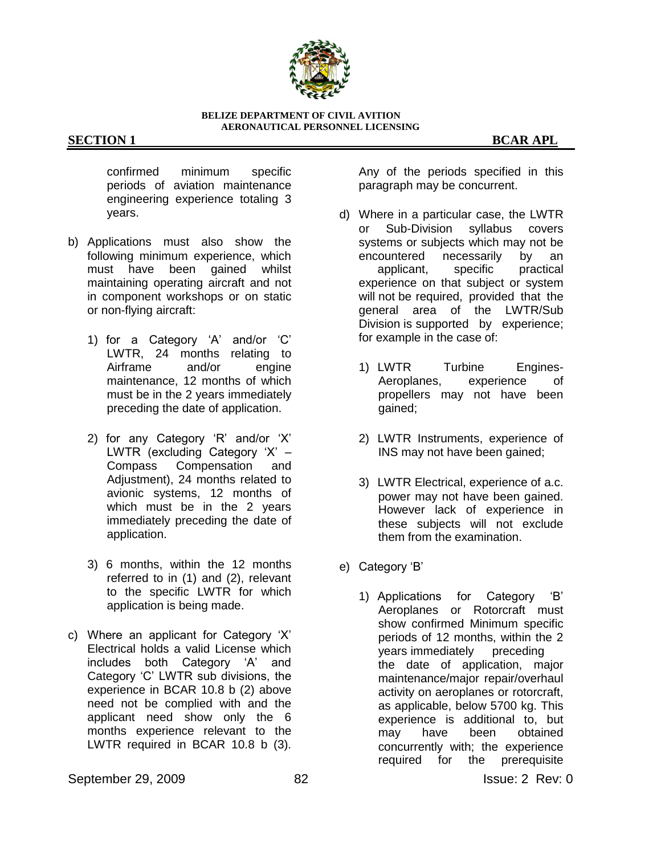

# **SECTION 1** BCAR APL

confirmed minimum specific periods of aviation maintenance engineering experience totaling 3 years.

- b) Applications must also show the following minimum experience, which must have been gained whilst maintaining operating aircraft and not in component workshops or on static or non-flying aircraft:
	- 1) for a Category "A" and/or "C" LWTR, 24 months relating to Airframe and/or engine maintenance, 12 months of which must be in the 2 years immediately preceding the date of application.
	- 2) for any Category 'R' and/or 'X' LWTR (excluding Category 'X' -Compass Compensation and Adjustment), 24 months related to avionic systems, 12 months of which must be in the 2 years immediately preceding the date of application.
	- 3) 6 months, within the 12 months referred to in (1) and (2), relevant to the specific LWTR for which application is being made.
- c) Where an applicant for Category "X" Electrical holds a valid License which includes both Category 'A' and Category "C" LWTR sub divisions, the experience in BCAR 10.8 b (2) above need not be complied with and the applicant need show only the 6 months experience relevant to the LWTR required in BCAR 10.8 b (3).

September 29, 2009 **82 82 ISSUE: 2 Rev: 0 ISSUE: 2 Rev: 0** 

Any of the periods specified in this paragraph may be concurrent.

- d) Where in a particular case, the LWTR or Sub-Division syllabus covers systems or subjects which may not be encountered necessarily by an applicant, specific practical experience on that subject or system will not be required, provided that the general area of the LWTR/Sub Division is supported by experience; for example in the case of:
	- 1) LWTR Turbine Engines-Aeroplanes, experience of propellers may not have been gained;
	- 2) LWTR Instruments, experience of INS may not have been gained;
	- 3) LWTR Electrical, experience of a.c. power may not have been gained. However lack of experience in these subjects will not exclude them from the examination.
- e) Category 'B'
	- 1) Applications for Category "B" Aeroplanes or Rotorcraft must show confirmed Minimum specific periods of 12 months, within the 2 years immediately preceding the date of application, major maintenance/major repair/overhaul activity on aeroplanes or rotorcraft, as applicable, below 5700 kg. This experience is additional to, but may have been obtained concurrently with; the experience required for the prerequisite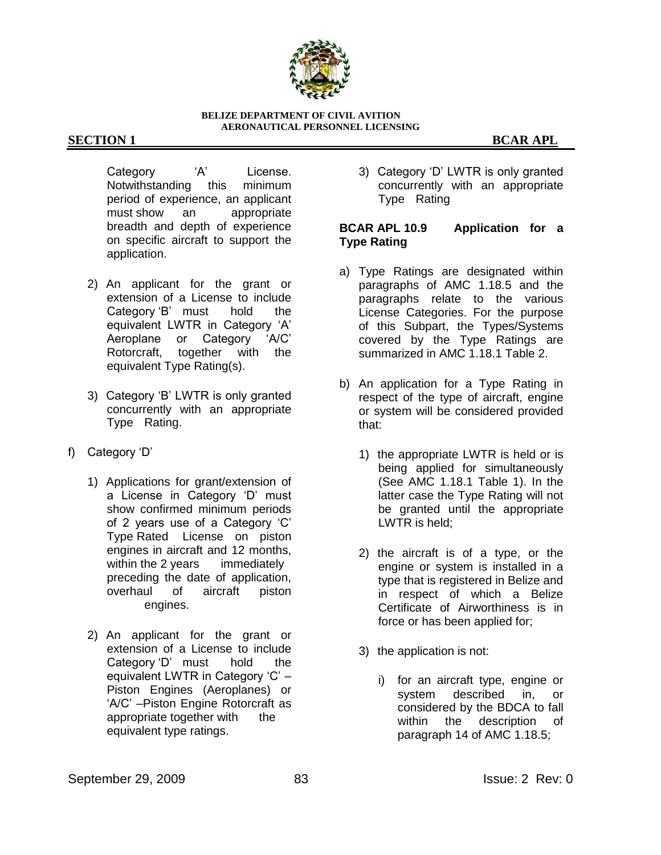

# **SECTION 1** BCAR APL

Category 'A' License. Notwithstanding this minimum period of experience, an applicant must show an appropriate breadth and depth of experience on specific aircraft to support the application.

- 2) An applicant for the grant or extension of a License to include Category 'B' must hold the equivalent LWTR in Category "A" Aeroplane or Category "A/C" Rotorcraft, together with the equivalent Type Rating(s).
- 3) Category "B" LWTR is only granted concurrently with an appropriate Type Rating.
- f) Category 'D'
	- 1) Applications for grant/extension of a License in Category 'D' must show confirmed minimum periods of 2 years use of a Category "C" Type Rated License on piston engines in aircraft and 12 months, within the 2 years immediately preceding the date of application, overhaul of aircraft piston engines.
	- 2) An applicant for the grant or extension of a License to include Category 'D' must hold the equivalent LWTR in Category 'C' -Piston Engines (Aeroplanes) or "A/C" –Piston Engine Rotorcraft as appropriate together with the equivalent type ratings.

3) Category "D" LWTR is only granted concurrently with an appropriate Type Rating

## **BCAR APL 10.9 Application for a Type Rating**

- a) Type Ratings are designated within paragraphs of AMC 1.18.5 and the paragraphs relate to the various License Categories. For the purpose of this Subpart, the Types/Systems covered by the Type Ratings are summarized in AMC 1.18.1 Table 2.
- b) An application for a Type Rating in respect of the type of aircraft, engine or system will be considered provided that:
	- 1) the appropriate LWTR is held or is being applied for simultaneously (See AMC 1.18.1 Table 1). In the latter case the Type Rating will not be granted until the appropriate LWTR is held;
	- 2) the aircraft is of a type, or the engine or system is installed in a type that is registered in Belize and in respect of which a Belize Certificate of Airworthiness is in force or has been applied for;
	- 3) the application is not:
		- i) for an aircraft type, engine or system described in, or considered by the BDCA to fall within the description of paragraph 14 of AMC 1.18.5;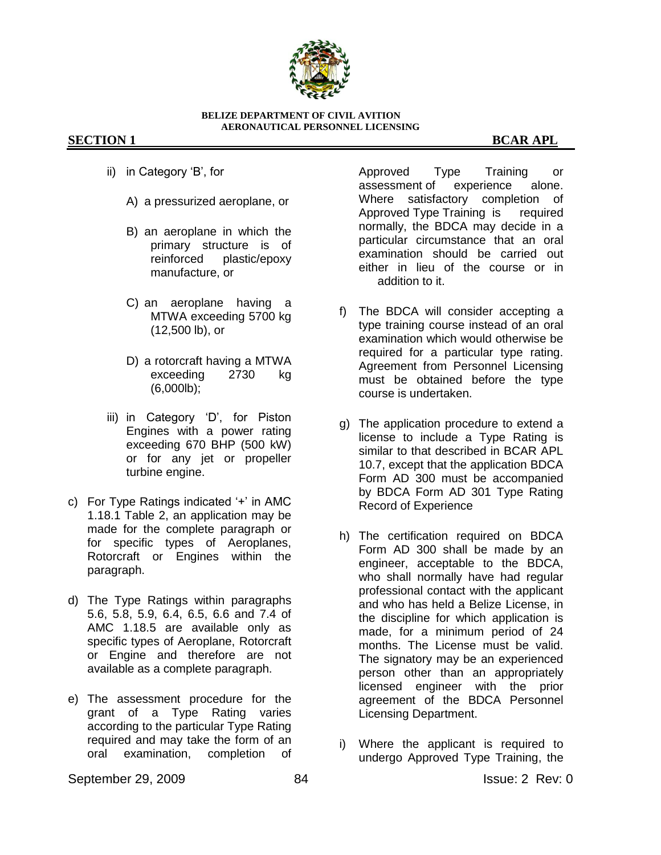

# **SECTION 1 BCAR APL**

- ii) in Category 'B', for
	- A) a pressurized aeroplane, or
	- B) an aeroplane in which the primary structure is of reinforced plastic/epoxy manufacture, or
	- C) an aeroplane having a MTWA exceeding 5700 kg (12,500 lb), or
	- D) a rotorcraft having a MTWA exceeding 2730 kg (6,000lb);
- iii) in Category 'D', for Piston Engines with a power rating exceeding 670 BHP (500 kW) or for any jet or propeller turbine engine.
- c) For Type Ratings indicated '+' in AMC 1.18.1 Table 2, an application may be made for the complete paragraph or for specific types of Aeroplanes, Rotorcraft or Engines within the paragraph.
- d) The Type Ratings within paragraphs 5.6, 5.8, 5.9, 6.4, 6.5, 6.6 and 7.4 of AMC 1.18.5 are available only as specific types of Aeroplane, Rotorcraft or Engine and therefore are not available as a complete paragraph.
- e) The assessment procedure for the grant of a Type Rating varies according to the particular Type Rating required and may take the form of an oral examination, completion of

Approved Type Training or assessment of experience alone. Where satisfactory completion of Approved Type Training is required normally, the BDCA may decide in a particular circumstance that an oral examination should be carried out either in lieu of the course or in addition to it.

- f) The BDCA will consider accepting a type training course instead of an oral examination which would otherwise be required for a particular type rating. Agreement from Personnel Licensing must be obtained before the type course is undertaken.
- g) The application procedure to extend a license to include a Type Rating is similar to that described in BCAR APL 10.7, except that the application BDCA Form AD 300 must be accompanied by BDCA Form AD 301 Type Rating Record of Experience
- h) The certification required on BDCA Form AD 300 shall be made by an engineer, acceptable to the BDCA, who shall normally have had regular professional contact with the applicant and who has held a Belize License, in the discipline for which application is made, for a minimum period of 24 months. The License must be valid. The signatory may be an experienced person other than an appropriately licensed engineer with the prior agreement of the BDCA Personnel Licensing Department.
- i) Where the applicant is required to undergo Approved Type Training, the

September 29, 2009 **84 ISSUE: 2 Rev: 0 ISSUE: 2 Rev: 0**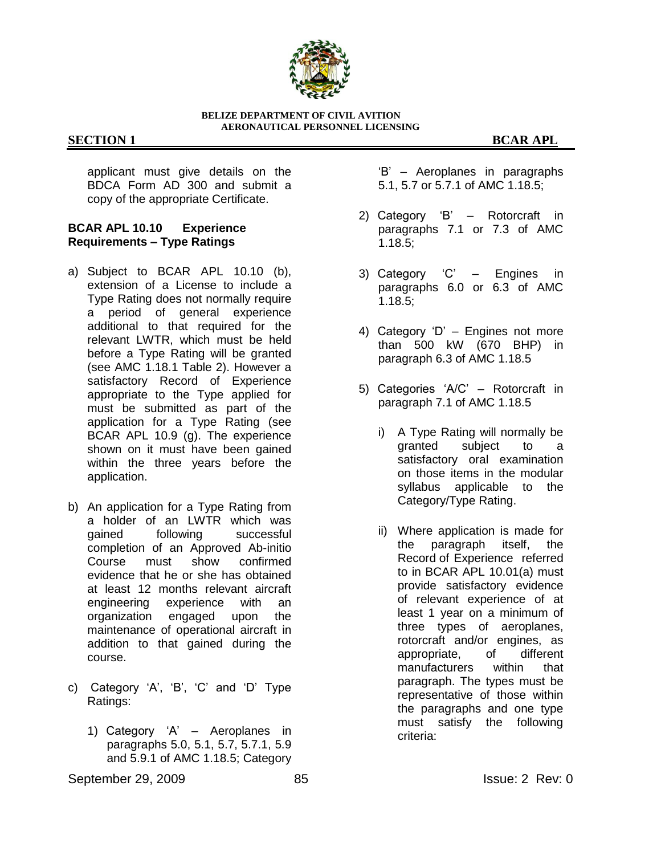

# **SECTION 1** BCAR APL

applicant must give details on the BDCA Form AD 300 and submit a copy of the appropriate Certificate.

# **BCAR APL 10.10 Experience Requirements – Type Ratings**

- a) Subject to BCAR APL 10.10 (b), extension of a License to include a Type Rating does not normally require a period of general experience additional to that required for the relevant LWTR, which must be held before a Type Rating will be granted (see AMC 1.18.1 Table 2). However a satisfactory Record of Experience appropriate to the Type applied for must be submitted as part of the application for a Type Rating (see BCAR APL 10.9 (g). The experience shown on it must have been gained within the three years before the application.
- b) An application for a Type Rating from a holder of an LWTR which was gained following successful completion of an Approved Ab-initio Course must show confirmed evidence that he or she has obtained at least 12 months relevant aircraft engineering experience with an organization engaged upon the maintenance of operational aircraft in addition to that gained during the course.
- c) Category 'A', 'B', 'C' and 'D' Type Ratings:
	- 1) Category "A" Aeroplanes in paragraphs 5.0, 5.1, 5.7, 5.7.1, 5.9 and 5.9.1 of AMC 1.18.5; Category

"B" – Aeroplanes in paragraphs 5.1, 5.7 or 5.7.1 of AMC 1.18.5;

- 2) Category "B" Rotorcraft in paragraphs 7.1 or 7.3 of AMC 1.18.5;
- 3) Category "C" Engines in paragraphs 6.0 or 6.3 of AMC 1.18.5;
- 4) Category "D" Engines not more than 500 kW (670 BHP) in paragraph 6.3 of AMC 1.18.5
- 5) Categories "A/C" Rotorcraft in paragraph 7.1 of AMC 1.18.5
	- i) A Type Rating will normally be granted subject to a satisfactory oral examination on those items in the modular syllabus applicable to the Category/Type Rating.
	- ii) Where application is made for the paragraph itself, the Record of Experience referred to in BCAR APL 10.01(a) must provide satisfactory evidence of relevant experience of at least 1 year on a minimum of three types of aeroplanes, rotorcraft and/or engines, as appropriate, of different manufacturers within that paragraph. The types must be representative of those within the paragraphs and one type must satisfy the following criteria:

September 29, 2009 85 85 Issue: 2 Rev: 0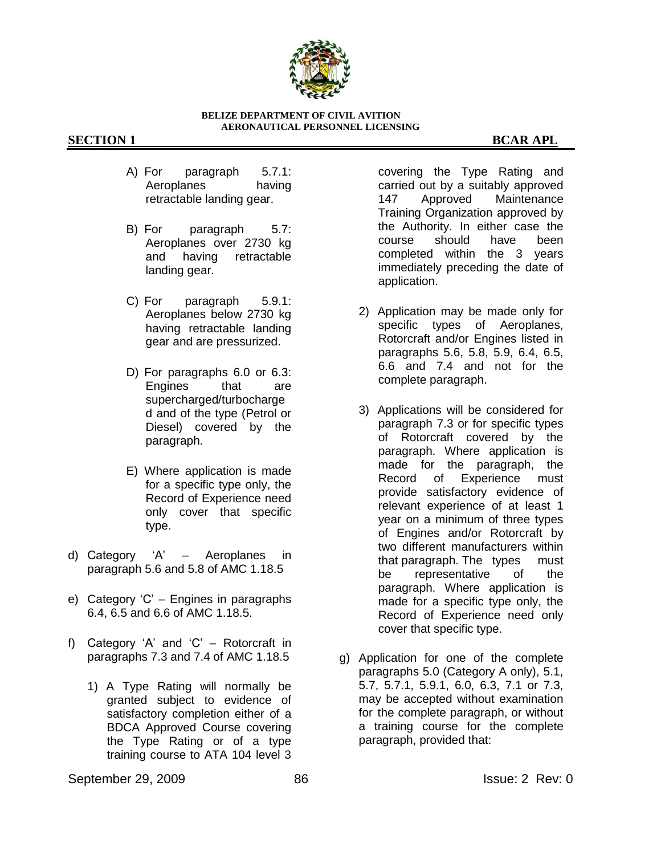

- A) For paragraph 5.7.1: Aeroplanes having retractable landing gear.
- B) For paragraph 5.7: Aeroplanes over 2730 kg and having retractable landing gear.
- C) For paragraph 5.9.1: Aeroplanes below 2730 kg having retractable landing gear and are pressurized.
- D) For paragraphs 6.0 or 6.3: Engines that are supercharged/turbocharge d and of the type (Petrol or Diesel) covered by the paragraph.
- E) Where application is made for a specific type only, the Record of Experience need only cover that specific type.
- d) Category "A" Aeroplanes in paragraph 5.6 and 5.8 of AMC 1.18.5
- e) Category "C" Engines in paragraphs 6.4, 6.5 and 6.6 of AMC 1.18.5.
- f) Category 'A' and 'C'  $-$  Rotorcraft in paragraphs 7.3 and 7.4 of AMC 1.18.5
	- 1) A Type Rating will normally be granted subject to evidence of satisfactory completion either of a BDCA Approved Course covering the Type Rating or of a type training course to ATA 104 level 3

covering the Type Rating and carried out by a suitably approved 147 Approved Maintenance Training Organization approved by the Authority. In either case the course should have been completed within the 3 years immediately preceding the date of application.

- 2) Application may be made only for specific types of Aeroplanes, Rotorcraft and/or Engines listed in paragraphs 5.6, 5.8, 5.9, 6.4, 6.5, 6.6 and 7.4 and not for the complete paragraph.
- 3) Applications will be considered for paragraph 7.3 or for specific types of Rotorcraft covered by the paragraph. Where application is made for the paragraph, the Record of Experience must provide satisfactory evidence of relevant experience of at least 1 year on a minimum of three types of Engines and/or Rotorcraft by two different manufacturers within that paragraph. The types must be representative of the paragraph. Where application is made for a specific type only, the Record of Experience need only cover that specific type.
- g) Application for one of the complete paragraphs 5.0 (Category A only), 5.1, 5.7, 5.7.1, 5.9.1, 6.0, 6.3, 7.1 or 7.3, may be accepted without examination for the complete paragraph, or without a training course for the complete paragraph, provided that: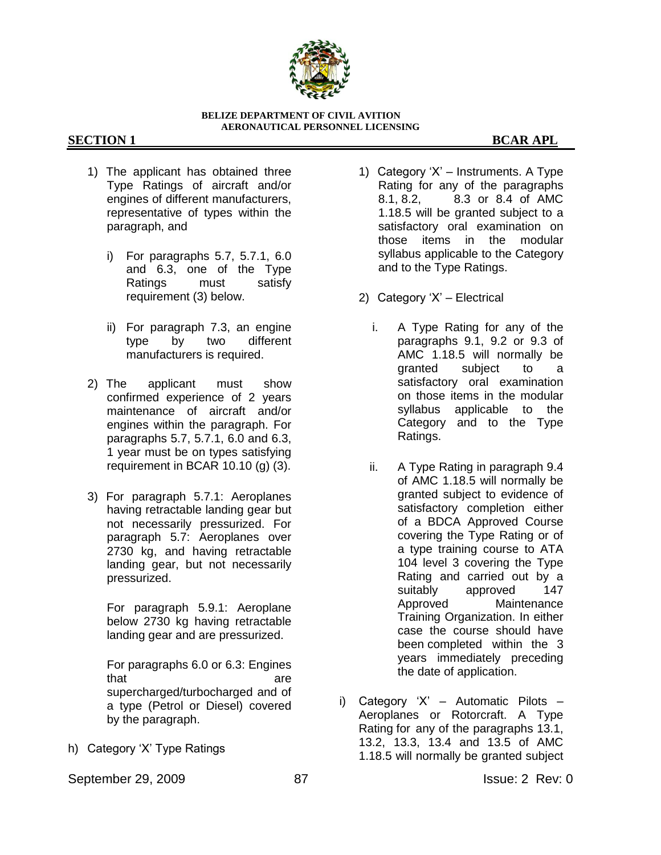

# **SECTION 1** BCAR APL

- 1) The applicant has obtained three Type Ratings of aircraft and/or engines of different manufacturers, representative of types within the paragraph, and
	- i) For paragraphs 5.7, 5.7.1, 6.0 and 6.3, one of the Type Ratings must satisfy requirement (3) below.
	- ii) For paragraph 7.3, an engine type by two different manufacturers is required.
- 2) The applicant must show confirmed experience of 2 years maintenance of aircraft and/or engines within the paragraph. For paragraphs 5.7, 5.7.1, 6.0 and 6.3, 1 year must be on types satisfying requirement in BCAR 10.10 (g) (3).
- 3) For paragraph 5.7.1: Aeroplanes having retractable landing gear but not necessarily pressurized. For paragraph 5.7: Aeroplanes over 2730 kg, and having retractable landing gear, but not necessarily pressurized.

For paragraph 5.9.1: Aeroplane below 2730 kg having retractable landing gear and are pressurized.

For paragraphs 6.0 or 6.3: Engines that are a contracted that  $\alpha$ supercharged/turbocharged and of a type (Petrol or Diesel) covered by the paragraph.

h) Category "X" Type Ratings

- 1) Category "X" Instruments. A Type Rating for any of the paragraphs 8.1, 8.2, 8.3 or 8.4 of AMC 1.18.5 will be granted subject to a satisfactory oral examination on those items in the modular syllabus applicable to the Category and to the Type Ratings.
- 2) Category "X" Electrical
	- i. A Type Rating for any of the paragraphs 9.1, 9.2 or 9.3 of AMC 1.18.5 will normally be granted subject to a satisfactory oral examination on those items in the modular syllabus applicable to the Category and to the Type Ratings.
	- ii. A Type Rating in paragraph 9.4 of AMC 1.18.5 will normally be granted subject to evidence of satisfactory completion either of a BDCA Approved Course covering the Type Rating or of a type training course to ATA 104 level 3 covering the Type Rating and carried out by a suitably approved 147 Approved Maintenance Training Organization. In either case the course should have been completed within the 3 years immediately preceding the date of application.
- i) Category 'X' Automatic Pilots -Aeroplanes or Rotorcraft. A Type Rating for any of the paragraphs 13.1, 13.2, 13.3, 13.4 and 13.5 of AMC 1.18.5 will normally be granted subject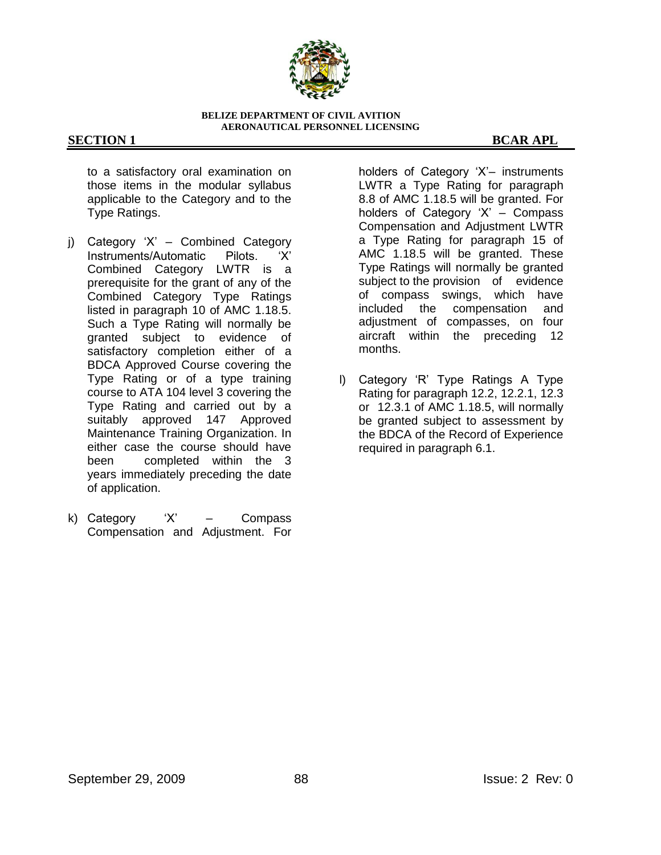

## **SECTION 1** BCAR APL

to a satisfactory oral examination on those items in the modular syllabus applicable to the Category and to the Type Ratings.

- j) Category "X" Combined Category Instruments/Automatic Pilots. "X" Combined Category LWTR is a prerequisite for the grant of any of the Combined Category Type Ratings listed in paragraph 10 of AMC 1.18.5. Such a Type Rating will normally be granted subject to evidence of satisfactory completion either of a BDCA Approved Course covering the Type Rating or of a type training course to ATA 104 level 3 covering the Type Rating and carried out by a suitably approved 147 Approved Maintenance Training Organization. In either case the course should have been completed within the 3 years immediately preceding the date of application.
- k) Category "X" Compass Compensation and Adjustment. For

holders of Category 'X'- instruments LWTR a Type Rating for paragraph 8.8 of AMC 1.18.5 will be granted. For holders of Category  $X'$  – Compass Compensation and Adjustment LWTR a Type Rating for paragraph 15 of AMC 1.18.5 will be granted. These Type Ratings will normally be granted subject to the provision of evidence of compass swings, which have included the compensation and adjustment of compasses, on four aircraft within the preceding 12 months.

l) Category "R" Type Ratings A Type Rating for paragraph 12.2, 12.2.1, 12.3 or 12.3.1 of AMC 1.18.5, will normally be granted subject to assessment by the BDCA of the Record of Experience required in paragraph 6.1.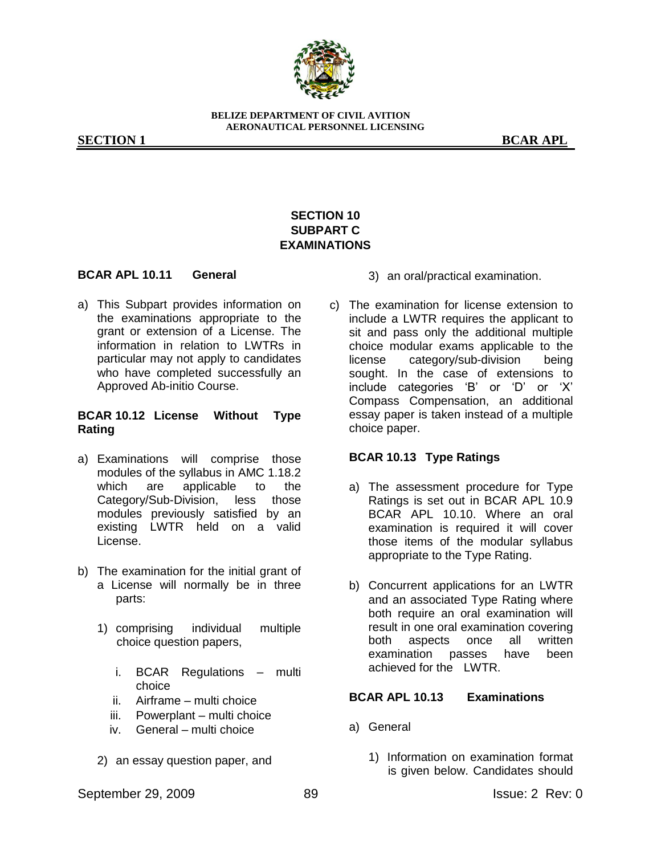

**SECTION 1 BCAR APL** 

# **SECTION 10 SUBPART C EXAMINATIONS**

## **BCAR APL 10.11 General**

a) This Subpart provides information on the examinations appropriate to the grant or extension of a License. The information in relation to LWTRs in particular may not apply to candidates who have completed successfully an Approved Ab-initio Course.

# **BCAR 10.12 License Without Type Rating**

- a) Examinations will comprise those modules of the syllabus in AMC 1.18.2 which are applicable to the Category/Sub-Division, less those modules previously satisfied by an existing LWTR held on a valid License.
- b) The examination for the initial grant of a License will normally be in three parts:
	- 1) comprising individual multiple choice question papers,
		- i. BCAR Regulations multi choice
		- ii. Airframe multi choice
		- iii. Powerplant multi choice
		- iv. General multi choice
	- 2) an essay question paper, and
- 3) an oral/practical examination.
- c) The examination for license extension to include a LWTR requires the applicant to sit and pass only the additional multiple choice modular exams applicable to the license category/sub-division being sought. In the case of extensions to include categories 'B' or 'D' or 'X' Compass Compensation, an additional essay paper is taken instead of a multiple choice paper.

# **BCAR 10.13 Type Ratings**

- a) The assessment procedure for Type Ratings is set out in BCAR APL 10.9 BCAR APL 10.10. Where an oral examination is required it will cover those items of the modular syllabus appropriate to the Type Rating.
- b) Concurrent applications for an LWTR and an associated Type Rating where both require an oral examination will result in one oral examination covering both aspects once all written examination passes have been achieved for the LWTR.

# **BCAR APL 10.13 Examinations**

- a) General
	- 1) Information on examination format is given below. Candidates should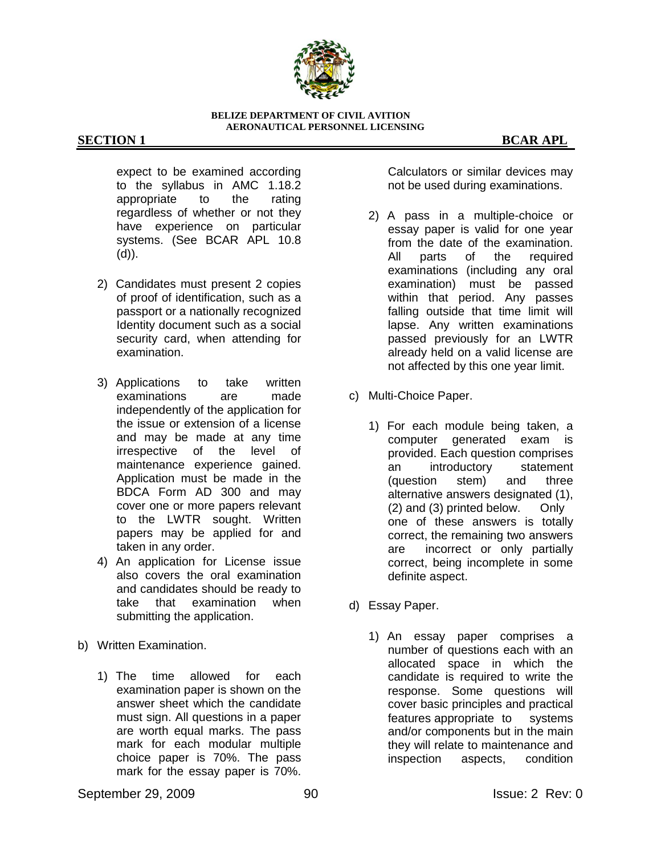

expect to be examined according to the syllabus in AMC 1.18.2 appropriate to the rating regardless of whether or not they have experience on particular systems. (See BCAR APL 10.8 (d)).

- 2) Candidates must present 2 copies of proof of identification, such as a passport or a nationally recognized Identity document such as a social security card, when attending for examination.
- 3) Applications to take written examinations are made independently of the application for the issue or extension of a license and may be made at any time irrespective of the level of maintenance experience gained. Application must be made in the BDCA Form AD 300 and may cover one or more papers relevant to the LWTR sought. Written papers may be applied for and taken in any order.
- 4) An application for License issue also covers the oral examination and candidates should be ready to take that examination when submitting the application.
- b) Written Examination.
	- 1) The time allowed for each examination paper is shown on the answer sheet which the candidate must sign. All questions in a paper are worth equal marks. The pass mark for each modular multiple choice paper is 70%. The pass mark for the essay paper is 70%.

Calculators or similar devices may not be used during examinations.

- 2) A pass in a multiple-choice or essay paper is valid for one year from the date of the examination. All parts of the required examinations (including any oral examination) must be passed within that period. Any passes falling outside that time limit will lapse. Any written examinations passed previously for an LWTR already held on a valid license are not affected by this one year limit.
- c) Multi-Choice Paper.
	- 1) For each module being taken, a computer generated exam is provided. Each question comprises an introductory statement (question stem) and three alternative answers designated (1), (2) and (3) printed below. Only one of these answers is totally correct, the remaining two answers are incorrect or only partially correct, being incomplete in some definite aspect.
- d) Essay Paper.
	- 1) An essay paper comprises a number of questions each with an allocated space in which the candidate is required to write the response. Some questions will cover basic principles and practical features appropriate to systems and/or components but in the main they will relate to maintenance and inspection aspects, condition

September 29, 2009 **90 90 ISSUE: 2 Rev: 0 ISSUE: 2 Rev: 0**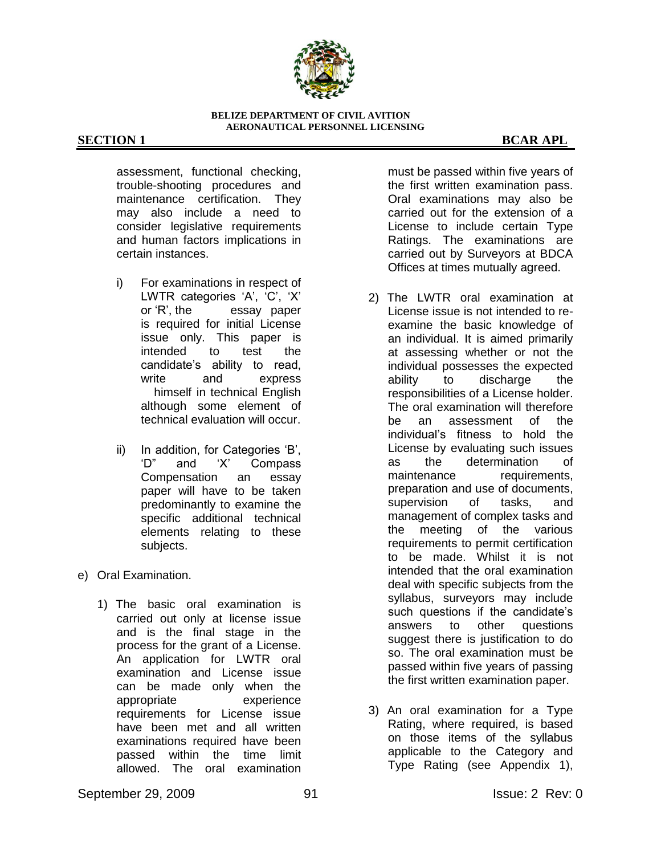

assessment, functional checking, trouble-shooting procedures and maintenance certification. They may also include a need to consider legislative requirements and human factors implications in certain instances.

- i) For examinations in respect of LWTR categories 'A', 'C', 'X' or "R", the essay paper is required for initial License issue only. This paper is intended to test the candidate"s ability to read, write and express himself in technical English although some element of technical evaluation will occur.
- ii) In addition, for Categories "B", "D" and "X" Compass Compensation an essay paper will have to be taken predominantly to examine the specific additional technical elements relating to these subjects.
- e) Oral Examination.
	- 1) The basic oral examination is carried out only at license issue and is the final stage in the process for the grant of a License. An application for LWTR oral examination and License issue can be made only when the appropriate experience requirements for License issue have been met and all written examinations required have been passed within the time limit allowed. The oral examination

must be passed within five years of the first written examination pass. Oral examinations may also be carried out for the extension of a License to include certain Type Ratings. The examinations are carried out by Surveyors at BDCA Offices at times mutually agreed.

- 2) The LWTR oral examination at License issue is not intended to reexamine the basic knowledge of an individual. It is aimed primarily at assessing whether or not the individual possesses the expected ability to discharge the responsibilities of a License holder. The oral examination will therefore be an assessment of the individual"s fitness to hold the License by evaluating such issues as the determination of maintenance requirements, preparation and use of documents, supervision of tasks, and management of complex tasks and the meeting of the various requirements to permit certification to be made. Whilst it is not intended that the oral examination deal with specific subjects from the syllabus, surveyors may include such questions if the candidate's answers to other questions suggest there is justification to do so. The oral examination must be passed within five years of passing the first written examination paper.
- 3) An oral examination for a Type Rating, where required, is based on those items of the syllabus applicable to the Category and Type Rating (see Appendix 1),

September 29, 2009 91 91 **ISSUE: 2 Rev: 0**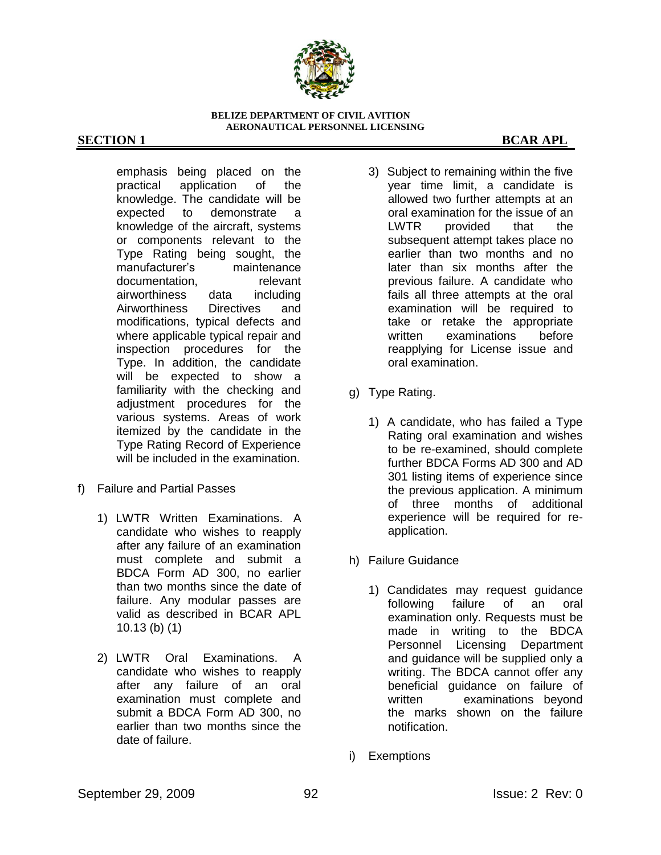

emphasis being placed on the practical application of the knowledge. The candidate will be expected to demonstrate a knowledge of the aircraft, systems or components relevant to the Type Rating being sought, the manufacturer"s maintenance documentation, relevant airworthiness data including Airworthiness Directives and modifications, typical defects and where applicable typical repair and inspection procedures for the Type. In addition, the candidate will be expected to show a familiarity with the checking and adjustment procedures for the various systems. Areas of work itemized by the candidate in the Type Rating Record of Experience will be included in the examination.

- f) Failure and Partial Passes
	- 1) LWTR Written Examinations. A candidate who wishes to reapply after any failure of an examination must complete and submit a BDCA Form AD 300, no earlier than two months since the date of failure. Any modular passes are valid as described in BCAR APL 10.13 (b) (1)
	- 2) LWTR Oral Examinations. A candidate who wishes to reapply after any failure of an oral examination must complete and submit a BDCA Form AD 300, no earlier than two months since the date of failure.
- 3) Subject to remaining within the five year time limit, a candidate is allowed two further attempts at an oral examination for the issue of an LWTR provided that the subsequent attempt takes place no earlier than two months and no later than six months after the previous failure. A candidate who fails all three attempts at the oral examination will be required to take or retake the appropriate written examinations before reapplying for License issue and oral examination.
- g) Type Rating.
	- 1) A candidate, who has failed a Type Rating oral examination and wishes to be re-examined, should complete further BDCA Forms AD 300 and AD 301 listing items of experience since the previous application. A minimum of three months of additional experience will be required for reapplication.
- h) Failure Guidance
	- 1) Candidates may request guidance following failure of an oral examination only. Requests must be made in writing to the BDCA Personnel Licensing Department and guidance will be supplied only a writing. The BDCA cannot offer any beneficial guidance on failure of written examinations beyond the marks shown on the failure notification.
- i) Exemptions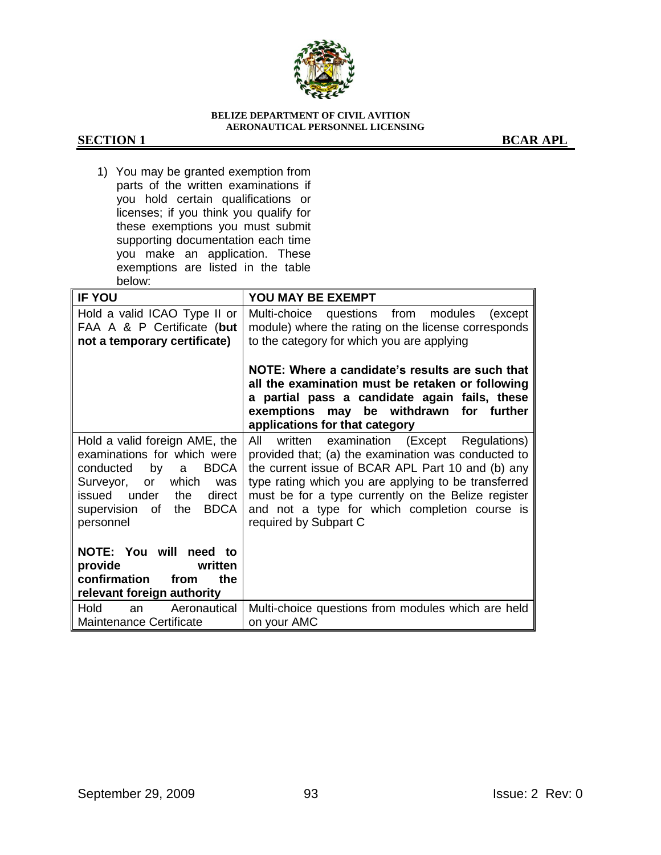

**SECTION 1 BCAR APL** 

1) You may be granted exemption from parts of the written examinations if you hold certain qualifications or licenses; if you think you qualify for these exemptions you must submit supporting documentation each time you make an application. These exemptions are listed in the table below:

| <b>IF YOU</b>                                                                                                                                                                                                                | <b>YOU MAY BE EXEMPT</b>                                                                                                                                                                                                                                                                                                                             |
|------------------------------------------------------------------------------------------------------------------------------------------------------------------------------------------------------------------------------|------------------------------------------------------------------------------------------------------------------------------------------------------------------------------------------------------------------------------------------------------------------------------------------------------------------------------------------------------|
| Hold a valid ICAO Type II or<br>FAA A & P Certificate (but<br>not a temporary certificate)                                                                                                                                   | Multi-choice questions from modules (except<br>module) where the rating on the license corresponds<br>to the category for which you are applying                                                                                                                                                                                                     |
|                                                                                                                                                                                                                              | NOTE: Where a candidate's results are such that<br>all the examination must be retaken or following<br>a partial pass a candidate again fails, these<br>exemptions may be withdrawn for further<br>applications for that category                                                                                                                    |
| Hold a valid foreign AME, the<br>examinations for which were<br><b>BDCA</b><br>conducted<br>by<br>a<br>Surveyor,<br>which<br>or<br>was<br>issued under<br>direct<br>the<br><b>BDCA</b><br>supervision of<br>the<br>personnel | written examination (Except Regulations)<br>All<br>provided that; (a) the examination was conducted to<br>the current issue of BCAR APL Part 10 and (b) any<br>type rating which you are applying to be transferred<br>must be for a type currently on the Belize register<br>and not a type for which completion course is<br>required by Subpart C |
| NOTE: You will need to<br>written<br>provide<br>confirmation<br>the<br>from<br>relevant foreign authority                                                                                                                    |                                                                                                                                                                                                                                                                                                                                                      |
| Aeronautical<br>Hold<br>an<br><b>Maintenance Certificate</b>                                                                                                                                                                 | Multi-choice questions from modules which are held<br>on your AMC                                                                                                                                                                                                                                                                                    |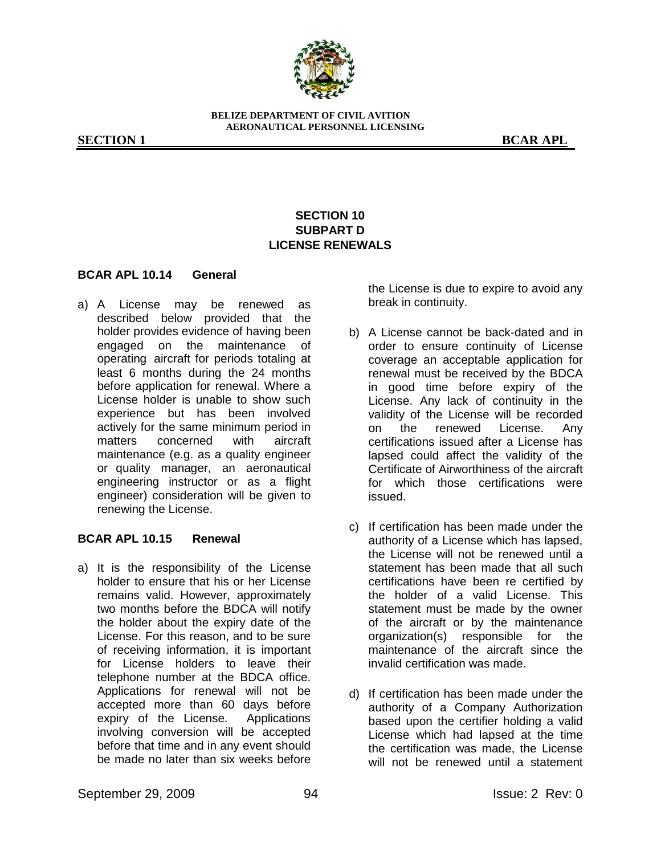

**SECTION 1** BCAR APL

# **SECTION 10 SUBPART D LICENSE RENEWALS**

## **BCAR APL 10.14 General**

a) A License may be renewed as described below provided that the holder provides evidence of having been engaged on the maintenance of operating aircraft for periods totaling at least 6 months during the 24 months before application for renewal. Where a License holder is unable to show such experience but has been involved actively for the same minimum period in matters concerned with aircraft maintenance (e.g. as a quality engineer or quality manager, an aeronautical engineering instructor or as a flight engineer) consideration will be given to renewing the License.

# **BCAR APL 10.15 Renewal**

a) It is the responsibility of the License holder to ensure that his or her License remains valid. However, approximately two months before the BDCA will notify the holder about the expiry date of the License. For this reason, and to be sure of receiving information, it is important for License holders to leave their telephone number at the BDCA office. Applications for renewal will not be accepted more than 60 days before expiry of the License. Applications involving conversion will be accepted before that time and in any event should be made no later than six weeks before

the License is due to expire to avoid any break in continuity.

- b) A License cannot be back-dated and in order to ensure continuity of License coverage an acceptable application for renewal must be received by the BDCA in good time before expiry of the License. Any lack of continuity in the validity of the License will be recorded on the renewed License. Any certifications issued after a License has lapsed could affect the validity of the Certificate of Airworthiness of the aircraft for which those certifications were issued.
- c) If certification has been made under the authority of a License which has lapsed, the License will not be renewed until a statement has been made that all such certifications have been re certified by the holder of a valid License. This statement must be made by the owner of the aircraft or by the maintenance organization(s) responsible for the maintenance of the aircraft since the invalid certification was made.
- d) If certification has been made under the authority of a Company Authorization based upon the certifier holding a valid License which had lapsed at the time the certification was made, the License will not be renewed until a statement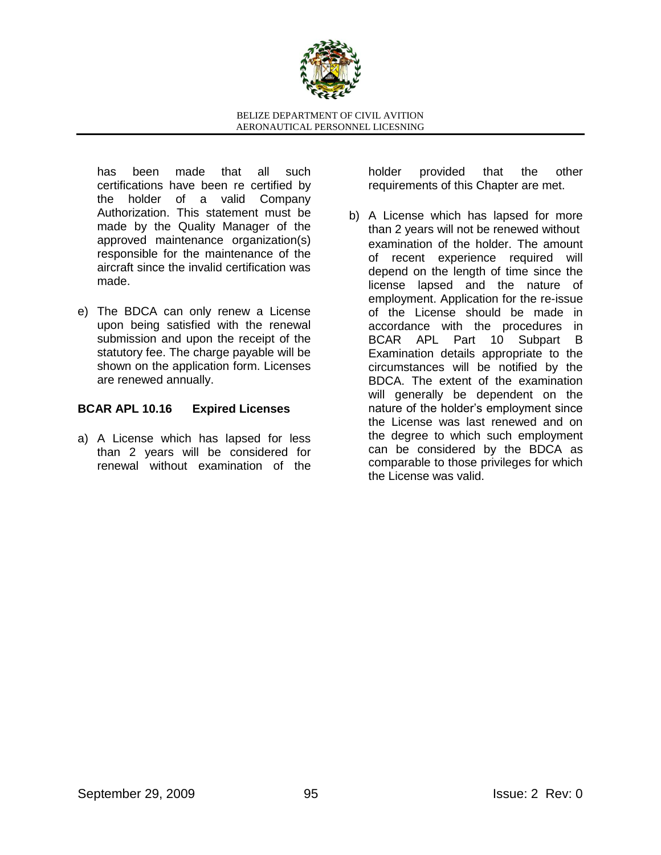

has been made that all such certifications have been re certified by the holder of a valid Company Authorization. This statement must be made by the Quality Manager of the approved maintenance organization(s) responsible for the maintenance of the aircraft since the invalid certification was made.

e) The BDCA can only renew a License upon being satisfied with the renewal submission and upon the receipt of the statutory fee. The charge payable will be shown on the application form. Licenses are renewed annually.

## **BCAR APL 10.16 Expired Licenses**

a) A License which has lapsed for less than 2 years will be considered for renewal without examination of the holder provided that the other requirements of this Chapter are met.

b) A License which has lapsed for more than 2 years will not be renewed without examination of the holder. The amount of recent experience required will depend on the length of time since the license lapsed and the nature of employment. Application for the re-issue of the License should be made in accordance with the procedures in BCAR APL Part 10 Subpart B Examination details appropriate to the circumstances will be notified by the BDCA. The extent of the examination will generally be dependent on the nature of the holder"s employment since the License was last renewed and on the degree to which such employment can be considered by the BDCA as comparable to those privileges for which the License was valid.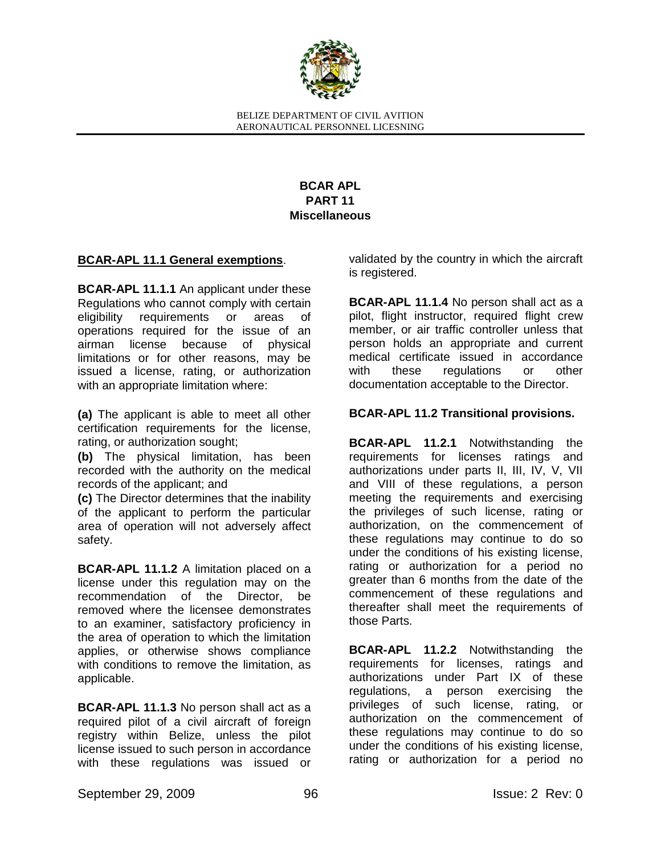

# **BCAR APL PART 11 Miscellaneous**

## **BCAR-APL 11.1 General exemptions**.

**BCAR-APL 11.1.1** An applicant under these Regulations who cannot comply with certain eligibility requirements or areas of operations required for the issue of an airman license because of physical limitations or for other reasons, may be issued a license, rating, or authorization with an appropriate limitation where:

**(a)** The applicant is able to meet all other certification requirements for the license, rating, or authorization sought;

**(b)** The physical limitation, has been recorded with the authority on the medical records of the applicant; and

**(c)** The Director determines that the inability of the applicant to perform the particular area of operation will not adversely affect safety.

**BCAR-APL 11.1.2** A limitation placed on a license under this regulation may on the recommendation of the Director, be removed where the licensee demonstrates to an examiner, satisfactory proficiency in the area of operation to which the limitation applies, or otherwise shows compliance with conditions to remove the limitation, as applicable.

**BCAR-APL 11.1.3** No person shall act as a required pilot of a civil aircraft of foreign registry within Belize, unless the pilot license issued to such person in accordance with these regulations was issued or

validated by the country in which the aircraft is registered.

**BCAR-APL 11.1.4** No person shall act as a pilot, flight instructor, required flight crew member, or air traffic controller unless that person holds an appropriate and current medical certificate issued in accordance with these regulations or other documentation acceptable to the Director.

# **BCAR-APL 11.2 Transitional provisions.**

**BCAR-APL 11.2.1** Notwithstanding the requirements for licenses ratings and authorizations under parts II, III, IV, V, VII and VIII of these regulations, a person meeting the requirements and exercising the privileges of such license, rating or authorization, on the commencement of these regulations may continue to do so under the conditions of his existing license, rating or authorization for a period no greater than 6 months from the date of the commencement of these regulations and thereafter shall meet the requirements of those Parts.

**BCAR-APL 11.2.2** Notwithstanding the requirements for licenses, ratings and authorizations under Part IX of these regulations, a person exercising the privileges of such license, rating, or authorization on the commencement of these regulations may continue to do so under the conditions of his existing license, rating or authorization for a period no

September 29, 2009 **96 1998 1998 1998 1998 1998 1998 1998 1998 1999 1999 1999 1999**